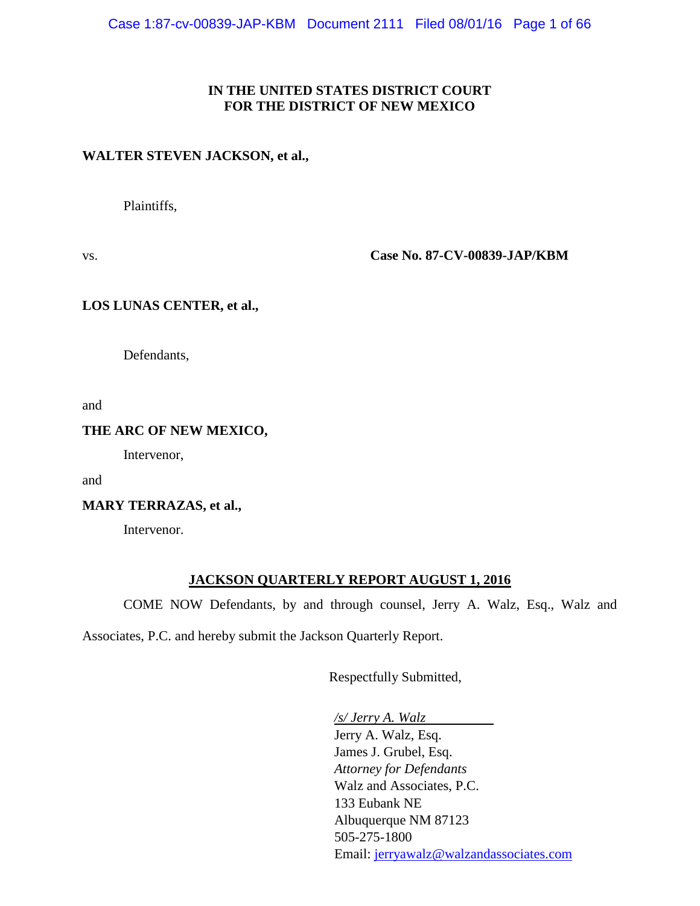#### **IN THE UNITED STATES DISTRICT COURT FOR THE DISTRICT OF NEW MEXICO**

#### **WALTER STEVEN JACKSON, et al.,**

Plaintiffs,

vs. **Case No. 87-CV-00839-JAP/KBM**

#### **LOS LUNAS CENTER, et al.,**

Defendants,

and

#### **THE ARC OF NEW MEXICO,**

Intervenor,

and

**MARY TERRAZAS, et al.,**

Intervenor.

#### **JACKSON QUARTERLY REPORT AUGUST 1, 2016**

COME NOW Defendants, by and through counsel, Jerry A. Walz, Esq., Walz and

Associates, P.C. and hereby submit the Jackson Quarterly Report.

Respectfully Submitted,

*/s/ Jerry A. Walz*

Jerry A. Walz, Esq. James J. Grubel, Esq. *Attorney for Defendants* Walz and Associates, P.C. 133 Eubank NE Albuquerque NM 87123 505-275-1800 Email: [jerryawalz@walzandassociates.com](mailto:jerryawalz@walzandassociates.com)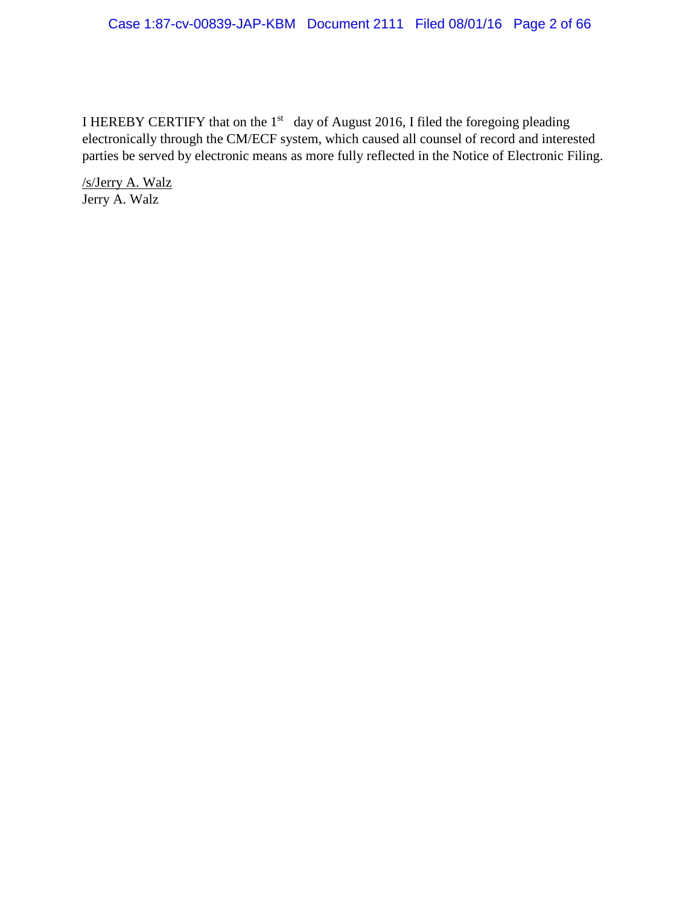#### Case 1:87-cv-00839-JAP-KBM Document 2111 Filed 08/01/16 Page 2 of 66

I HEREBY CERTIFY that on the  $1<sup>st</sup>$  day of August 2016, I filed the foregoing pleading electronically through the CM/ECF system, which caused all counsel of record and interested parties be served by electronic means as more fully reflected in the Notice of Electronic Filing.

/s/Jerry A. Walz Jerry A. Walz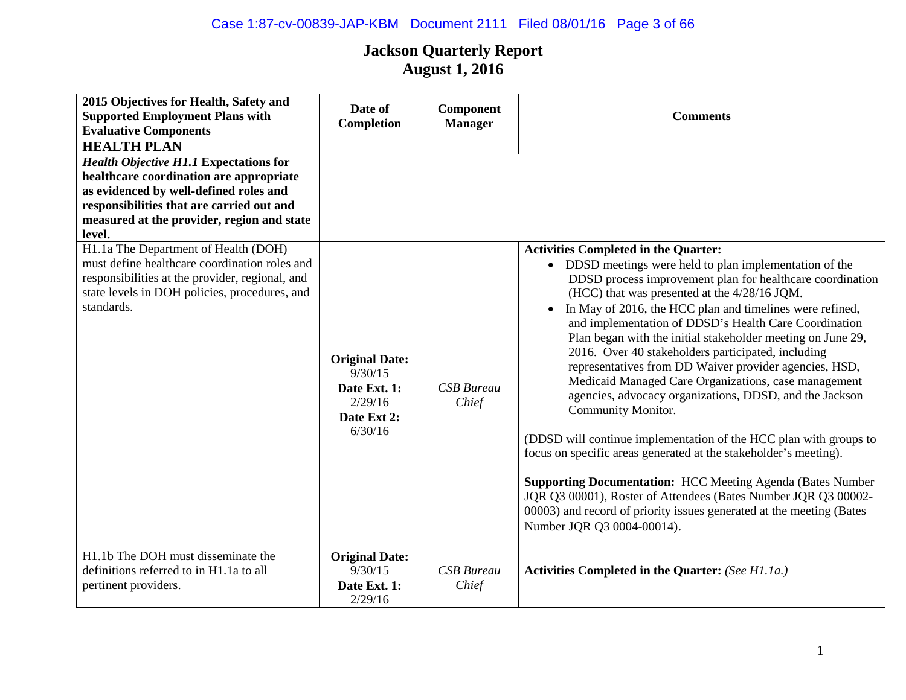# Case 1:87-cv-00839-JAP-KBM Document 2111 Filed 08/01/16 Page 3 of 66

| 2015 Objectives for Health, Safety and<br><b>Supported Employment Plans with</b><br><b>Evaluative Components</b>                                                                                                                                                                                      | Date of<br>Completion                                                                 | <b>Component</b><br><b>Manager</b> | <b>Comments</b>                                                                                                                                                                                                                                                                                                                                                                                                                                                                                                                                                                                                                                                                                                                                                                                                                                                                                                                                                                                                      |
|-------------------------------------------------------------------------------------------------------------------------------------------------------------------------------------------------------------------------------------------------------------------------------------------------------|---------------------------------------------------------------------------------------|------------------------------------|----------------------------------------------------------------------------------------------------------------------------------------------------------------------------------------------------------------------------------------------------------------------------------------------------------------------------------------------------------------------------------------------------------------------------------------------------------------------------------------------------------------------------------------------------------------------------------------------------------------------------------------------------------------------------------------------------------------------------------------------------------------------------------------------------------------------------------------------------------------------------------------------------------------------------------------------------------------------------------------------------------------------|
| <b>HEALTH PLAN</b><br><b>Health Objective H1.1 Expectations for</b><br>healthcare coordination are appropriate<br>as evidenced by well-defined roles and<br>responsibilities that are carried out and<br>measured at the provider, region and state<br>level.<br>H1.1a The Department of Health (DOH) |                                                                                       |                                    | <b>Activities Completed in the Quarter:</b>                                                                                                                                                                                                                                                                                                                                                                                                                                                                                                                                                                                                                                                                                                                                                                                                                                                                                                                                                                          |
| must define healthcare coordination roles and<br>responsibilities at the provider, regional, and<br>state levels in DOH policies, procedures, and<br>standards.                                                                                                                                       | <b>Original Date:</b><br>9/30/15<br>Date Ext. 1:<br>2/29/16<br>Date Ext 2:<br>6/30/16 | <b>CSB</b> Bureau<br>Chief         | • DDSD meetings were held to plan implementation of the<br>DDSD process improvement plan for healthcare coordination<br>(HCC) that was presented at the 4/28/16 JQM.<br>In May of 2016, the HCC plan and timelines were refined,<br>$\bullet$<br>and implementation of DDSD's Health Care Coordination<br>Plan began with the initial stakeholder meeting on June 29,<br>2016. Over 40 stakeholders participated, including<br>representatives from DD Waiver provider agencies, HSD,<br>Medicaid Managed Care Organizations, case management<br>agencies, advocacy organizations, DDSD, and the Jackson<br>Community Monitor.<br>(DDSD will continue implementation of the HCC plan with groups to<br>focus on specific areas generated at the stakeholder's meeting).<br><b>Supporting Documentation: HCC Meeting Agenda (Bates Number</b><br>JQR Q3 00001), Roster of Attendees (Bates Number JQR Q3 00002-<br>00003) and record of priority issues generated at the meeting (Bates<br>Number JQR Q3 0004-00014). |
| H1.1b The DOH must disseminate the<br>definitions referred to in H1.1a to all<br>pertinent providers.                                                                                                                                                                                                 | <b>Original Date:</b><br>9/30/15<br>Date Ext. 1:<br>2/29/16                           | <b>CSB</b> Bureau<br>Chief         | Activities Completed in the Quarter: (See H1.1a.)                                                                                                                                                                                                                                                                                                                                                                                                                                                                                                                                                                                                                                                                                                                                                                                                                                                                                                                                                                    |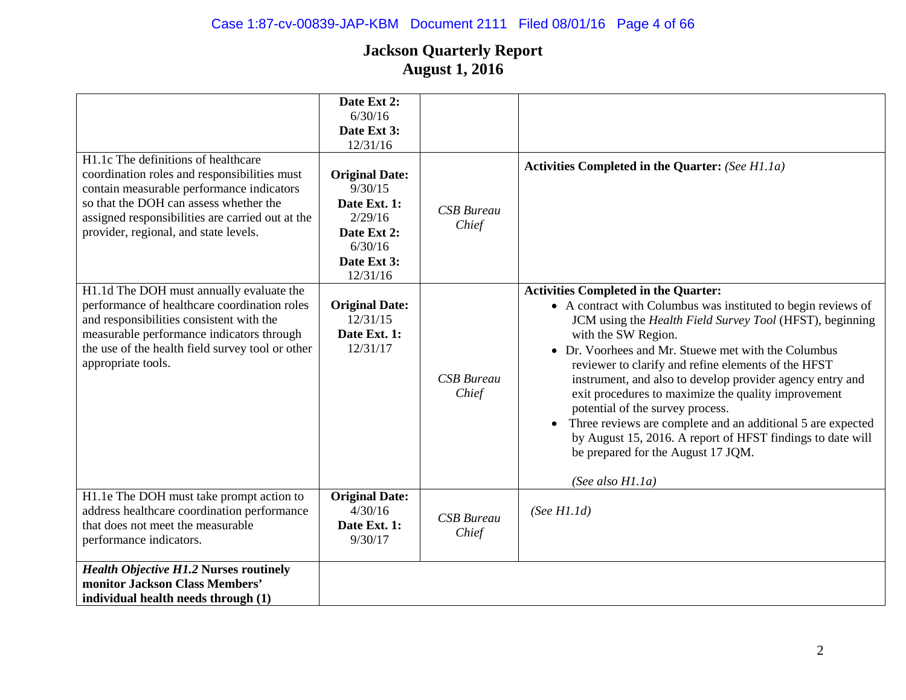| H1.1c The definitions of healthcare<br>coordination roles and responsibilities must<br>contain measurable performance indicators<br>so that the DOH can assess whether the<br>assigned responsibilities are carried out at the<br>provider, regional, and state levels. | Date Ext 2:<br>6/30/16<br>Date Ext 3:<br>12/31/16<br><b>Original Date:</b><br>9/30/15<br>Date Ext. 1:<br>2/29/16<br>Date Ext 2:<br>6/30/16<br>Date Ext 3:<br>12/31/16 | <b>CSB</b> Bureau<br>Chief | Activities Completed in the Quarter: (See H1.1a)                                                                                                                                                                                                                                                                                                                                                                                                                                                                                                                                                                                                                             |
|-------------------------------------------------------------------------------------------------------------------------------------------------------------------------------------------------------------------------------------------------------------------------|-----------------------------------------------------------------------------------------------------------------------------------------------------------------------|----------------------------|------------------------------------------------------------------------------------------------------------------------------------------------------------------------------------------------------------------------------------------------------------------------------------------------------------------------------------------------------------------------------------------------------------------------------------------------------------------------------------------------------------------------------------------------------------------------------------------------------------------------------------------------------------------------------|
| H1.1d The DOH must annually evaluate the<br>performance of healthcare coordination roles<br>and responsibilities consistent with the<br>measurable performance indicators through<br>the use of the health field survey tool or other<br>appropriate tools.             | <b>Original Date:</b><br>12/31/15<br>Date Ext. 1:<br>12/31/17                                                                                                         | <b>CSB</b> Bureau<br>Chief | <b>Activities Completed in the Quarter:</b><br>• A contract with Columbus was instituted to begin reviews of<br>JCM using the Health Field Survey Tool (HFST), beginning<br>with the SW Region.<br>• Dr. Voorhees and Mr. Stuewe met with the Columbus<br>reviewer to clarify and refine elements of the HFST<br>instrument, and also to develop provider agency entry and<br>exit procedures to maximize the quality improvement<br>potential of the survey process.<br>Three reviews are complete and an additional 5 are expected<br>$\bullet$<br>by August 15, 2016. A report of HFST findings to date will<br>be prepared for the August 17 JQM.<br>(See also $H1.1a$ ) |
| H1.1e The DOH must take prompt action to<br>address healthcare coordination performance<br>that does not meet the measurable<br>performance indicators.                                                                                                                 | <b>Original Date:</b><br>4/30/16<br>Date Ext. 1:<br>9/30/17                                                                                                           | <b>CSB</b> Bureau<br>Chief | (See H1.1d)                                                                                                                                                                                                                                                                                                                                                                                                                                                                                                                                                                                                                                                                  |
| <b>Health Objective H1.2 Nurses routinely</b><br>monitor Jackson Class Members'<br>individual health needs through (1)                                                                                                                                                  |                                                                                                                                                                       |                            |                                                                                                                                                                                                                                                                                                                                                                                                                                                                                                                                                                                                                                                                              |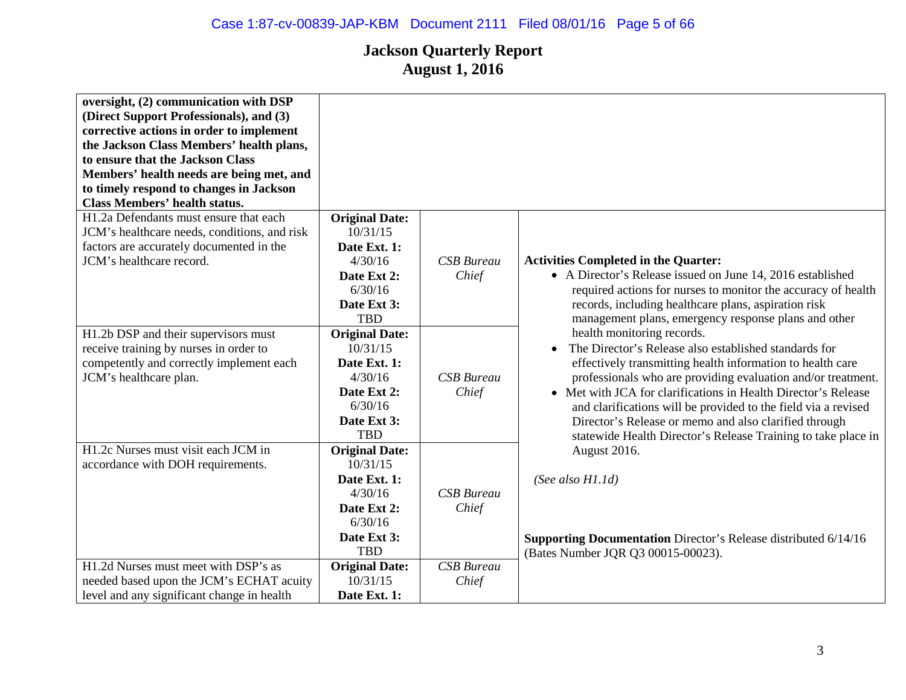| oversight, (2) communication with DSP<br>(Direct Support Professionals), and (3)<br>corrective actions in order to implement<br>the Jackson Class Members' health plans,<br>to ensure that the Jackson Class<br>Members' health needs are being met, and<br>to timely respond to changes in Jackson<br><b>Class Members' health status.</b> |                           |                   |                                                                               |
|---------------------------------------------------------------------------------------------------------------------------------------------------------------------------------------------------------------------------------------------------------------------------------------------------------------------------------------------|---------------------------|-------------------|-------------------------------------------------------------------------------|
| H1.2a Defendants must ensure that each                                                                                                                                                                                                                                                                                                      | <b>Original Date:</b>     |                   |                                                                               |
| JCM's healthcare needs, conditions, and risk                                                                                                                                                                                                                                                                                                | 10/31/15                  |                   |                                                                               |
| factors are accurately documented in the                                                                                                                                                                                                                                                                                                    | Date Ext. 1:              |                   |                                                                               |
| JCM's healthcare record.                                                                                                                                                                                                                                                                                                                    | 4/30/16                   | <b>CSB</b> Bureau | <b>Activities Completed in the Quarter:</b>                                   |
|                                                                                                                                                                                                                                                                                                                                             | Date Ext 2:               | Chief             | • A Director's Release issued on June 14, 2016 established                    |
|                                                                                                                                                                                                                                                                                                                                             | 6/30/16                   |                   | required actions for nurses to monitor the accuracy of health                 |
|                                                                                                                                                                                                                                                                                                                                             | Date Ext 3:               |                   | records, including healthcare plans, aspiration risk                          |
|                                                                                                                                                                                                                                                                                                                                             | <b>TBD</b>                |                   | management plans, emergency response plans and other                          |
| H1.2b DSP and their supervisors must                                                                                                                                                                                                                                                                                                        | <b>Original Date:</b>     |                   | health monitoring records.                                                    |
| receive training by nurses in order to                                                                                                                                                                                                                                                                                                      | 10/31/15                  |                   | The Director's Release also established standards for<br>$\bullet$            |
| competently and correctly implement each                                                                                                                                                                                                                                                                                                    | Date Ext. 1:              |                   | effectively transmitting health information to health care                    |
| JCM's healthcare plan.                                                                                                                                                                                                                                                                                                                      | 4/30/16                   | <b>CSB</b> Bureau | professionals who are providing evaluation and/or treatment.                  |
|                                                                                                                                                                                                                                                                                                                                             | Date Ext 2:               | Chief             | • Met with JCA for clarifications in Health Director's Release                |
|                                                                                                                                                                                                                                                                                                                                             | 6/30/16                   |                   | and clarifications will be provided to the field via a revised                |
|                                                                                                                                                                                                                                                                                                                                             | Date Ext 3:<br><b>TBD</b> |                   | Director's Release or memo and also clarified through                         |
| H1.2c Nurses must visit each JCM in                                                                                                                                                                                                                                                                                                         | <b>Original Date:</b>     |                   | statewide Health Director's Release Training to take place in<br>August 2016. |
| accordance with DOH requirements.                                                                                                                                                                                                                                                                                                           | 10/31/15                  |                   |                                                                               |
|                                                                                                                                                                                                                                                                                                                                             | Date Ext. 1:              |                   | (See also $H1.1d$ )                                                           |
|                                                                                                                                                                                                                                                                                                                                             | 4/30/16                   | <b>CSB</b> Bureau |                                                                               |
|                                                                                                                                                                                                                                                                                                                                             | Date Ext 2:               | Chief             |                                                                               |
|                                                                                                                                                                                                                                                                                                                                             | 6/30/16                   |                   |                                                                               |
|                                                                                                                                                                                                                                                                                                                                             | Date Ext 3:               |                   | <b>Supporting Documentation</b> Director's Release distributed 6/14/16        |
|                                                                                                                                                                                                                                                                                                                                             | <b>TBD</b>                |                   | (Bates Number JQR Q3 00015-00023).                                            |
| H1.2d Nurses must meet with DSP's as                                                                                                                                                                                                                                                                                                        | <b>Original Date:</b>     | <b>CSB</b> Bureau |                                                                               |
| needed based upon the JCM's ECHAT acuity                                                                                                                                                                                                                                                                                                    | 10/31/15                  | Chief             |                                                                               |
| level and any significant change in health                                                                                                                                                                                                                                                                                                  | Date Ext. 1:              |                   |                                                                               |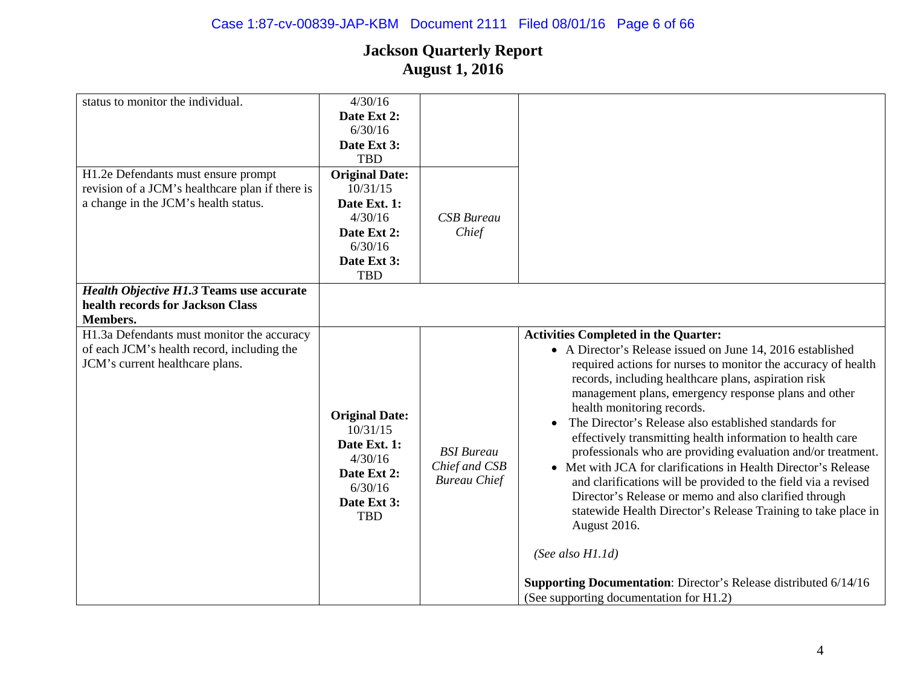# Case 1:87-cv-00839-JAP-KBM Document 2111 Filed 08/01/16 Page 6 of 66

| status to monitor the individual.               | 4/30/16               |                     |                                                                         |
|-------------------------------------------------|-----------------------|---------------------|-------------------------------------------------------------------------|
|                                                 | Date Ext 2:           |                     |                                                                         |
|                                                 | 6/30/16               |                     |                                                                         |
|                                                 | Date Ext 3:           |                     |                                                                         |
|                                                 | <b>TBD</b>            |                     |                                                                         |
| H1.2e Defendants must ensure prompt             | <b>Original Date:</b> |                     |                                                                         |
| revision of a JCM's healthcare plan if there is | 10/31/15              |                     |                                                                         |
| a change in the JCM's health status.            | Date Ext. 1:          |                     |                                                                         |
|                                                 | 4/30/16               | <b>CSB</b> Bureau   |                                                                         |
|                                                 | Date Ext 2:           | Chief               |                                                                         |
|                                                 | 6/30/16               |                     |                                                                         |
|                                                 | Date Ext 3:           |                     |                                                                         |
|                                                 | <b>TBD</b>            |                     |                                                                         |
| <b>Health Objective H1.3 Teams use accurate</b> |                       |                     |                                                                         |
| health records for Jackson Class                |                       |                     |                                                                         |
| Members.                                        |                       |                     |                                                                         |
| H1.3a Defendants must monitor the accuracy      |                       |                     | <b>Activities Completed in the Quarter:</b>                             |
| of each JCM's health record, including the      |                       |                     | • A Director's Release issued on June 14, 2016 established              |
| JCM's current healthcare plans.                 |                       |                     | required actions for nurses to monitor the accuracy of health           |
|                                                 |                       |                     | records, including healthcare plans, aspiration risk                    |
|                                                 |                       |                     | management plans, emergency response plans and other                    |
|                                                 |                       |                     | health monitoring records.                                              |
|                                                 | <b>Original Date:</b> |                     | The Director's Release also established standards for                   |
|                                                 | 10/31/15              |                     | effectively transmitting health information to health care              |
|                                                 | Date Ext. 1:          | <b>BSI</b> Bureau   | professionals who are providing evaluation and/or treatment.            |
|                                                 | 4/30/16               | Chief and CSB       | • Met with JCA for clarifications in Health Director's Release          |
|                                                 | Date Ext 2:           | <b>Bureau Chief</b> |                                                                         |
|                                                 | 6/30/16               |                     | and clarifications will be provided to the field via a revised          |
|                                                 | Date Ext 3:           |                     | Director's Release or memo and also clarified through                   |
|                                                 | <b>TBD</b>            |                     | statewide Health Director's Release Training to take place in           |
|                                                 |                       |                     | August 2016.                                                            |
|                                                 |                       |                     |                                                                         |
|                                                 |                       |                     | (See also $H1.1d$ )                                                     |
|                                                 |                       |                     |                                                                         |
|                                                 |                       |                     | <b>Supporting Documentation:</b> Director's Release distributed 6/14/16 |
|                                                 |                       |                     | (See supporting documentation for H1.2)                                 |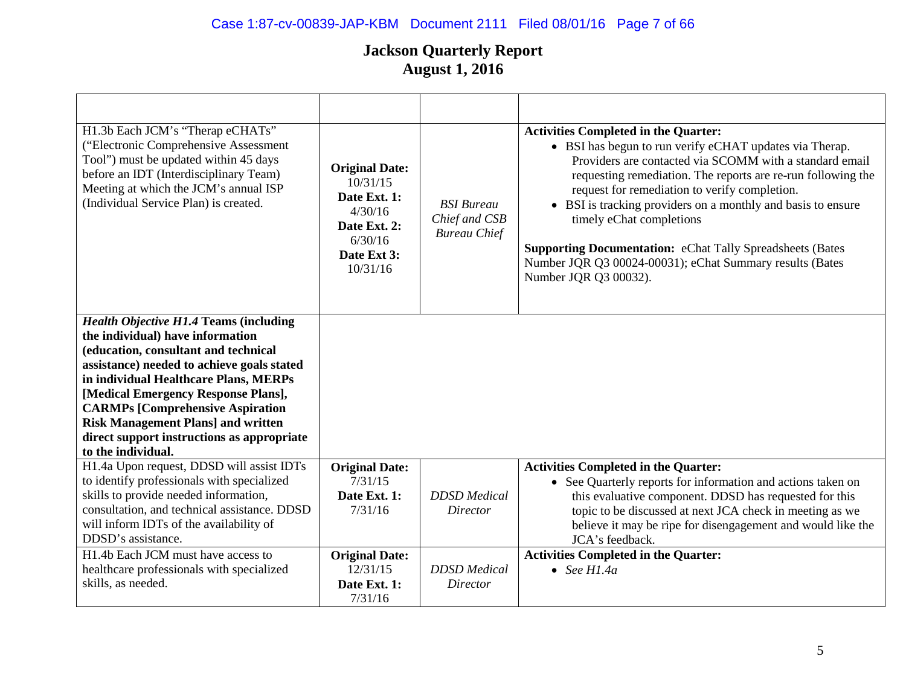# Case 1:87-cv-00839-JAP-KBM Document 2111 Filed 08/01/16 Page 7 of 66

| H1.3b Each JCM's "Therap eCHATs"<br>("Electronic Comprehensive Assessment<br>Tool") must be updated within 45 days<br>before an IDT (Interdisciplinary Team)<br>Meeting at which the JCM's annual ISP<br>(Individual Service Plan) is created.                                                                                                                                                                      | <b>Original Date:</b><br>10/31/15<br>Date Ext. 1:<br>4/30/16<br>Date Ext. 2:<br>6/30/16<br>Date Ext 3:<br>10/31/16 | <b>BSI</b> Bureau<br>Chief and CSB<br><b>Bureau Chief</b> | <b>Activities Completed in the Quarter:</b><br>• BSI has begun to run verify eCHAT updates via Therap.<br>Providers are contacted via SCOMM with a standard email<br>requesting remediation. The reports are re-run following the<br>request for remediation to verify completion.<br>• BSI is tracking providers on a monthly and basis to ensure<br>timely eChat completions<br><b>Supporting Documentation: eChat Tally Spreadsheets (Bates</b><br>Number JQR Q3 00024-00031); eChat Summary results (Bates<br>Number JQR Q3 00032). |
|---------------------------------------------------------------------------------------------------------------------------------------------------------------------------------------------------------------------------------------------------------------------------------------------------------------------------------------------------------------------------------------------------------------------|--------------------------------------------------------------------------------------------------------------------|-----------------------------------------------------------|-----------------------------------------------------------------------------------------------------------------------------------------------------------------------------------------------------------------------------------------------------------------------------------------------------------------------------------------------------------------------------------------------------------------------------------------------------------------------------------------------------------------------------------------|
| <b>Health Objective H1.4 Teams (including</b><br>the individual) have information<br>(education, consultant and technical<br>assistance) needed to achieve goals stated<br>in individual Healthcare Plans, MERPs<br>[Medical Emergency Response Plans],<br><b>CARMPs [Comprehensive Aspiration</b><br><b>Risk Management Plans] and written</b><br>direct support instructions as appropriate<br>to the individual. |                                                                                                                    |                                                           |                                                                                                                                                                                                                                                                                                                                                                                                                                                                                                                                         |
| H1.4a Upon request, DDSD will assist IDTs<br>to identify professionals with specialized<br>skills to provide needed information,<br>consultation, and technical assistance. DDSD<br>will inform IDTs of the availability of<br>DDSD's assistance.                                                                                                                                                                   | <b>Original Date:</b><br>7/31/15<br>Date Ext. 1:<br>7/31/16                                                        | <b>DDSD</b> Medical<br>Director                           | <b>Activities Completed in the Quarter:</b><br>• See Quarterly reports for information and actions taken on<br>this evaluative component. DDSD has requested for this<br>topic to be discussed at next JCA check in meeting as we<br>believe it may be ripe for disengagement and would like the<br>JCA's feedback.                                                                                                                                                                                                                     |
| H1.4b Each JCM must have access to<br>healthcare professionals with specialized<br>skills, as needed.                                                                                                                                                                                                                                                                                                               | <b>Original Date:</b><br>12/31/15<br>Date Ext. 1:<br>7/31/16                                                       | <b>DDSD</b> Medical<br>Director                           | <b>Activities Completed in the Quarter:</b><br>$\bullet$ See H1.4a                                                                                                                                                                                                                                                                                                                                                                                                                                                                      |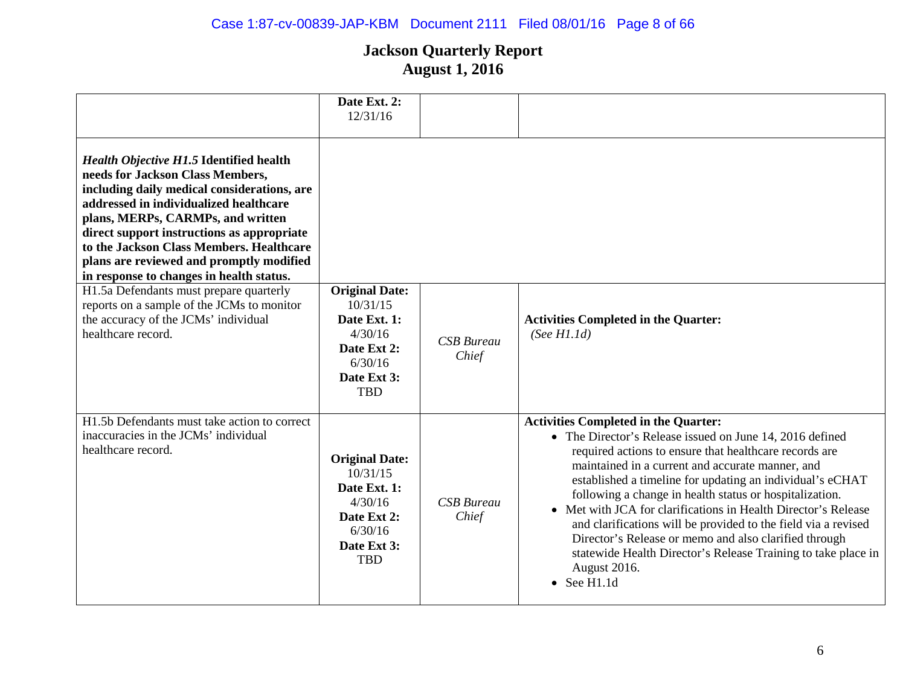# Case 1:87-cv-00839-JAP-KBM Document 2111 Filed 08/01/16 Page 8 of 66

|                                                                                                                                                                                                                                                                                                                                                                                                                                                                                                                                                           | Date Ext. 2:<br>12/31/16                                                                                            |                            |                                                                                                                                                                                                                                                                                                                                                                                                                                                                                                                                                                                                                                                    |
|-----------------------------------------------------------------------------------------------------------------------------------------------------------------------------------------------------------------------------------------------------------------------------------------------------------------------------------------------------------------------------------------------------------------------------------------------------------------------------------------------------------------------------------------------------------|---------------------------------------------------------------------------------------------------------------------|----------------------------|----------------------------------------------------------------------------------------------------------------------------------------------------------------------------------------------------------------------------------------------------------------------------------------------------------------------------------------------------------------------------------------------------------------------------------------------------------------------------------------------------------------------------------------------------------------------------------------------------------------------------------------------------|
| <b>Health Objective H1.5 Identified health</b><br>needs for Jackson Class Members,<br>including daily medical considerations, are<br>addressed in individualized healthcare<br>plans, MERPs, CARMPs, and written<br>direct support instructions as appropriate<br>to the Jackson Class Members. Healthcare<br>plans are reviewed and promptly modified<br>in response to changes in health status.<br>H1.5a Defendants must prepare quarterly<br>reports on a sample of the JCMs to monitor<br>the accuracy of the JCMs' individual<br>healthcare record. | <b>Original Date:</b><br>10/31/15<br>Date Ext. 1:<br>4/30/16                                                        | <b>CSB</b> Bureau          | <b>Activities Completed in the Quarter:</b><br>(See H1.1d)                                                                                                                                                                                                                                                                                                                                                                                                                                                                                                                                                                                         |
|                                                                                                                                                                                                                                                                                                                                                                                                                                                                                                                                                           | Date Ext 2:<br>6/30/16<br>Date Ext 3:<br><b>TBD</b>                                                                 | Chief                      |                                                                                                                                                                                                                                                                                                                                                                                                                                                                                                                                                                                                                                                    |
| H1.5b Defendants must take action to correct<br>inaccuracies in the JCMs' individual<br>healthcare record.                                                                                                                                                                                                                                                                                                                                                                                                                                                | <b>Original Date:</b><br>10/31/15<br>Date Ext. 1:<br>4/30/16<br>Date Ext 2:<br>6/30/16<br>Date Ext 3:<br><b>TBD</b> | <b>CSB</b> Bureau<br>Chief | <b>Activities Completed in the Quarter:</b><br>• The Director's Release issued on June 14, 2016 defined<br>required actions to ensure that healthcare records are<br>maintained in a current and accurate manner, and<br>established a timeline for updating an individual's eCHAT<br>following a change in health status or hospitalization.<br>• Met with JCA for clarifications in Health Director's Release<br>and clarifications will be provided to the field via a revised<br>Director's Release or memo and also clarified through<br>statewide Health Director's Release Training to take place in<br>August 2016.<br>$\bullet$ See H1.1d |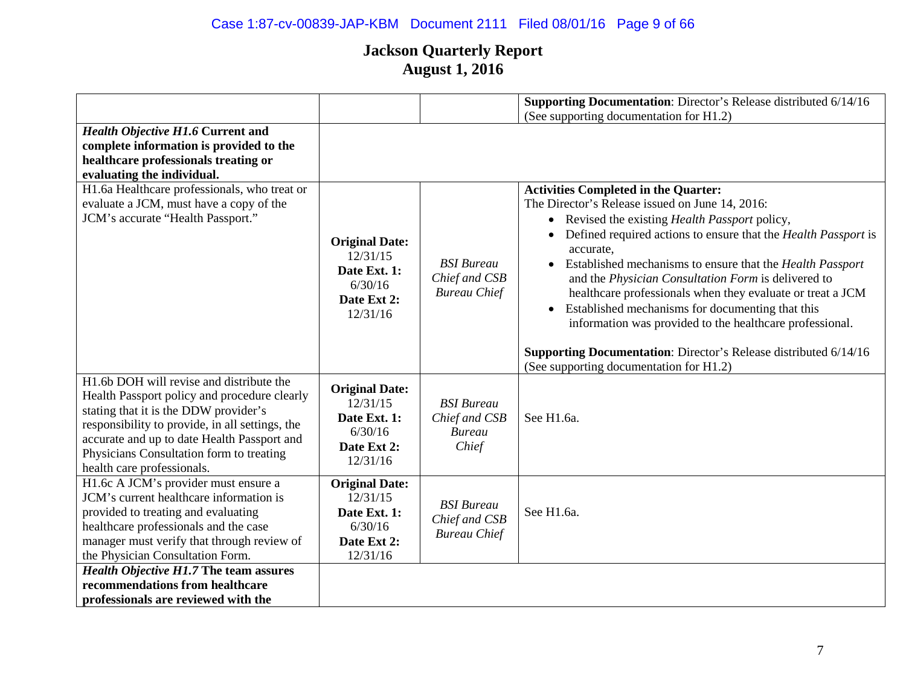# Case 1:87-cv-00839-JAP-KBM Document 2111 Filed 08/01/16 Page 9 of 66

|                                                 |                       |                     | Supporting Documentation: Director's Release distributed 6/14/16 |
|-------------------------------------------------|-----------------------|---------------------|------------------------------------------------------------------|
|                                                 |                       |                     | (See supporting documentation for H1.2)                          |
| <b>Health Objective H1.6 Current and</b>        |                       |                     |                                                                  |
| complete information is provided to the         |                       |                     |                                                                  |
| healthcare professionals treating or            |                       |                     |                                                                  |
| evaluating the individual.                      |                       |                     |                                                                  |
| H1.6a Healthcare professionals, who treat or    |                       |                     | <b>Activities Completed in the Quarter:</b>                      |
| evaluate a JCM, must have a copy of the         |                       |                     | The Director's Release issued on June 14, 2016:                  |
| JCM's accurate "Health Passport."               |                       |                     | • Revised the existing Health Passport policy,                   |
|                                                 | <b>Original Date:</b> |                     | Defined required actions to ensure that the Health Passport is   |
|                                                 | 12/31/15              |                     | accurate,                                                        |
|                                                 | Date Ext. 1:          | <b>BSI</b> Bureau   | • Established mechanisms to ensure that the Health Passport      |
|                                                 | 6/30/16               | Chief and CSB       | and the Physician Consultation Form is delivered to              |
|                                                 | Date Ext 2:           | <b>Bureau Chief</b> | healthcare professionals when they evaluate or treat a JCM       |
|                                                 | 12/31/16              |                     | Established mechanisms for documenting that this<br>$\bullet$    |
|                                                 |                       |                     | information was provided to the healthcare professional.         |
|                                                 |                       |                     | Supporting Documentation: Director's Release distributed 6/14/16 |
|                                                 |                       |                     | (See supporting documentation for H1.2)                          |
| H1.6b DOH will revise and distribute the        |                       |                     |                                                                  |
| Health Passport policy and procedure clearly    | <b>Original Date:</b> |                     |                                                                  |
| stating that it is the DDW provider's           | 12/31/15              | <b>BSI</b> Bureau   |                                                                  |
| responsibility to provide, in all settings, the | Date Ext. 1:          | Chief and CSB       | See H1.6a.                                                       |
| accurate and up to date Health Passport and     | 6/30/16               | <b>Bureau</b>       |                                                                  |
| Physicians Consultation form to treating        | Date Ext 2:           | Chief               |                                                                  |
| health care professionals.                      | 12/31/16              |                     |                                                                  |
| H1.6c A JCM's provider must ensure a            | <b>Original Date:</b> |                     |                                                                  |
| JCM's current healthcare information is         | 12/31/15              | <b>BSI</b> Bureau   |                                                                  |
| provided to treating and evaluating             | Date Ext. 1:          | Chief and CSB       | See H1.6a.                                                       |
| healthcare professionals and the case           | 6/30/16               | <b>Bureau Chief</b> |                                                                  |
| manager must verify that through review of      | Date Ext 2:           |                     |                                                                  |
| the Physician Consultation Form.                | 12/31/16              |                     |                                                                  |
| <b>Health Objective H1.7 The team assures</b>   |                       |                     |                                                                  |
| recommendations from healthcare                 |                       |                     |                                                                  |
| professionals are reviewed with the             |                       |                     |                                                                  |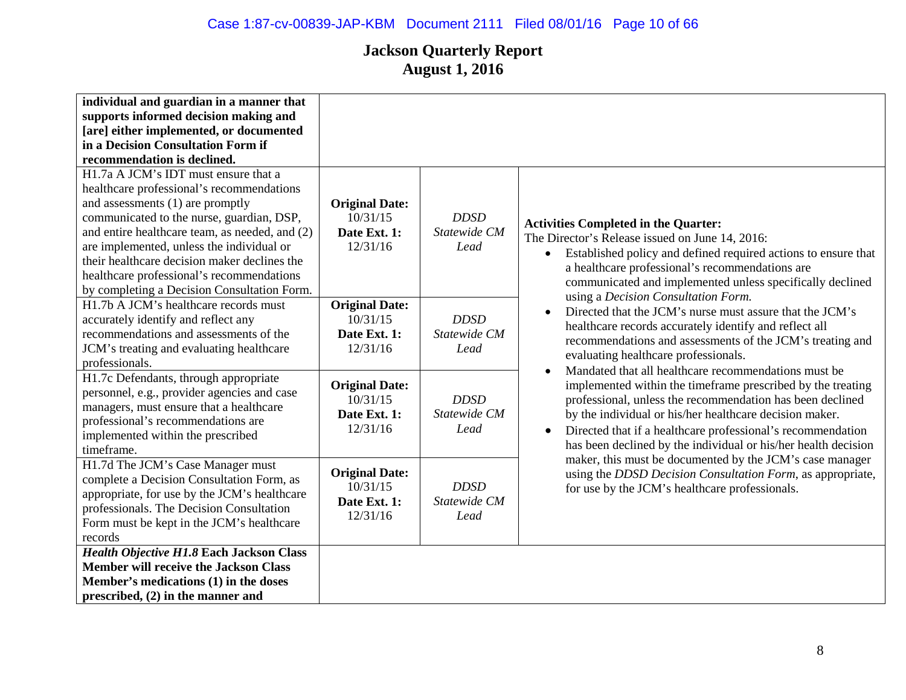| individual and guardian in a manner that       |                                   |              |                                                                                                                     |
|------------------------------------------------|-----------------------------------|--------------|---------------------------------------------------------------------------------------------------------------------|
| supports informed decision making and          |                                   |              |                                                                                                                     |
| [are] either implemented, or documented        |                                   |              |                                                                                                                     |
| in a Decision Consultation Form if             |                                   |              |                                                                                                                     |
| recommendation is declined.                    |                                   |              |                                                                                                                     |
| H1.7a A JCM's IDT must ensure that a           |                                   |              |                                                                                                                     |
| healthcare professional's recommendations      |                                   |              |                                                                                                                     |
| and assessments (1) are promptly               | <b>Original Date:</b>             |              |                                                                                                                     |
| communicated to the nurse, guardian, DSP,      | 10/31/15                          | <b>DDSD</b>  | <b>Activities Completed in the Quarter:</b>                                                                         |
| and entire healthcare team, as needed, and (2) | Date Ext. 1:                      | Statewide CM | The Director's Release issued on June 14, 2016:                                                                     |
| are implemented, unless the individual or      | 12/31/16                          | Lead         | Established policy and defined required actions to ensure that<br>$\bullet$                                         |
| their healthcare decision maker declines the   |                                   |              | a healthcare professional's recommendations are                                                                     |
| healthcare professional's recommendations      |                                   |              | communicated and implemented unless specifically declined                                                           |
| by completing a Decision Consultation Form.    |                                   |              | using a Decision Consultation Form.                                                                                 |
| H1.7b A JCM's healthcare records must          | <b>Original Date:</b>             |              | Directed that the JCM's nurse must assure that the JCM's                                                            |
| accurately identify and reflect any            | 10/31/15                          | <b>DDSD</b>  |                                                                                                                     |
| recommendations and assessments of the         | Date Ext. 1:                      | Statewide CM | healthcare records accurately identify and reflect all<br>recommendations and assessments of the JCM's treating and |
| JCM's treating and evaluating healthcare       | 12/31/16                          | Lead         |                                                                                                                     |
| professionals.                                 |                                   |              | evaluating healthcare professionals.<br>Mandated that all healthcare recommendations must be                        |
| H1.7c Defendants, through appropriate          |                                   |              |                                                                                                                     |
| personnel, e.g., provider agencies and case    | <b>Original Date:</b><br>10/31/15 | <b>DDSD</b>  | implemented within the timeframe prescribed by the treating                                                         |
| managers, must ensure that a healthcare        |                                   |              | professional, unless the recommendation has been declined                                                           |
| professional's recommendations are             | Date Ext. 1:                      | Statewide CM | by the individual or his/her healthcare decision maker.                                                             |
| implemented within the prescribed              | 12/31/16                          | Lead         | Directed that if a healthcare professional's recommendation<br>$\bullet$                                            |
| timeframe.                                     |                                   |              | has been declined by the individual or his/her health decision                                                      |
| H1.7d The JCM's Case Manager must              |                                   |              | maker, this must be documented by the JCM's case manager                                                            |
| complete a Decision Consultation Form, as      | <b>Original Date:</b>             |              | using the DDSD Decision Consultation Form, as appropriate,                                                          |
| appropriate, for use by the JCM's healthcare   | 10/31/15                          | <b>DDSD</b>  | for use by the JCM's healthcare professionals.                                                                      |
| professionals. The Decision Consultation       | Date Ext. 1:                      | Statewide CM |                                                                                                                     |
| Form must be kept in the JCM's healthcare      | 12/31/16                          | Lead         |                                                                                                                     |
| records                                        |                                   |              |                                                                                                                     |
| Health Objective H1.8 Each Jackson Class       |                                   |              |                                                                                                                     |
| <b>Member will receive the Jackson Class</b>   |                                   |              |                                                                                                                     |
| Member's medications (1) in the doses          |                                   |              |                                                                                                                     |
| prescribed, $(2)$ in the manner and            |                                   |              |                                                                                                                     |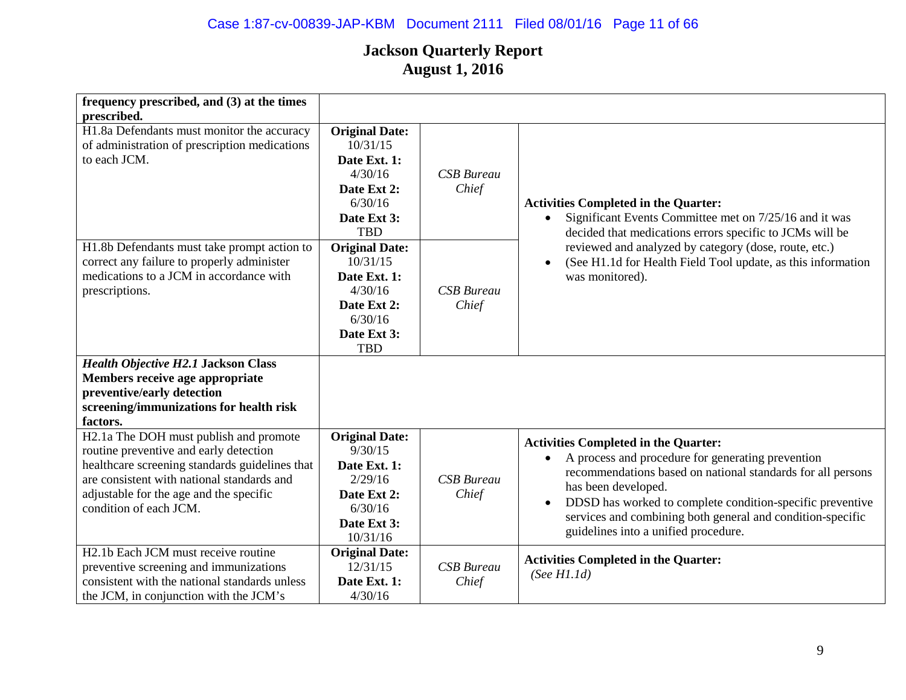# Case 1:87-cv-00839-JAP-KBM Document 2111 Filed 08/01/16 Page 11 of 66

| frequency prescribed, and (3) at the times<br>prescribed.                                                                                                                                                                                             |                                                                                                                     |                            |                                                                                                                                                                                                                                                                                                                                                                                     |
|-------------------------------------------------------------------------------------------------------------------------------------------------------------------------------------------------------------------------------------------------------|---------------------------------------------------------------------------------------------------------------------|----------------------------|-------------------------------------------------------------------------------------------------------------------------------------------------------------------------------------------------------------------------------------------------------------------------------------------------------------------------------------------------------------------------------------|
| H1.8a Defendants must monitor the accuracy<br>of administration of prescription medications<br>to each JCM.                                                                                                                                           | <b>Original Date:</b><br>10/31/15<br>Date Ext. 1:<br>4/30/16<br>Date Ext 2:<br>6/30/16<br>Date Ext 3:<br><b>TBD</b> | <b>CSB</b> Bureau<br>Chief | <b>Activities Completed in the Quarter:</b><br>Significant Events Committee met on 7/25/16 and it was<br>$\bullet$<br>decided that medications errors specific to JCMs will be                                                                                                                                                                                                      |
| H1.8b Defendants must take prompt action to<br>correct any failure to properly administer<br>medications to a JCM in accordance with<br>prescriptions.                                                                                                | <b>Original Date:</b><br>10/31/15<br>Date Ext. 1:<br>4/30/16<br>Date Ext 2:<br>6/30/16<br>Date Ext 3:<br><b>TBD</b> | <b>CSB</b> Bureau<br>Chief | reviewed and analyzed by category (dose, route, etc.)<br>(See H1.1d for Health Field Tool update, as this information<br>$\bullet$<br>was monitored).                                                                                                                                                                                                                               |
| <b>Health Objective H2.1 Jackson Class</b><br>Members receive age appropriate<br>preventive/early detection<br>screening/immunizations for health risk<br>factors.                                                                                    |                                                                                                                     |                            |                                                                                                                                                                                                                                                                                                                                                                                     |
| H2.1a The DOH must publish and promote<br>routine preventive and early detection<br>healthcare screening standards guidelines that<br>are consistent with national standards and<br>adjustable for the age and the specific<br>condition of each JCM. | <b>Original Date:</b><br>9/30/15<br>Date Ext. 1:<br>2/29/16<br>Date Ext 2:<br>6/30/16<br>Date Ext 3:<br>10/31/16    | <b>CSB</b> Bureau<br>Chief | <b>Activities Completed in the Quarter:</b><br>A process and procedure for generating prevention<br>$\bullet$<br>recommendations based on national standards for all persons<br>has been developed.<br>DDSD has worked to complete condition-specific preventive<br>$\bullet$<br>services and combining both general and condition-specific<br>guidelines into a unified procedure. |
| H <sub>2.1</sub> b Each JCM must receive routine<br>preventive screening and immunizations<br>consistent with the national standards unless<br>the JCM, in conjunction with the JCM's                                                                 | <b>Original Date:</b><br>12/31/15<br>Date Ext. 1:<br>4/30/16                                                        | <b>CSB</b> Bureau<br>Chief | <b>Activities Completed in the Quarter:</b><br>(See H1.1d)                                                                                                                                                                                                                                                                                                                          |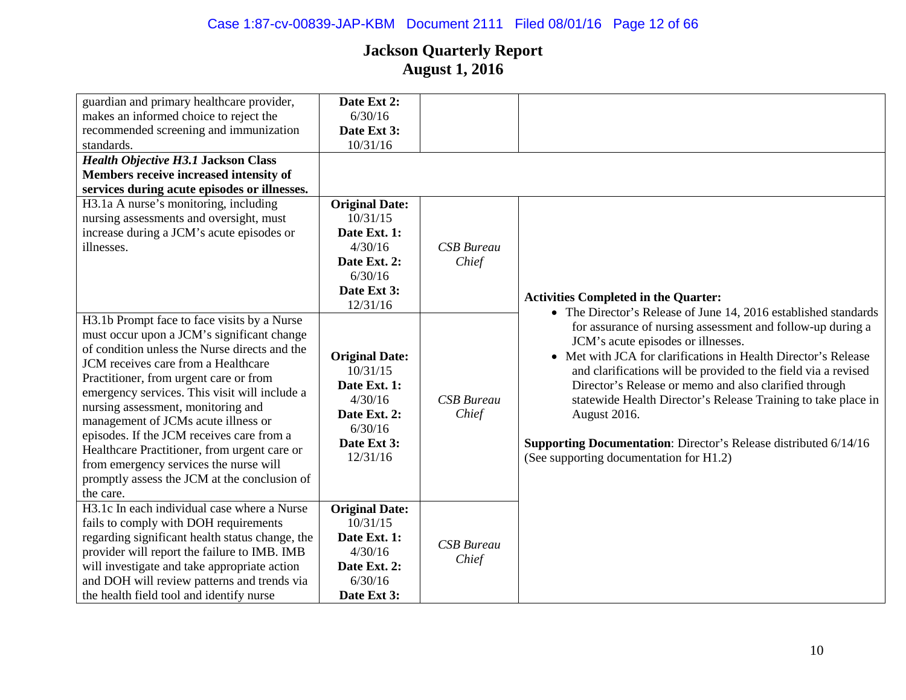| guardian and primary healthcare provider,       | Date Ext 2:           |                   |                                                                         |
|-------------------------------------------------|-----------------------|-------------------|-------------------------------------------------------------------------|
| makes an informed choice to reject the          | 6/30/16               |                   |                                                                         |
| recommended screening and immunization          | Date Ext 3:           |                   |                                                                         |
| standards.                                      | 10/31/16              |                   |                                                                         |
| <b>Health Objective H3.1 Jackson Class</b>      |                       |                   |                                                                         |
| Members receive increased intensity of          |                       |                   |                                                                         |
| services during acute episodes or illnesses.    |                       |                   |                                                                         |
| H3.1a A nurse's monitoring, including           | <b>Original Date:</b> |                   |                                                                         |
| nursing assessments and oversight, must         | 10/31/15              |                   |                                                                         |
| increase during a JCM's acute episodes or       | Date Ext. 1:          |                   |                                                                         |
| illnesses.                                      | 4/30/16               | <b>CSB</b> Bureau |                                                                         |
|                                                 | Date Ext. 2:          | Chief             |                                                                         |
|                                                 | 6/30/16               |                   |                                                                         |
|                                                 | Date Ext 3:           |                   |                                                                         |
|                                                 | 12/31/16              |                   | <b>Activities Completed in the Quarter:</b>                             |
| H3.1b Prompt face to face visits by a Nurse     |                       |                   | • The Director's Release of June 14, 2016 established standards         |
| must occur upon a JCM's significant change      |                       |                   | for assurance of nursing assessment and follow-up during a              |
| of condition unless the Nurse directs and the   |                       |                   | JCM's acute episodes or illnesses.                                      |
| JCM receives care from a Healthcare             | <b>Original Date:</b> |                   | • Met with JCA for clarifications in Health Director's Release          |
| Practitioner, from urgent care or from          | 10/31/15              |                   | and clarifications will be provided to the field via a revised          |
| emergency services. This visit will include a   | Date Ext. 1:          |                   | Director's Release or memo and also clarified through                   |
| nursing assessment, monitoring and              | 4/30/16               | <b>CSB</b> Bureau | statewide Health Director's Release Training to take place in           |
| management of JCMs acute illness or             | Date Ext. 2:          | Chief             | August 2016.                                                            |
| episodes. If the JCM receives care from a       | 6/30/16               |                   |                                                                         |
| Healthcare Practitioner, from urgent care or    | Date Ext 3:           |                   | <b>Supporting Documentation:</b> Director's Release distributed 6/14/16 |
| from emergency services the nurse will          | 12/31/16              |                   | (See supporting documentation for H1.2)                                 |
| promptly assess the JCM at the conclusion of    |                       |                   |                                                                         |
| the care.                                       |                       |                   |                                                                         |
| H3.1c In each individual case where a Nurse     | <b>Original Date:</b> |                   |                                                                         |
| fails to comply with DOH requirements           | 10/31/15              |                   |                                                                         |
| regarding significant health status change, the | Date Ext. 1:          |                   |                                                                         |
| provider will report the failure to IMB. IMB    | 4/30/16               | <b>CSB</b> Bureau |                                                                         |
| will investigate and take appropriate action    | Date Ext. 2:          | Chief             |                                                                         |
| and DOH will review patterns and trends via     | 6/30/16               |                   |                                                                         |
| the health field tool and identify nurse        | Date Ext 3:           |                   |                                                                         |
|                                                 |                       |                   |                                                                         |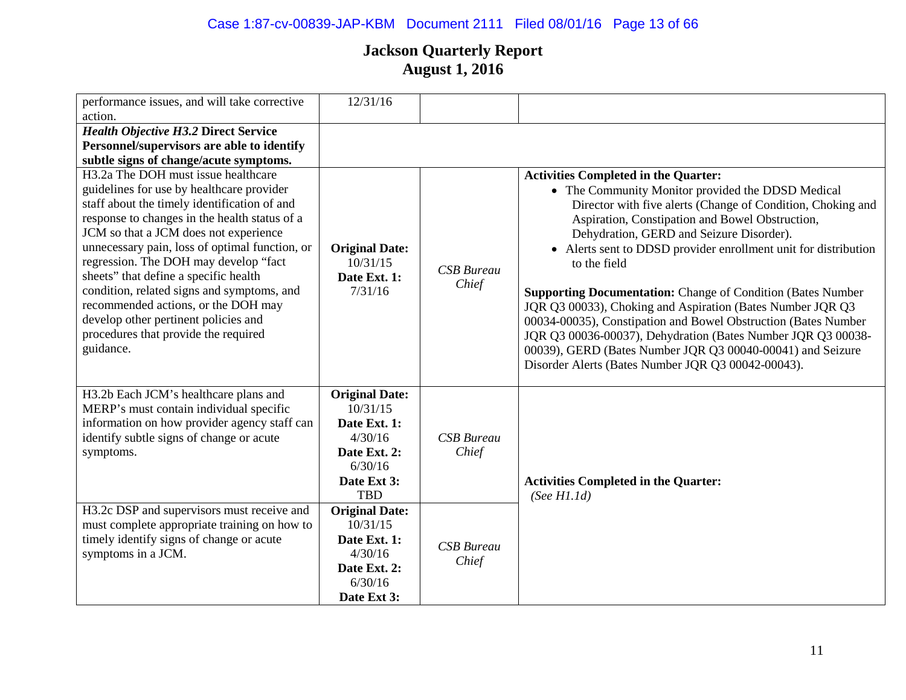# Case 1:87-cv-00839-JAP-KBM Document 2111 Filed 08/01/16 Page 13 of 66

| performance issues, and will take corrective                                                                                                                                                                                                                                                                                                                                                                                                                                                                                                                  | 12/31/16                                                                                                             |                            |                                                                                                                                                                                                                                                                                                                                                                                                                                                                                                                                                                                                                                                                                                                                             |
|---------------------------------------------------------------------------------------------------------------------------------------------------------------------------------------------------------------------------------------------------------------------------------------------------------------------------------------------------------------------------------------------------------------------------------------------------------------------------------------------------------------------------------------------------------------|----------------------------------------------------------------------------------------------------------------------|----------------------------|---------------------------------------------------------------------------------------------------------------------------------------------------------------------------------------------------------------------------------------------------------------------------------------------------------------------------------------------------------------------------------------------------------------------------------------------------------------------------------------------------------------------------------------------------------------------------------------------------------------------------------------------------------------------------------------------------------------------------------------------|
| action.                                                                                                                                                                                                                                                                                                                                                                                                                                                                                                                                                       |                                                                                                                      |                            |                                                                                                                                                                                                                                                                                                                                                                                                                                                                                                                                                                                                                                                                                                                                             |
| <b>Health Objective H3.2 Direct Service</b>                                                                                                                                                                                                                                                                                                                                                                                                                                                                                                                   |                                                                                                                      |                            |                                                                                                                                                                                                                                                                                                                                                                                                                                                                                                                                                                                                                                                                                                                                             |
| Personnel/supervisors are able to identify                                                                                                                                                                                                                                                                                                                                                                                                                                                                                                                    |                                                                                                                      |                            |                                                                                                                                                                                                                                                                                                                                                                                                                                                                                                                                                                                                                                                                                                                                             |
| subtle signs of change/acute symptoms.                                                                                                                                                                                                                                                                                                                                                                                                                                                                                                                        |                                                                                                                      |                            |                                                                                                                                                                                                                                                                                                                                                                                                                                                                                                                                                                                                                                                                                                                                             |
| H <sub>3</sub> .2a The DOH must issue healthcare<br>guidelines for use by healthcare provider<br>staff about the timely identification of and<br>response to changes in the health status of a<br>JCM so that a JCM does not experience<br>unnecessary pain, loss of optimal function, or<br>regression. The DOH may develop "fact<br>sheets" that define a specific health<br>condition, related signs and symptoms, and<br>recommended actions, or the DOH may<br>develop other pertinent policies and<br>procedures that provide the required<br>guidance. | <b>Original Date:</b><br>10/31/15<br>Date Ext. 1:<br>7/31/16                                                         | <b>CSB</b> Bureau<br>Chief | <b>Activities Completed in the Quarter:</b><br>• The Community Monitor provided the DDSD Medical<br>Director with five alerts (Change of Condition, Choking and<br>Aspiration, Constipation and Bowel Obstruction,<br>Dehydration, GERD and Seizure Disorder).<br>• Alerts sent to DDSD provider enrollment unit for distribution<br>to the field<br><b>Supporting Documentation: Change of Condition (Bates Number</b><br>JQR Q3 00033), Choking and Aspiration (Bates Number JQR Q3<br>00034-00035), Constipation and Bowel Obstruction (Bates Number<br>JQR Q3 00036-00037), Dehydration (Bates Number JQR Q3 00038-<br>00039), GERD (Bates Number JQR Q3 00040-00041) and Seizure<br>Disorder Alerts (Bates Number JQR Q3 00042-00043). |
| H3.2b Each JCM's healthcare plans and<br>MERP's must contain individual specific<br>information on how provider agency staff can<br>identify subtle signs of change or acute<br>symptoms.                                                                                                                                                                                                                                                                                                                                                                     | <b>Original Date:</b><br>10/31/15<br>Date Ext. 1:<br>4/30/16<br>Date Ext. 2:<br>6/30/16<br>Date Ext 3:<br><b>TBD</b> | <b>CSB</b> Bureau<br>Chief | <b>Activities Completed in the Quarter:</b><br>(See H1.1d)                                                                                                                                                                                                                                                                                                                                                                                                                                                                                                                                                                                                                                                                                  |
| H3.2c DSP and supervisors must receive and<br>must complete appropriate training on how to<br>timely identify signs of change or acute<br>symptoms in a JCM.                                                                                                                                                                                                                                                                                                                                                                                                  | <b>Original Date:</b><br>10/31/15<br>Date Ext. 1:<br>4/30/16<br>Date Ext. 2:<br>6/30/16<br>Date Ext 3:               | <b>CSB</b> Bureau<br>Chief |                                                                                                                                                                                                                                                                                                                                                                                                                                                                                                                                                                                                                                                                                                                                             |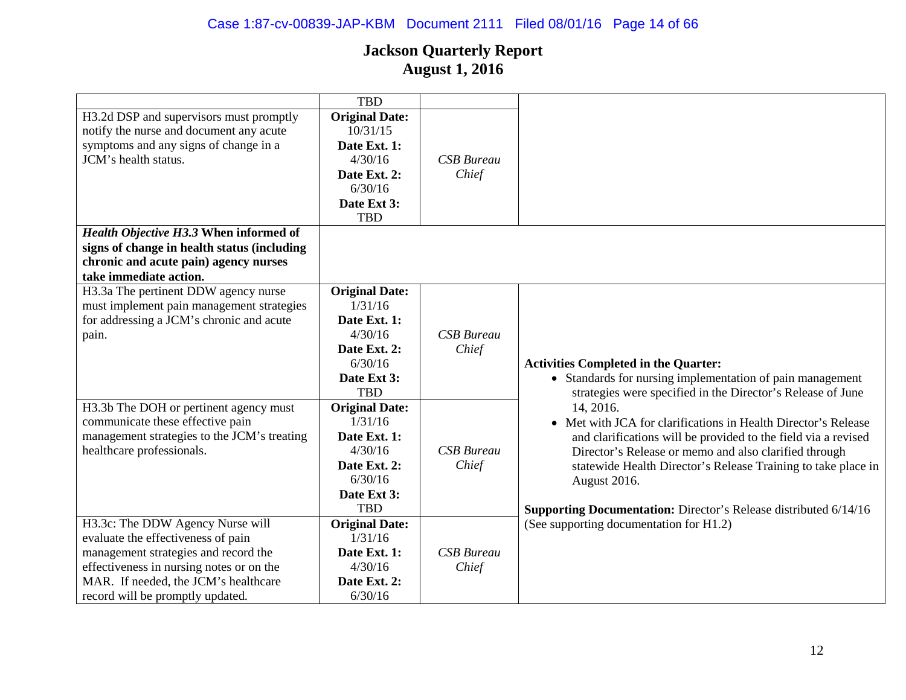|                                                                                                                                                     | <b>TBD</b>                                                                                                           |                            |                                                                  |
|-----------------------------------------------------------------------------------------------------------------------------------------------------|----------------------------------------------------------------------------------------------------------------------|----------------------------|------------------------------------------------------------------|
| H3.2d DSP and supervisors must promptly<br>notify the nurse and document any acute<br>symptoms and any signs of change in a<br>JCM's health status. | <b>Original Date:</b><br>10/31/15<br>Date Ext. 1:<br>4/30/16<br>Date Ext. 2:<br>6/30/16<br>Date Ext 3:<br><b>TBD</b> | <b>CSB</b> Bureau<br>Chief |                                                                  |
| Health Objective H3.3 When informed of                                                                                                              |                                                                                                                      |                            |                                                                  |
| signs of change in health status (including                                                                                                         |                                                                                                                      |                            |                                                                  |
| chronic and acute pain) agency nurses                                                                                                               |                                                                                                                      |                            |                                                                  |
| take immediate action.                                                                                                                              |                                                                                                                      |                            |                                                                  |
| H3.3a The pertinent DDW agency nurse                                                                                                                | <b>Original Date:</b>                                                                                                |                            |                                                                  |
| must implement pain management strategies                                                                                                           | 1/31/16                                                                                                              |                            |                                                                  |
| for addressing a JCM's chronic and acute                                                                                                            | Date Ext. 1:                                                                                                         |                            |                                                                  |
| pain.                                                                                                                                               | 4/30/16                                                                                                              | <b>CSB</b> Bureau          |                                                                  |
|                                                                                                                                                     | Date Ext. 2:                                                                                                         | Chief                      |                                                                  |
|                                                                                                                                                     | 6/30/16                                                                                                              |                            | <b>Activities Completed in the Quarter:</b>                      |
|                                                                                                                                                     | Date Ext 3:                                                                                                          |                            | • Standards for nursing implementation of pain management        |
|                                                                                                                                                     | <b>TBD</b>                                                                                                           |                            | strategies were specified in the Director's Release of June      |
| H3.3b The DOH or pertinent agency must                                                                                                              | <b>Original Date:</b>                                                                                                |                            | 14, 2016.                                                        |
| communicate these effective pain                                                                                                                    | 1/31/16                                                                                                              |                            | • Met with JCA for clarifications in Health Director's Release   |
| management strategies to the JCM's treating                                                                                                         | Date Ext. 1:                                                                                                         |                            | and clarifications will be provided to the field via a revised   |
| healthcare professionals.                                                                                                                           | 4/30/16                                                                                                              | <b>CSB</b> Bureau          | Director's Release or memo and also clarified through            |
|                                                                                                                                                     | Date Ext. 2:                                                                                                         | Chief                      | statewide Health Director's Release Training to take place in    |
|                                                                                                                                                     | 6/30/16                                                                                                              |                            | August 2016.                                                     |
|                                                                                                                                                     | Date Ext 3:<br><b>TBD</b>                                                                                            |                            |                                                                  |
|                                                                                                                                                     |                                                                                                                      |                            | Supporting Documentation: Director's Release distributed 6/14/16 |
| H3.3c: The DDW Agency Nurse will<br>evaluate the effectiveness of pain                                                                              | <b>Original Date:</b><br>1/31/16                                                                                     |                            | (See supporting documentation for H1.2)                          |
| management strategies and record the                                                                                                                | Date Ext. 1:                                                                                                         | <b>CSB</b> Bureau          |                                                                  |
| effectiveness in nursing notes or on the                                                                                                            | 4/30/16                                                                                                              | Chief                      |                                                                  |
| MAR. If needed, the JCM's healthcare                                                                                                                | Date Ext. 2:                                                                                                         |                            |                                                                  |
| record will be promptly updated.                                                                                                                    | 6/30/16                                                                                                              |                            |                                                                  |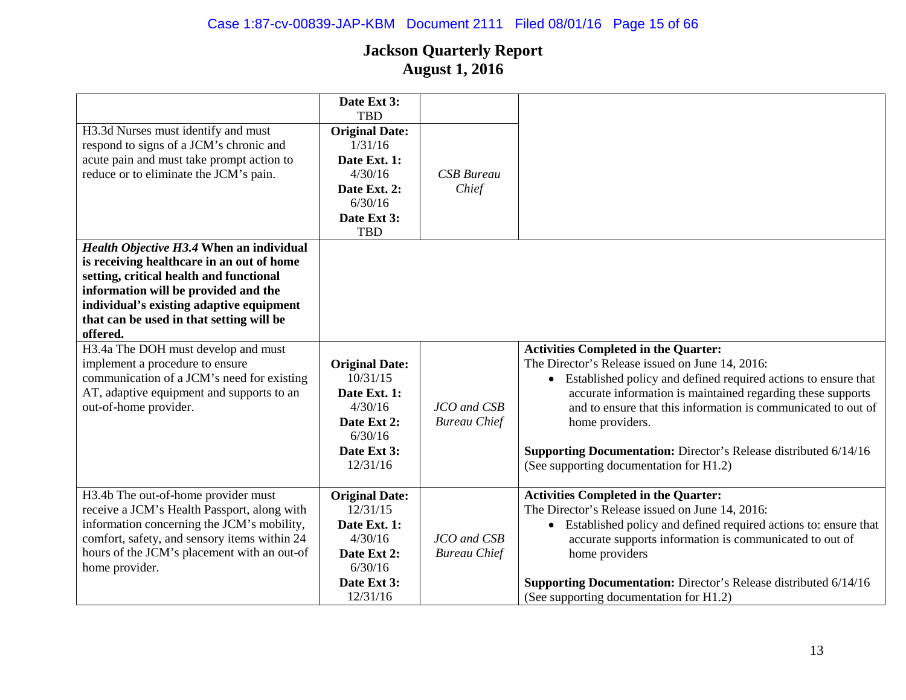| H3.3d Nurses must identify and must<br>respond to signs of a JCM's chronic and<br>acute pain and must take prompt action to                                                                                                                                                  | Date Ext 3:<br><b>TBD</b><br><b>Original Date:</b><br>1/31/16<br>Date Ext. 1:                                     |                                    |                                                                                                                                                                                                                                                                                                                                                                                                                                             |
|------------------------------------------------------------------------------------------------------------------------------------------------------------------------------------------------------------------------------------------------------------------------------|-------------------------------------------------------------------------------------------------------------------|------------------------------------|---------------------------------------------------------------------------------------------------------------------------------------------------------------------------------------------------------------------------------------------------------------------------------------------------------------------------------------------------------------------------------------------------------------------------------------------|
| reduce or to eliminate the JCM's pain.                                                                                                                                                                                                                                       | 4/30/16<br>Date Ext. 2:<br>6/30/16<br>Date Ext 3:<br><b>TBD</b>                                                   | <b>CSB</b> Bureau<br>Chief         |                                                                                                                                                                                                                                                                                                                                                                                                                                             |
| Health Objective H3.4 When an individual<br>is receiving healthcare in an out of home<br>setting, critical health and functional<br>information will be provided and the<br>individual's existing adaptive equipment<br>that can be used in that setting will be<br>offered. |                                                                                                                   |                                    |                                                                                                                                                                                                                                                                                                                                                                                                                                             |
| H3.4a The DOH must develop and must<br>implement a procedure to ensure<br>communication of a JCM's need for existing<br>AT, adaptive equipment and supports to an<br>out-of-home provider.                                                                                   | <b>Original Date:</b><br>10/31/15<br>Date Ext. 1:<br>4/30/16<br>Date Ext 2:<br>6/30/16<br>Date Ext 3:<br>12/31/16 | JCO and CSB<br><b>Bureau Chief</b> | <b>Activities Completed in the Quarter:</b><br>The Director's Release issued on June 14, 2016:<br>• Established policy and defined required actions to ensure that<br>accurate information is maintained regarding these supports<br>and to ensure that this information is communicated to out of<br>home providers.<br><b>Supporting Documentation:</b> Director's Release distributed 6/14/16<br>(See supporting documentation for H1.2) |
| H3.4b The out-of-home provider must<br>receive a JCM's Health Passport, along with<br>information concerning the JCM's mobility,<br>comfort, safety, and sensory items within 24<br>hours of the JCM's placement with an out-of<br>home provider.                            | <b>Original Date:</b><br>12/31/15<br>Date Ext. 1:<br>4/30/16<br>Date Ext 2:<br>6/30/16<br>Date Ext 3:<br>12/31/16 | JCO and CSB<br><b>Bureau Chief</b> | <b>Activities Completed in the Quarter:</b><br>The Director's Release issued on June 14, 2016:<br>• Established policy and defined required actions to: ensure that<br>accurate supports information is communicated to out of<br>home providers<br>Supporting Documentation: Director's Release distributed 6/14/16<br>(See supporting documentation for H1.2)                                                                             |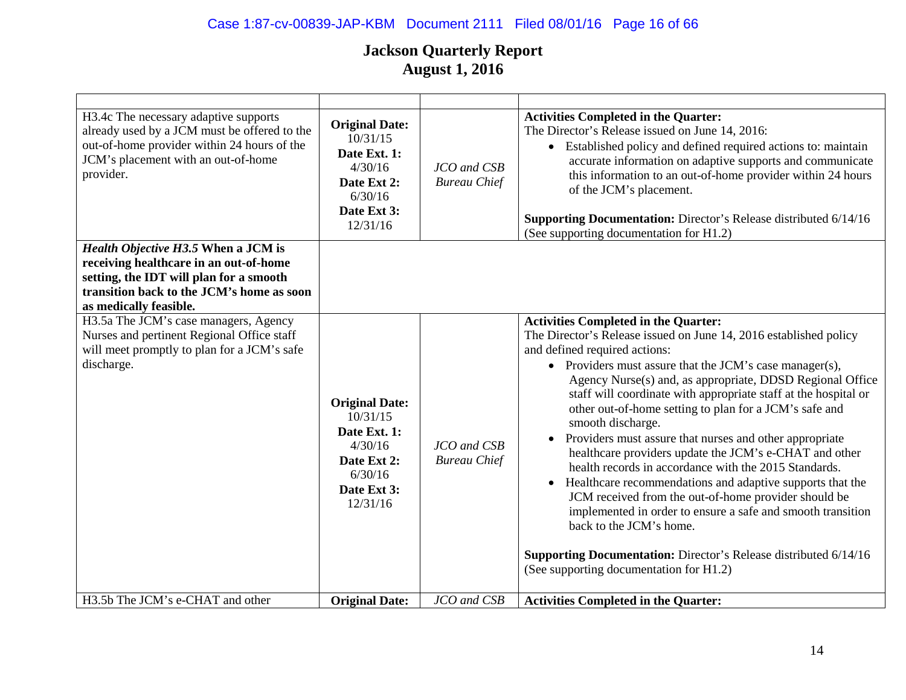# Case 1:87-cv-00839-JAP-KBM Document 2111 Filed 08/01/16 Page 16 of 66

| H3.4c The necessary adaptive supports<br>already used by a JCM must be offered to the<br>out-of-home provider within 24 hours of the<br>JCM's placement with an out-of-home<br>provider.        | <b>Original Date:</b><br>10/31/15<br>Date Ext. 1:<br>4/30/16<br>Date Ext 2:<br>6/30/16<br>Date Ext 3:<br>12/31/16 | JCO and CSB<br><b>Bureau Chief</b> | <b>Activities Completed in the Quarter:</b><br>The Director's Release issued on June 14, 2016:<br>• Established policy and defined required actions to: maintain<br>accurate information on adaptive supports and communicate<br>this information to an out-of-home provider within 24 hours<br>of the JCM's placement.<br>Supporting Documentation: Director's Release distributed 6/14/16<br>(See supporting documentation for H1.2)                                                                                                                                                                                                                                                                                                                                                                                                                                                                                                                 |
|-------------------------------------------------------------------------------------------------------------------------------------------------------------------------------------------------|-------------------------------------------------------------------------------------------------------------------|------------------------------------|--------------------------------------------------------------------------------------------------------------------------------------------------------------------------------------------------------------------------------------------------------------------------------------------------------------------------------------------------------------------------------------------------------------------------------------------------------------------------------------------------------------------------------------------------------------------------------------------------------------------------------------------------------------------------------------------------------------------------------------------------------------------------------------------------------------------------------------------------------------------------------------------------------------------------------------------------------|
| Health Objective H3.5 When a JCM is<br>receiving healthcare in an out-of-home<br>setting, the IDT will plan for a smooth<br>transition back to the JCM's home as soon<br>as medically feasible. |                                                                                                                   |                                    |                                                                                                                                                                                                                                                                                                                                                                                                                                                                                                                                                                                                                                                                                                                                                                                                                                                                                                                                                        |
| H3.5a The JCM's case managers, Agency<br>Nurses and pertinent Regional Office staff<br>will meet promptly to plan for a JCM's safe<br>discharge.                                                | <b>Original Date:</b><br>10/31/15<br>Date Ext. 1:<br>4/30/16<br>Date Ext 2:<br>6/30/16<br>Date Ext 3:<br>12/31/16 | JCO and CSB<br><b>Bureau Chief</b> | <b>Activities Completed in the Quarter:</b><br>The Director's Release issued on June 14, 2016 established policy<br>and defined required actions:<br>• Providers must assure that the JCM's case manager(s),<br>Agency Nurse(s) and, as appropriate, DDSD Regional Office<br>staff will coordinate with appropriate staff at the hospital or<br>other out-of-home setting to plan for a JCM's safe and<br>smooth discharge.<br>• Providers must assure that nurses and other appropriate<br>healthcare providers update the JCM's e-CHAT and other<br>health records in accordance with the 2015 Standards.<br>Healthcare recommendations and adaptive supports that the<br>$\bullet$<br>JCM received from the out-of-home provider should be<br>implemented in order to ensure a safe and smooth transition<br>back to the JCM's home.<br>Supporting Documentation: Director's Release distributed 6/14/16<br>(See supporting documentation for H1.2) |
| H3.5b The JCM's e-CHAT and other                                                                                                                                                                | <b>Original Date:</b>                                                                                             | JCO and CSB                        | <b>Activities Completed in the Quarter:</b>                                                                                                                                                                                                                                                                                                                                                                                                                                                                                                                                                                                                                                                                                                                                                                                                                                                                                                            |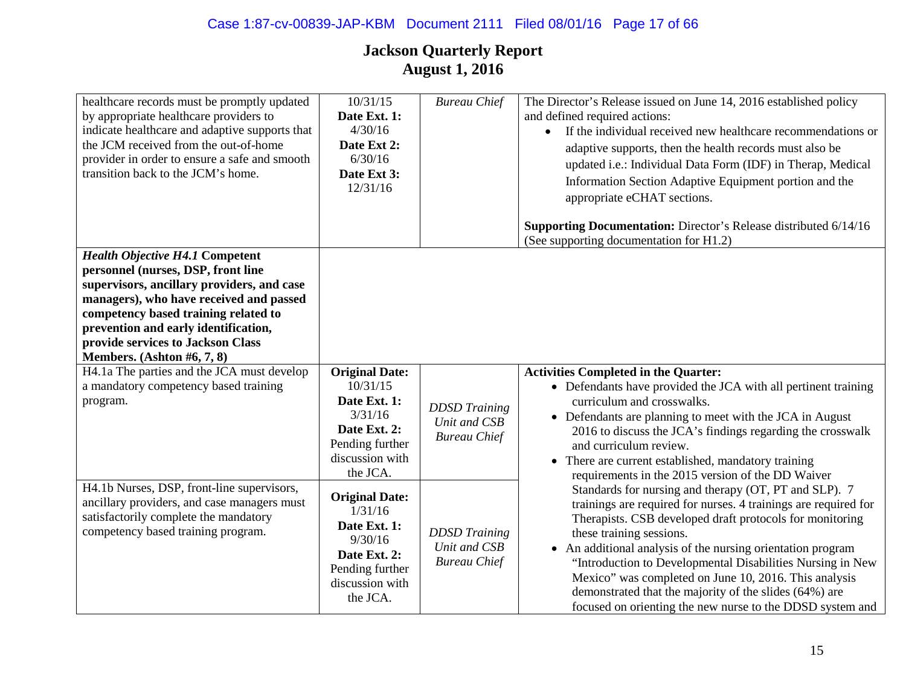| healthcare records must be promptly updated<br>by appropriate healthcare providers to<br>indicate healthcare and adaptive supports that<br>the JCM received from the out-of-home<br>provider in order to ensure a safe and smooth<br>transition back to the JCM's home.                                                  | 10/31/15<br>Date Ext. 1:<br>4/30/16<br>Date Ext 2:<br>6/30/16<br>Date Ext 3:<br>12/31/16                                       | <b>Bureau Chief</b>                                         | The Director's Release issued on June 14, 2016 established policy<br>and defined required actions:<br>If the individual received new healthcare recommendations or<br>$\bullet$<br>adaptive supports, then the health records must also be<br>updated i.e.: Individual Data Form (IDF) in Therap, Medical<br>Information Section Adaptive Equipment portion and the<br>appropriate eCHAT sections.                                                                                                                            |
|--------------------------------------------------------------------------------------------------------------------------------------------------------------------------------------------------------------------------------------------------------------------------------------------------------------------------|--------------------------------------------------------------------------------------------------------------------------------|-------------------------------------------------------------|-------------------------------------------------------------------------------------------------------------------------------------------------------------------------------------------------------------------------------------------------------------------------------------------------------------------------------------------------------------------------------------------------------------------------------------------------------------------------------------------------------------------------------|
|                                                                                                                                                                                                                                                                                                                          |                                                                                                                                |                                                             | Supporting Documentation: Director's Release distributed 6/14/16<br>(See supporting documentation for H1.2)                                                                                                                                                                                                                                                                                                                                                                                                                   |
| <b>Health Objective H4.1 Competent</b><br>personnel (nurses, DSP, front line<br>supervisors, ancillary providers, and case<br>managers), who have received and passed<br>competency based training related to<br>prevention and early identification,<br>provide services to Jackson Class<br>Members. (Ashton #6, 7, 8) |                                                                                                                                |                                                             |                                                                                                                                                                                                                                                                                                                                                                                                                                                                                                                               |
| H4.1a The parties and the JCA must develop<br>a mandatory competency based training<br>program.                                                                                                                                                                                                                          | <b>Original Date:</b><br>10/31/15<br>Date Ext. 1:<br>3/31/16<br>Date Ext. 2:<br>Pending further<br>discussion with<br>the JCA. | <b>DDSD</b> Training<br>Unit and CSB<br><b>Bureau Chief</b> | <b>Activities Completed in the Quarter:</b><br>• Defendants have provided the JCA with all pertinent training<br>curriculum and crosswalks.<br>• Defendants are planning to meet with the JCA in August<br>2016 to discuss the JCA's findings regarding the crosswalk<br>and curriculum review.<br>There are current established, mandatory training<br>$\bullet$<br>requirements in the 2015 version of the DD Waiver                                                                                                        |
| H4.1b Nurses, DSP, front-line supervisors,<br>ancillary providers, and case managers must<br>satisfactorily complete the mandatory<br>competency based training program.                                                                                                                                                 | <b>Original Date:</b><br>1/31/16<br>Date Ext. 1:<br>9/30/16<br>Date Ext. 2:<br>Pending further<br>discussion with<br>the JCA.  | <b>DDSD</b> Training<br>Unit and CSB<br><b>Bureau Chief</b> | Standards for nursing and therapy (OT, PT and SLP). 7<br>trainings are required for nurses. 4 trainings are required for<br>Therapists. CSB developed draft protocols for monitoring<br>these training sessions.<br>• An additional analysis of the nursing orientation program<br>"Introduction to Developmental Disabilities Nursing in New<br>Mexico" was completed on June 10, 2016. This analysis<br>demonstrated that the majority of the slides (64%) are<br>focused on orienting the new nurse to the DDSD system and |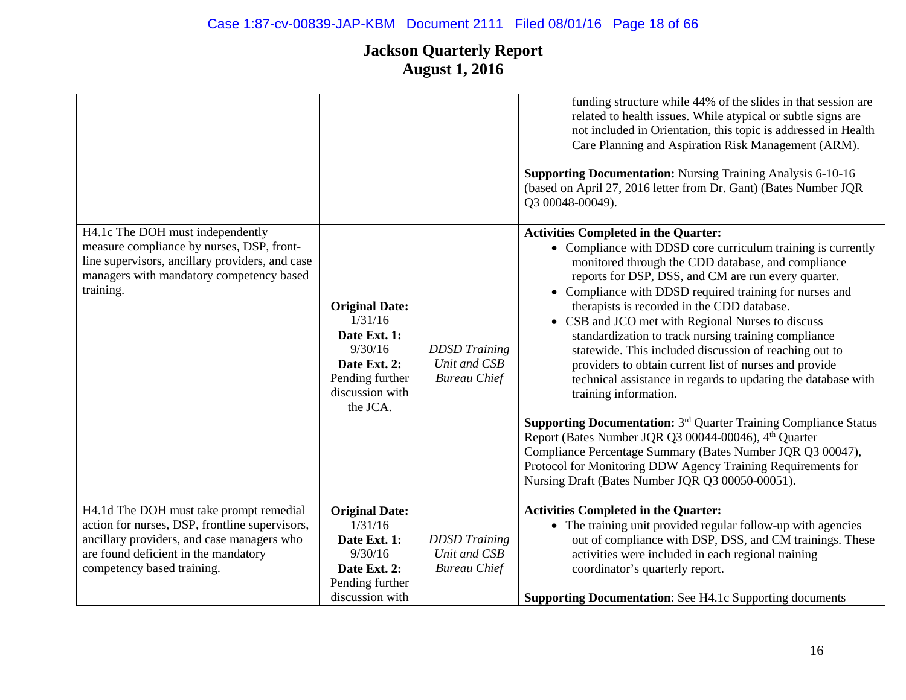# Case 1:87-cv-00839-JAP-KBM Document 2111 Filed 08/01/16 Page 18 of 66

|                                                                                                                                                                                           |                                                                                                                               |                                                             | funding structure while 44% of the slides in that session are<br>related to health issues. While atypical or subtle signs are<br>not included in Orientation, this topic is addressed in Health<br>Care Planning and Aspiration Risk Management (ARM).<br><b>Supporting Documentation: Nursing Training Analysis 6-10-16</b><br>(based on April 27, 2016 letter from Dr. Gant) (Bates Number JQR<br>Q3 00048-00049).                                                                                                                                                                                                                                                                                                                                                                                                                                                                                                                                                                            |
|-------------------------------------------------------------------------------------------------------------------------------------------------------------------------------------------|-------------------------------------------------------------------------------------------------------------------------------|-------------------------------------------------------------|-------------------------------------------------------------------------------------------------------------------------------------------------------------------------------------------------------------------------------------------------------------------------------------------------------------------------------------------------------------------------------------------------------------------------------------------------------------------------------------------------------------------------------------------------------------------------------------------------------------------------------------------------------------------------------------------------------------------------------------------------------------------------------------------------------------------------------------------------------------------------------------------------------------------------------------------------------------------------------------------------|
| H4.1c The DOH must independently<br>measure compliance by nurses, DSP, front-<br>line supervisors, ancillary providers, and case<br>managers with mandatory competency based<br>training. | <b>Original Date:</b><br>1/31/16<br>Date Ext. 1:<br>9/30/16<br>Date Ext. 2:<br>Pending further<br>discussion with<br>the JCA. | <b>DDSD</b> Training<br>Unit and CSB<br><b>Bureau Chief</b> | <b>Activities Completed in the Quarter:</b><br>• Compliance with DDSD core curriculum training is currently<br>monitored through the CDD database, and compliance<br>reports for DSP, DSS, and CM are run every quarter.<br>• Compliance with DDSD required training for nurses and<br>therapists is recorded in the CDD database.<br>• CSB and JCO met with Regional Nurses to discuss<br>standardization to track nursing training compliance<br>statewide. This included discussion of reaching out to<br>providers to obtain current list of nurses and provide<br>technical assistance in regards to updating the database with<br>training information.<br><b>Supporting Documentation:</b> 3 <sup>rd</sup> Quarter Training Compliance Status<br>Report (Bates Number JQR Q3 00044-00046), 4th Quarter<br>Compliance Percentage Summary (Bates Number JQR Q3 00047),<br>Protocol for Monitoring DDW Agency Training Requirements for<br>Nursing Draft (Bates Number JQR Q3 00050-00051). |
| H4.1d The DOH must take prompt remedial                                                                                                                                                   | <b>Original Date:</b>                                                                                                         |                                                             | <b>Activities Completed in the Quarter:</b>                                                                                                                                                                                                                                                                                                                                                                                                                                                                                                                                                                                                                                                                                                                                                                                                                                                                                                                                                     |
| action for nurses, DSP, frontline supervisors,<br>ancillary providers, and case managers who                                                                                              | 1/31/16<br>Date Ext. 1:                                                                                                       | <b>DDSD</b> Training                                        | • The training unit provided regular follow-up with agencies<br>out of compliance with DSP, DSS, and CM trainings. These                                                                                                                                                                                                                                                                                                                                                                                                                                                                                                                                                                                                                                                                                                                                                                                                                                                                        |
| are found deficient in the mandatory                                                                                                                                                      | 9/30/16                                                                                                                       | Unit and CSB                                                | activities were included in each regional training                                                                                                                                                                                                                                                                                                                                                                                                                                                                                                                                                                                                                                                                                                                                                                                                                                                                                                                                              |
| competency based training.                                                                                                                                                                | Date Ext. 2:<br>Pending further                                                                                               | <b>Bureau Chief</b>                                         | coordinator's quarterly report.                                                                                                                                                                                                                                                                                                                                                                                                                                                                                                                                                                                                                                                                                                                                                                                                                                                                                                                                                                 |
|                                                                                                                                                                                           | discussion with                                                                                                               |                                                             | <b>Supporting Documentation:</b> See H4.1c Supporting documents                                                                                                                                                                                                                                                                                                                                                                                                                                                                                                                                                                                                                                                                                                                                                                                                                                                                                                                                 |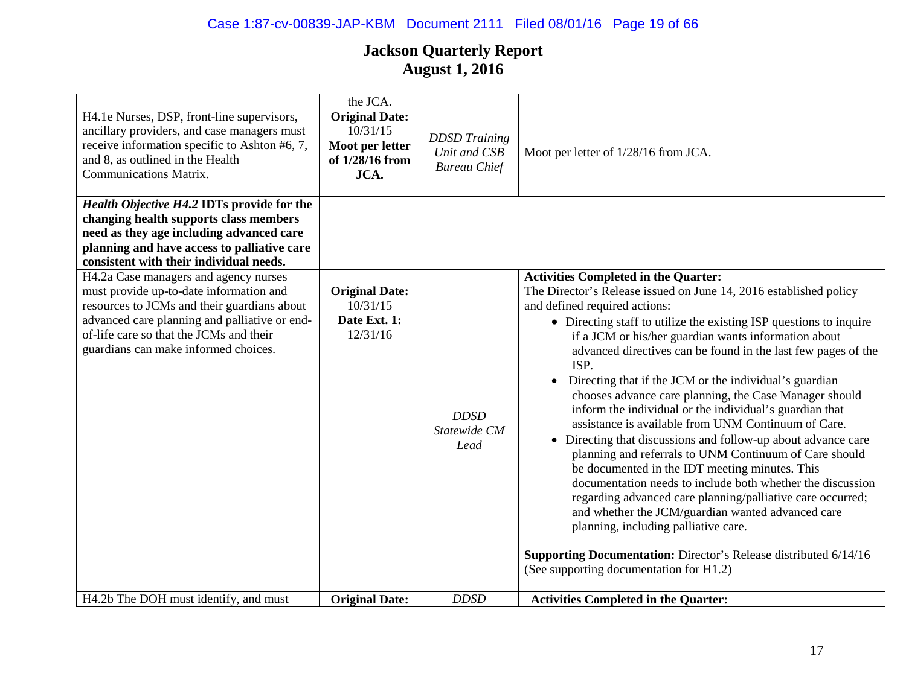# Case 1:87-cv-00839-JAP-KBM Document 2111 Filed 08/01/16 Page 19 of 66

|                                                                                                                                                                                                                                                                     | the JCA.                                                                        |                                                             |                                                                                                                                                                                                                                                                                                                                                                                                                                                                                                                                                                                                                                                                                                                                                                                                                                                                                                                                                                                                                                                                                                                     |
|---------------------------------------------------------------------------------------------------------------------------------------------------------------------------------------------------------------------------------------------------------------------|---------------------------------------------------------------------------------|-------------------------------------------------------------|---------------------------------------------------------------------------------------------------------------------------------------------------------------------------------------------------------------------------------------------------------------------------------------------------------------------------------------------------------------------------------------------------------------------------------------------------------------------------------------------------------------------------------------------------------------------------------------------------------------------------------------------------------------------------------------------------------------------------------------------------------------------------------------------------------------------------------------------------------------------------------------------------------------------------------------------------------------------------------------------------------------------------------------------------------------------------------------------------------------------|
| H4.1e Nurses, DSP, front-line supervisors,<br>ancillary providers, and case managers must<br>receive information specific to Ashton #6, 7,<br>and 8, as outlined in the Health<br><b>Communications Matrix.</b>                                                     | <b>Original Date:</b><br>10/31/15<br>Moot per letter<br>of 1/28/16 from<br>JCA. | <b>DDSD</b> Training<br>Unit and CSB<br><b>Bureau Chief</b> | Moot per letter of 1/28/16 from JCA.                                                                                                                                                                                                                                                                                                                                                                                                                                                                                                                                                                                                                                                                                                                                                                                                                                                                                                                                                                                                                                                                                |
| Health Objective H4.2 IDTs provide for the<br>changing health supports class members<br>need as they age including advanced care<br>planning and have access to palliative care<br>consistent with their individual needs.                                          |                                                                                 |                                                             |                                                                                                                                                                                                                                                                                                                                                                                                                                                                                                                                                                                                                                                                                                                                                                                                                                                                                                                                                                                                                                                                                                                     |
| H4.2a Case managers and agency nurses<br>must provide up-to-date information and<br>resources to JCMs and their guardians about<br>advanced care planning and palliative or end-<br>of-life care so that the JCMs and their<br>guardians can make informed choices. | <b>Original Date:</b><br>10/31/15<br>Date Ext. 1:<br>12/31/16                   | <b>DDSD</b><br>Statewide CM<br>Lead                         | <b>Activities Completed in the Quarter:</b><br>The Director's Release issued on June 14, 2016 established policy<br>and defined required actions:<br>• Directing staff to utilize the existing ISP questions to inquire<br>if a JCM or his/her guardian wants information about<br>advanced directives can be found in the last few pages of the<br>ISP.<br>Directing that if the JCM or the individual's guardian<br>chooses advance care planning, the Case Manager should<br>inform the individual or the individual's guardian that<br>assistance is available from UNM Continuum of Care.<br>• Directing that discussions and follow-up about advance care<br>planning and referrals to UNM Continuum of Care should<br>be documented in the IDT meeting minutes. This<br>documentation needs to include both whether the discussion<br>regarding advanced care planning/palliative care occurred;<br>and whether the JCM/guardian wanted advanced care<br>planning, including palliative care.<br>Supporting Documentation: Director's Release distributed 6/14/16<br>(See supporting documentation for H1.2) |
| H4.2b The DOH must identify, and must                                                                                                                                                                                                                               | <b>Original Date:</b>                                                           | <b>DDSD</b>                                                 | <b>Activities Completed in the Quarter:</b>                                                                                                                                                                                                                                                                                                                                                                                                                                                                                                                                                                                                                                                                                                                                                                                                                                                                                                                                                                                                                                                                         |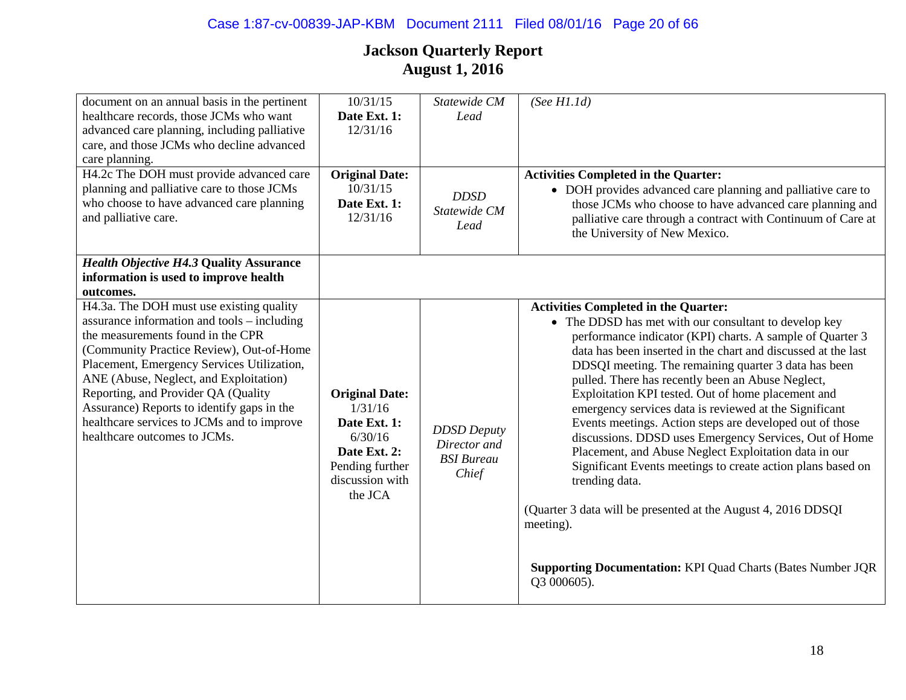| document on an annual basis in the pertinent<br>healthcare records, those JCMs who want                                                                                                                                                                                                                                                                                                                                             | $\frac{10}{31/15}$<br>Date Ext. 1:                                                                                           | Statewide CM<br>Lead                                             | (See H1.1d)                                                                                                                                                                                                                                                                                                                                                                                                                                                                                                                                                                                                                                                                                                                                                                                                    |
|-------------------------------------------------------------------------------------------------------------------------------------------------------------------------------------------------------------------------------------------------------------------------------------------------------------------------------------------------------------------------------------------------------------------------------------|------------------------------------------------------------------------------------------------------------------------------|------------------------------------------------------------------|----------------------------------------------------------------------------------------------------------------------------------------------------------------------------------------------------------------------------------------------------------------------------------------------------------------------------------------------------------------------------------------------------------------------------------------------------------------------------------------------------------------------------------------------------------------------------------------------------------------------------------------------------------------------------------------------------------------------------------------------------------------------------------------------------------------|
| advanced care planning, including palliative                                                                                                                                                                                                                                                                                                                                                                                        | 12/31/16                                                                                                                     |                                                                  |                                                                                                                                                                                                                                                                                                                                                                                                                                                                                                                                                                                                                                                                                                                                                                                                                |
| care, and those JCMs who decline advanced<br>care planning.                                                                                                                                                                                                                                                                                                                                                                         |                                                                                                                              |                                                                  |                                                                                                                                                                                                                                                                                                                                                                                                                                                                                                                                                                                                                                                                                                                                                                                                                |
| H4.2c The DOH must provide advanced care                                                                                                                                                                                                                                                                                                                                                                                            | <b>Original Date:</b>                                                                                                        |                                                                  | <b>Activities Completed in the Quarter:</b>                                                                                                                                                                                                                                                                                                                                                                                                                                                                                                                                                                                                                                                                                                                                                                    |
| planning and palliative care to those JCMs<br>who choose to have advanced care planning                                                                                                                                                                                                                                                                                                                                             | 10/31/15<br>Date Ext. 1:                                                                                                     | <b>DDSD</b>                                                      | • DOH provides advanced care planning and palliative care to<br>those JCMs who choose to have advanced care planning and                                                                                                                                                                                                                                                                                                                                                                                                                                                                                                                                                                                                                                                                                       |
| and palliative care.                                                                                                                                                                                                                                                                                                                                                                                                                | 12/31/16                                                                                                                     | Statewide CM<br>Lead                                             | palliative care through a contract with Continuum of Care at<br>the University of New Mexico.                                                                                                                                                                                                                                                                                                                                                                                                                                                                                                                                                                                                                                                                                                                  |
| <b>Health Objective H4.3 Quality Assurance</b><br>information is used to improve health                                                                                                                                                                                                                                                                                                                                             |                                                                                                                              |                                                                  |                                                                                                                                                                                                                                                                                                                                                                                                                                                                                                                                                                                                                                                                                                                                                                                                                |
| outcomes.                                                                                                                                                                                                                                                                                                                                                                                                                           |                                                                                                                              |                                                                  |                                                                                                                                                                                                                                                                                                                                                                                                                                                                                                                                                                                                                                                                                                                                                                                                                |
| H4.3a. The DOH must use existing quality<br>assurance information and tools – including<br>the measurements found in the CPR<br>(Community Practice Review), Out-of-Home<br>Placement, Emergency Services Utilization,<br>ANE (Abuse, Neglect, and Exploitation)<br>Reporting, and Provider QA (Quality<br>Assurance) Reports to identify gaps in the<br>healthcare services to JCMs and to improve<br>healthcare outcomes to JCMs. | <b>Original Date:</b><br>1/31/16<br>Date Ext. 1:<br>6/30/16<br>Date Ext. 2:<br>Pending further<br>discussion with<br>the JCA | <b>DDSD</b> Deputy<br>Director and<br><b>BSI</b> Bureau<br>Chief | <b>Activities Completed in the Quarter:</b><br>• The DDSD has met with our consultant to develop key<br>performance indicator (KPI) charts. A sample of Quarter 3<br>data has been inserted in the chart and discussed at the last<br>DDSQI meeting. The remaining quarter 3 data has been<br>pulled. There has recently been an Abuse Neglect,<br>Exploitation KPI tested. Out of home placement and<br>emergency services data is reviewed at the Significant<br>Events meetings. Action steps are developed out of those<br>discussions. DDSD uses Emergency Services, Out of Home<br>Placement, and Abuse Neglect Exploitation data in our<br>Significant Events meetings to create action plans based on<br>trending data.<br>(Quarter 3 data will be presented at the August 4, 2016 DDSQI)<br>meeting). |
|                                                                                                                                                                                                                                                                                                                                                                                                                                     |                                                                                                                              |                                                                  | <b>Supporting Documentation: KPI Quad Charts (Bates Number JQR</b><br>Q3 000605).                                                                                                                                                                                                                                                                                                                                                                                                                                                                                                                                                                                                                                                                                                                              |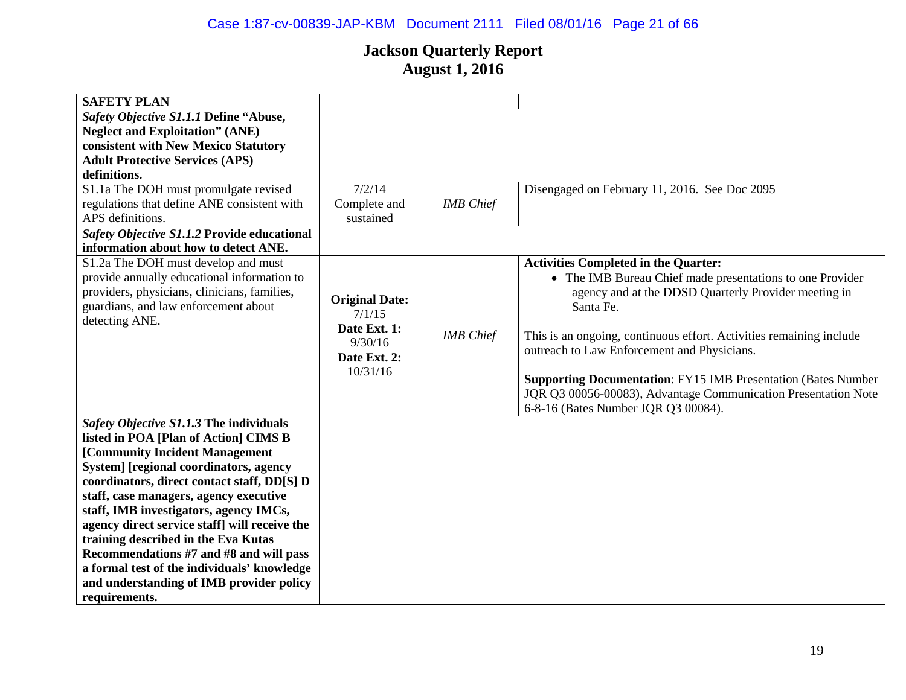# Case 1:87-cv-00839-JAP-KBM Document 2111 Filed 08/01/16 Page 21 of 66

| <b>SAFETY PLAN</b>                                                                                                                                                                                                                                                                                                                                                                                                                                                                                                                             |                                                                                        |                  |                                                                                                                                                                                                                                                                                                                                                                                                                                       |
|------------------------------------------------------------------------------------------------------------------------------------------------------------------------------------------------------------------------------------------------------------------------------------------------------------------------------------------------------------------------------------------------------------------------------------------------------------------------------------------------------------------------------------------------|----------------------------------------------------------------------------------------|------------------|---------------------------------------------------------------------------------------------------------------------------------------------------------------------------------------------------------------------------------------------------------------------------------------------------------------------------------------------------------------------------------------------------------------------------------------|
| Safety Objective S1.1.1 Define "Abuse,                                                                                                                                                                                                                                                                                                                                                                                                                                                                                                         |                                                                                        |                  |                                                                                                                                                                                                                                                                                                                                                                                                                                       |
| <b>Neglect and Exploitation" (ANE)</b>                                                                                                                                                                                                                                                                                                                                                                                                                                                                                                         |                                                                                        |                  |                                                                                                                                                                                                                                                                                                                                                                                                                                       |
| consistent with New Mexico Statutory                                                                                                                                                                                                                                                                                                                                                                                                                                                                                                           |                                                                                        |                  |                                                                                                                                                                                                                                                                                                                                                                                                                                       |
| <b>Adult Protective Services (APS)</b>                                                                                                                                                                                                                                                                                                                                                                                                                                                                                                         |                                                                                        |                  |                                                                                                                                                                                                                                                                                                                                                                                                                                       |
| definitions.                                                                                                                                                                                                                                                                                                                                                                                                                                                                                                                                   |                                                                                        |                  |                                                                                                                                                                                                                                                                                                                                                                                                                                       |
| S1.1a The DOH must promulgate revised                                                                                                                                                                                                                                                                                                                                                                                                                                                                                                          | 7/2/14                                                                                 |                  | Disengaged on February 11, 2016. See Doc 2095                                                                                                                                                                                                                                                                                                                                                                                         |
| regulations that define ANE consistent with                                                                                                                                                                                                                                                                                                                                                                                                                                                                                                    | Complete and                                                                           | <b>IMB</b> Chief |                                                                                                                                                                                                                                                                                                                                                                                                                                       |
| APS definitions.                                                                                                                                                                                                                                                                                                                                                                                                                                                                                                                               | sustained                                                                              |                  |                                                                                                                                                                                                                                                                                                                                                                                                                                       |
| Safety Objective S1.1.2 Provide educational                                                                                                                                                                                                                                                                                                                                                                                                                                                                                                    |                                                                                        |                  |                                                                                                                                                                                                                                                                                                                                                                                                                                       |
| information about how to detect ANE.                                                                                                                                                                                                                                                                                                                                                                                                                                                                                                           |                                                                                        |                  |                                                                                                                                                                                                                                                                                                                                                                                                                                       |
| S1.2a The DOH must develop and must                                                                                                                                                                                                                                                                                                                                                                                                                                                                                                            |                                                                                        |                  | <b>Activities Completed in the Quarter:</b>                                                                                                                                                                                                                                                                                                                                                                                           |
| provide annually educational information to<br>providers, physicians, clinicians, families,<br>guardians, and law enforcement about<br>detecting ANE.                                                                                                                                                                                                                                                                                                                                                                                          | <b>Original Date:</b><br>7/1/15<br>Date Ext. 1:<br>9/30/16<br>Date Ext. 2:<br>10/31/16 | <b>IMB</b> Chief | • The IMB Bureau Chief made presentations to one Provider<br>agency and at the DDSD Quarterly Provider meeting in<br>Santa Fe.<br>This is an ongoing, continuous effort. Activities remaining include<br>outreach to Law Enforcement and Physicians.<br><b>Supporting Documentation: FY15 IMB Presentation (Bates Number</b><br>JQR Q3 00056-00083), Advantage Communication Presentation Note<br>6-8-16 (Bates Number JQR Q3 00084). |
| Safety Objective S1.1.3 The individuals<br>listed in POA [Plan of Action] CIMS B<br>[Community Incident Management<br>System] [regional coordinators, agency<br>coordinators, direct contact staff, DD[S] D<br>staff, case managers, agency executive<br>staff, IMB investigators, agency IMCs,<br>agency direct service staff] will receive the<br>training described in the Eva Kutas<br>Recommendations #7 and #8 and will pass<br>a formal test of the individuals' knowledge<br>and understanding of IMB provider policy<br>requirements. |                                                                                        |                  |                                                                                                                                                                                                                                                                                                                                                                                                                                       |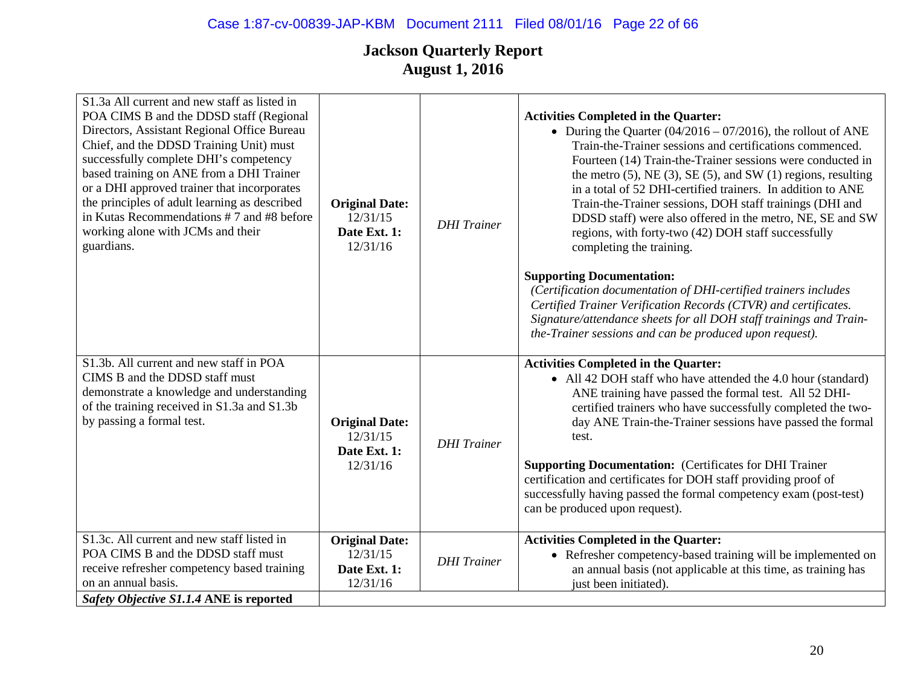| S1.3a All current and new staff as listed in<br>POA CIMS B and the DDSD staff (Regional<br>Directors, Assistant Regional Office Bureau<br>Chief, and the DDSD Training Unit) must<br>successfully complete DHI's competency<br>based training on ANE from a DHI Trainer<br>or a DHI approved trainer that incorporates<br>the principles of adult learning as described<br>in Kutas Recommendations #7 and #8 before<br>working alone with JCMs and their<br>guardians. | <b>Original Date:</b><br>12/31/15<br>Date Ext. 1:<br>12/31/16 | <b>DHI</b> Trainer | <b>Activities Completed in the Quarter:</b><br>• During the Quarter $(04/2016 - 07/2016)$ , the rollout of ANE<br>Train-the-Trainer sessions and certifications commenced.<br>Fourteen (14) Train-the-Trainer sessions were conducted in<br>the metro $(5)$ , NE $(3)$ , SE $(5)$ , and SW $(1)$ regions, resulting<br>in a total of 52 DHI-certified trainers. In addition to ANE<br>Train-the-Trainer sessions, DOH staff trainings (DHI and<br>DDSD staff) were also offered in the metro, NE, SE and SW<br>regions, with forty-two (42) DOH staff successfully<br>completing the training.<br><b>Supporting Documentation:</b><br>(Certification documentation of DHI-certified trainers includes<br>Certified Trainer Verification Records (CTVR) and certificates.<br>Signature/attendance sheets for all DOH staff trainings and Train-<br>the-Trainer sessions and can be produced upon request). |
|-------------------------------------------------------------------------------------------------------------------------------------------------------------------------------------------------------------------------------------------------------------------------------------------------------------------------------------------------------------------------------------------------------------------------------------------------------------------------|---------------------------------------------------------------|--------------------|-----------------------------------------------------------------------------------------------------------------------------------------------------------------------------------------------------------------------------------------------------------------------------------------------------------------------------------------------------------------------------------------------------------------------------------------------------------------------------------------------------------------------------------------------------------------------------------------------------------------------------------------------------------------------------------------------------------------------------------------------------------------------------------------------------------------------------------------------------------------------------------------------------------|
| S1.3b. All current and new staff in POA<br>CIMS B and the DDSD staff must<br>demonstrate a knowledge and understanding<br>of the training received in S1.3a and S1.3b<br>by passing a formal test.                                                                                                                                                                                                                                                                      | <b>Original Date:</b><br>12/31/15<br>Date Ext. 1:<br>12/31/16 | <b>DHI</b> Trainer | <b>Activities Completed in the Quarter:</b><br>• All 42 DOH staff who have attended the 4.0 hour (standard)<br>ANE training have passed the formal test. All 52 DHI-<br>certified trainers who have successfully completed the two-<br>day ANE Train-the-Trainer sessions have passed the formal<br>test.<br><b>Supporting Documentation:</b> (Certificates for DHI Trainer<br>certification and certificates for DOH staff providing proof of<br>successfully having passed the formal competency exam (post-test)<br>can be produced upon request).                                                                                                                                                                                                                                                                                                                                                     |
| S1.3c. All current and new staff listed in<br>POA CIMS B and the DDSD staff must<br>receive refresher competency based training<br>on an annual basis.                                                                                                                                                                                                                                                                                                                  | <b>Original Date:</b><br>12/31/15<br>Date Ext. 1:<br>12/31/16 | <b>DHI</b> Trainer | <b>Activities Completed in the Quarter:</b><br>• Refresher competency-based training will be implemented on<br>an annual basis (not applicable at this time, as training has<br>just been initiated).                                                                                                                                                                                                                                                                                                                                                                                                                                                                                                                                                                                                                                                                                                     |
| Safety Objective S1.1.4 ANE is reported                                                                                                                                                                                                                                                                                                                                                                                                                                 |                                                               |                    |                                                                                                                                                                                                                                                                                                                                                                                                                                                                                                                                                                                                                                                                                                                                                                                                                                                                                                           |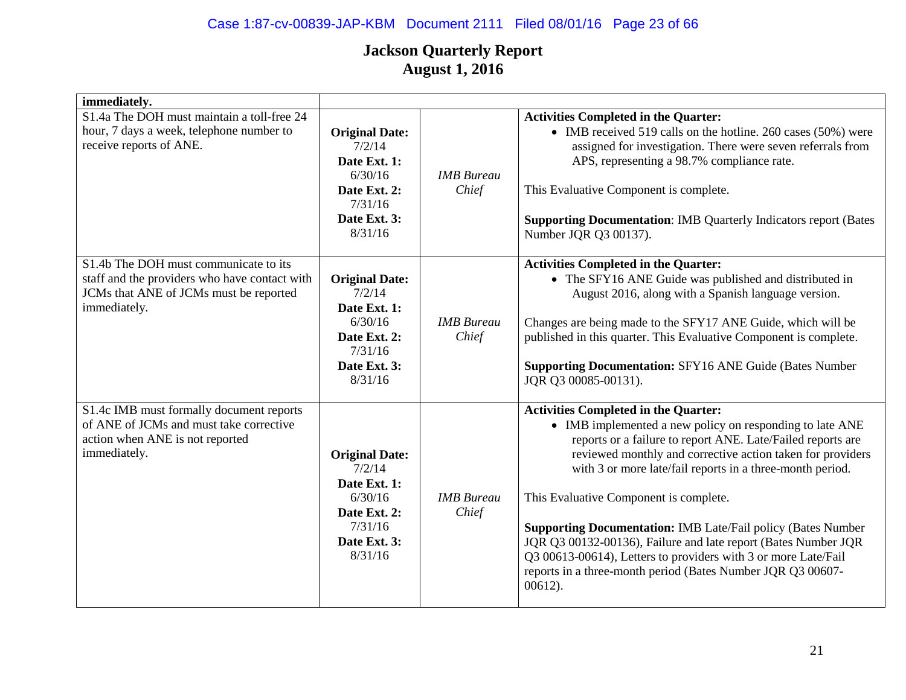# Case 1:87-cv-00839-JAP-KBM Document 2111 Filed 08/01/16 Page 23 of 66

| immediately.                                                                                                                                     |                                                                                                                  |                            |                                                                                                                                                                                                                                                                                                                                                                                                                                                                                                                                                                                                                                      |
|--------------------------------------------------------------------------------------------------------------------------------------------------|------------------------------------------------------------------------------------------------------------------|----------------------------|--------------------------------------------------------------------------------------------------------------------------------------------------------------------------------------------------------------------------------------------------------------------------------------------------------------------------------------------------------------------------------------------------------------------------------------------------------------------------------------------------------------------------------------------------------------------------------------------------------------------------------------|
| S1.4a The DOH must maintain a toll-free 24<br>hour, 7 days a week, telephone number to<br>receive reports of ANE.                                | <b>Original Date:</b><br>7/2/14<br>Date Ext. 1:<br>6/30/16<br>Date Ext. 2:<br>7/31/16<br>Date Ext. 3:<br>8/31/16 | <b>IMB</b> Bureau<br>Chief | <b>Activities Completed in the Quarter:</b><br>• IMB received 519 calls on the hotline. 260 cases (50%) were<br>assigned for investigation. There were seven referrals from<br>APS, representing a 98.7% compliance rate.<br>This Evaluative Component is complete.<br><b>Supporting Documentation: IMB Quarterly Indicators report (Bates</b><br>Number JQR Q3 00137).                                                                                                                                                                                                                                                              |
| S1.4b The DOH must communicate to its<br>staff and the providers who have contact with<br>JCMs that ANE of JCMs must be reported<br>immediately. | <b>Original Date:</b><br>7/2/14<br>Date Ext. 1:<br>6/30/16<br>Date Ext. 2:<br>7/31/16<br>Date Ext. 3:<br>8/31/16 | <b>IMB</b> Bureau<br>Chief | <b>Activities Completed in the Quarter:</b><br>• The SFY16 ANE Guide was published and distributed in<br>August 2016, along with a Spanish language version.<br>Changes are being made to the SFY17 ANE Guide, which will be<br>published in this quarter. This Evaluative Component is complete.<br><b>Supporting Documentation: SFY16 ANE Guide (Bates Number</b><br>JQR Q3 00085-00131).                                                                                                                                                                                                                                          |
| S1.4c IMB must formally document reports<br>of ANE of JCMs and must take corrective<br>action when ANE is not reported<br>immediately.           | <b>Original Date:</b><br>7/2/14<br>Date Ext. 1:<br>6/30/16<br>Date Ext. 2:<br>7/31/16<br>Date Ext. 3:<br>8/31/16 | <b>IMB</b> Bureau<br>Chief | <b>Activities Completed in the Quarter:</b><br>• IMB implemented a new policy on responding to late ANE<br>reports or a failure to report ANE. Late/Failed reports are<br>reviewed monthly and corrective action taken for providers<br>with 3 or more late/fail reports in a three-month period.<br>This Evaluative Component is complete.<br><b>Supporting Documentation: IMB Late/Fail policy (Bates Number)</b><br>JQR Q3 00132-00136), Failure and late report (Bates Number JQR<br>Q3 00613-00614), Letters to providers with 3 or more Late/Fail<br>reports in a three-month period (Bates Number JQR Q3 00607-<br>$00612$ ). |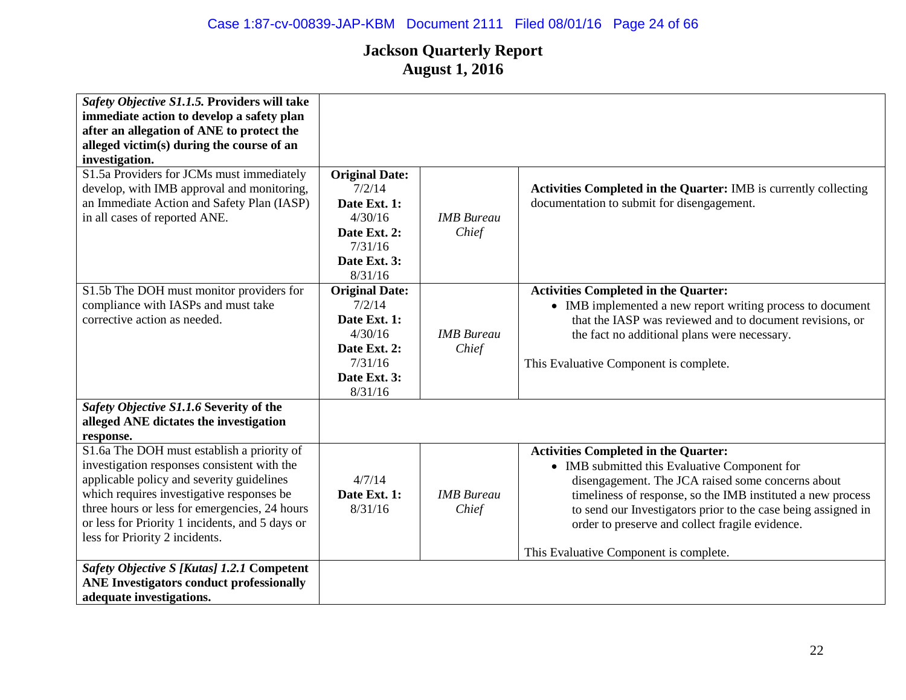| Safety Objective S1.1.5. Providers will take    |                       |                   |                                                                  |
|-------------------------------------------------|-----------------------|-------------------|------------------------------------------------------------------|
| immediate action to develop a safety plan       |                       |                   |                                                                  |
| after an allegation of ANE to protect the       |                       |                   |                                                                  |
| alleged victim(s) during the course of an       |                       |                   |                                                                  |
| investigation.                                  |                       |                   |                                                                  |
| S1.5a Providers for JCMs must immediately       | <b>Original Date:</b> |                   |                                                                  |
| develop, with IMB approval and monitoring,      | 7/2/14                |                   | Activities Completed in the Quarter: IMB is currently collecting |
| an Immediate Action and Safety Plan (IASP)      | Date Ext. 1:          |                   | documentation to submit for disengagement.                       |
| in all cases of reported ANE.                   | 4/30/16               | <b>IMB</b> Bureau |                                                                  |
|                                                 | Date Ext. 2:          | Chief             |                                                                  |
|                                                 | 7/31/16               |                   |                                                                  |
|                                                 | Date Ext. 3:          |                   |                                                                  |
|                                                 | 8/31/16               |                   |                                                                  |
|                                                 |                       |                   |                                                                  |
| S1.5b The DOH must monitor providers for        | <b>Original Date:</b> |                   | <b>Activities Completed in the Quarter:</b>                      |
| compliance with IASPs and must take             | 7/2/14                |                   | • IMB implemented a new report writing process to document       |
| corrective action as needed.                    | Date Ext. 1:          |                   | that the IASP was reviewed and to document revisions, or         |
|                                                 | 4/30/16               | <b>IMB</b> Bureau | the fact no additional plans were necessary.                     |
|                                                 | Date Ext. 2:          | Chief             |                                                                  |
|                                                 | 7/31/16               |                   | This Evaluative Component is complete.                           |
|                                                 | Date Ext. 3:          |                   |                                                                  |
|                                                 | 8/31/16               |                   |                                                                  |
| Safety Objective S1.1.6 Severity of the         |                       |                   |                                                                  |
| alleged ANE dictates the investigation          |                       |                   |                                                                  |
| response.                                       |                       |                   |                                                                  |
| S1.6a The DOH must establish a priority of      |                       |                   | <b>Activities Completed in the Quarter:</b>                      |
| investigation responses consistent with the     |                       |                   | • IMB submitted this Evaluative Component for                    |
| applicable policy and severity guidelines       | 4/7/14                |                   |                                                                  |
|                                                 |                       |                   | disengagement. The JCA raised some concerns about                |
| which requires investigative responses be       | Date Ext. 1:          | <b>IMB</b> Bureau | timeliness of response, so the IMB instituted a new process      |
| three hours or less for emergencies, 24 hours   | 8/31/16               | Chief             | to send our Investigators prior to the case being assigned in    |
| or less for Priority 1 incidents, and 5 days or |                       |                   | order to preserve and collect fragile evidence.                  |
| less for Priority 2 incidents.                  |                       |                   |                                                                  |
|                                                 |                       |                   | This Evaluative Component is complete.                           |
| Safety Objective S [Kutas] 1.2.1 Competent      |                       |                   |                                                                  |
| <b>ANE Investigators conduct professionally</b> |                       |                   |                                                                  |
| adequate investigations.                        |                       |                   |                                                                  |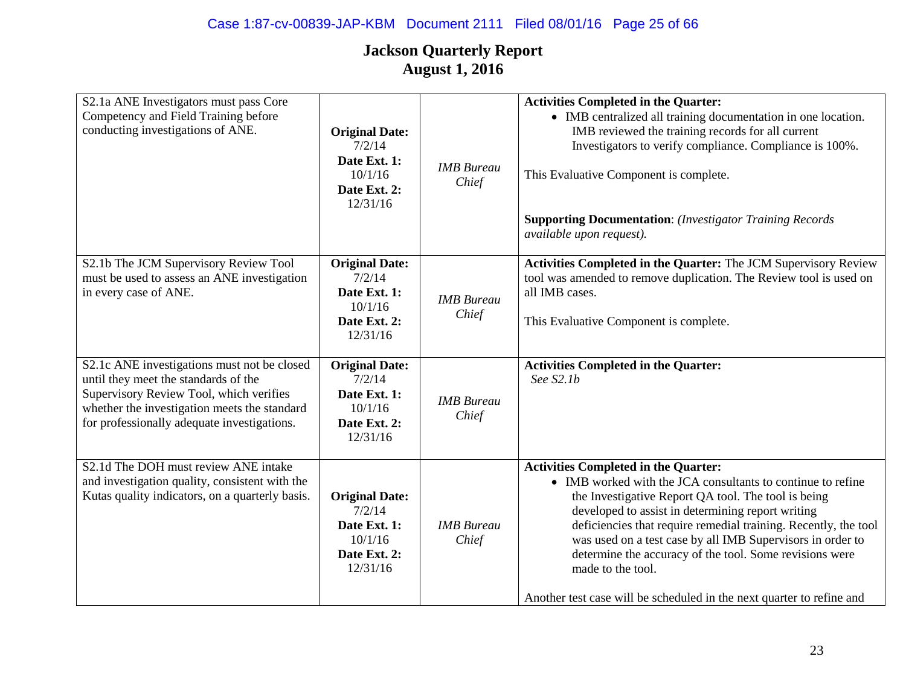| S2.1a ANE Investigators must pass Core<br>Competency and Field Training before<br>conducting investigations of ANE.                                                                                                           | <b>Original Date:</b><br>7/2/14<br>Date Ext. 1:<br>10/1/16<br>Date Ext. 2:<br>12/31/16 | <b>IMB</b> Bureau<br>Chief | <b>Activities Completed in the Quarter:</b><br>• IMB centralized all training documentation in one location.<br>IMB reviewed the training records for all current<br>Investigators to verify compliance. Compliance is 100%.<br>This Evaluative Component is complete.<br><b>Supporting Documentation:</b> (Investigator Training Records<br>available upon request).                                                                                                                                            |
|-------------------------------------------------------------------------------------------------------------------------------------------------------------------------------------------------------------------------------|----------------------------------------------------------------------------------------|----------------------------|------------------------------------------------------------------------------------------------------------------------------------------------------------------------------------------------------------------------------------------------------------------------------------------------------------------------------------------------------------------------------------------------------------------------------------------------------------------------------------------------------------------|
| S2.1b The JCM Supervisory Review Tool<br>must be used to assess an ANE investigation<br>in every case of ANE.                                                                                                                 | <b>Original Date:</b><br>7/2/14<br>Date Ext. 1:<br>10/1/16<br>Date Ext. 2:<br>12/31/16 | <b>IMB</b> Bureau<br>Chief | Activities Completed in the Quarter: The JCM Supervisory Review<br>tool was amended to remove duplication. The Review tool is used on<br>all IMB cases.<br>This Evaluative Component is complete.                                                                                                                                                                                                                                                                                                                |
| S2.1c ANE investigations must not be closed<br>until they meet the standards of the<br>Supervisory Review Tool, which verifies<br>whether the investigation meets the standard<br>for professionally adequate investigations. | <b>Original Date:</b><br>7/2/14<br>Date Ext. 1:<br>10/1/16<br>Date Ext. 2:<br>12/31/16 | <b>IMB</b> Bureau<br>Chief | <b>Activities Completed in the Quarter:</b><br>See S2.1b                                                                                                                                                                                                                                                                                                                                                                                                                                                         |
| S2.1d The DOH must review ANE intake<br>and investigation quality, consistent with the<br>Kutas quality indicators, on a quarterly basis.                                                                                     | <b>Original Date:</b><br>7/2/14<br>Date Ext. 1:<br>10/1/16<br>Date Ext. 2:<br>12/31/16 | <b>IMB</b> Bureau<br>Chief | <b>Activities Completed in the Quarter:</b><br>• IMB worked with the JCA consultants to continue to refine<br>the Investigative Report QA tool. The tool is being<br>developed to assist in determining report writing<br>deficiencies that require remedial training. Recently, the tool<br>was used on a test case by all IMB Supervisors in order to<br>determine the accuracy of the tool. Some revisions were<br>made to the tool.<br>Another test case will be scheduled in the next quarter to refine and |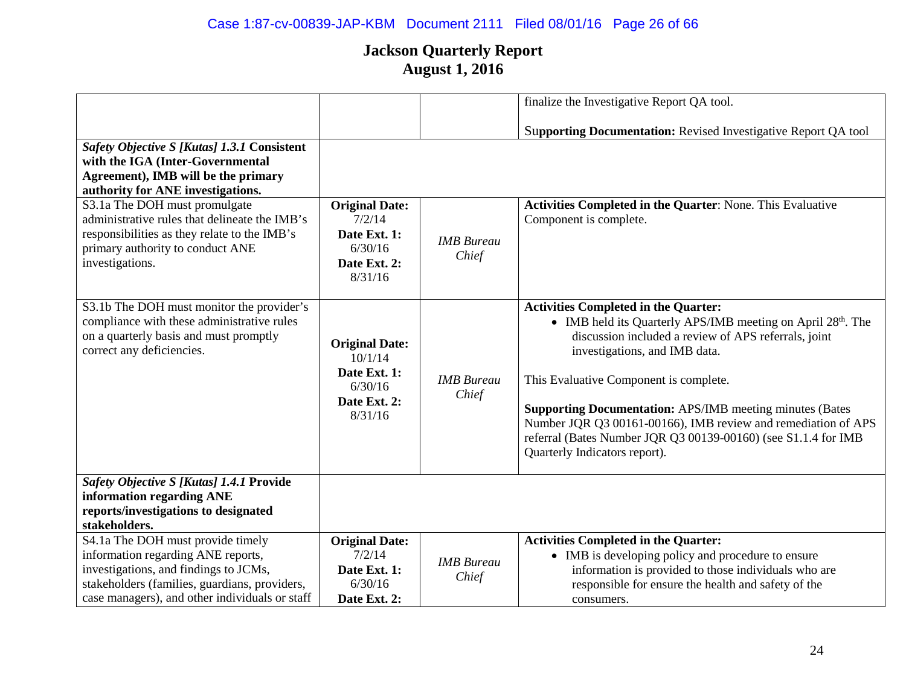|                                                                                                                                                                                                                                                                                                                                                      |                                                                                        |                            | finalize the Investigative Report QA tool.                                                                                                                                                                                                                                                                                                                                                                                                                                           |
|------------------------------------------------------------------------------------------------------------------------------------------------------------------------------------------------------------------------------------------------------------------------------------------------------------------------------------------------------|----------------------------------------------------------------------------------------|----------------------------|--------------------------------------------------------------------------------------------------------------------------------------------------------------------------------------------------------------------------------------------------------------------------------------------------------------------------------------------------------------------------------------------------------------------------------------------------------------------------------------|
| Safety Objective S [Kutas] 1.3.1 Consistent<br>with the IGA (Inter-Governmental<br>Agreement), IMB will be the primary<br>authority for ANE investigations.<br>S3.1a The DOH must promulgate<br>administrative rules that delineate the IMB's<br>responsibilities as they relate to the IMB's<br>primary authority to conduct ANE<br>investigations. | <b>Original Date:</b><br>7/2/14<br>Date Ext. 1:<br>6/30/16<br>Date Ext. 2:<br>8/31/16  | <b>IMB</b> Bureau<br>Chief | Supporting Documentation: Revised Investigative Report QA tool<br>Activities Completed in the Quarter: None. This Evaluative<br>Component is complete.                                                                                                                                                                                                                                                                                                                               |
| S3.1b The DOH must monitor the provider's<br>compliance with these administrative rules<br>on a quarterly basis and must promptly<br>correct any deficiencies.                                                                                                                                                                                       | <b>Original Date:</b><br>10/1/14<br>Date Ext. 1:<br>6/30/16<br>Date Ext. 2:<br>8/31/16 | <b>IMB</b> Bureau<br>Chief | <b>Activities Completed in the Quarter:</b><br>• IMB held its Quarterly APS/IMB meeting on April 28th. The<br>discussion included a review of APS referrals, joint<br>investigations, and IMB data.<br>This Evaluative Component is complete.<br><b>Supporting Documentation:</b> APS/IMB meeting minutes (Bates<br>Number JQR Q3 00161-00166), IMB review and remediation of APS<br>referral (Bates Number JQR Q3 00139-00160) (see S1.1.4 for IMB<br>Quarterly Indicators report). |
| Safety Objective S [Kutas] 1.4.1 Provide<br>information regarding ANE<br>reports/investigations to designated<br>stakeholders.                                                                                                                                                                                                                       |                                                                                        |                            |                                                                                                                                                                                                                                                                                                                                                                                                                                                                                      |
| S4.1a The DOH must provide timely<br>information regarding ANE reports,<br>investigations, and findings to JCMs,<br>stakeholders (families, guardians, providers,<br>case managers), and other individuals or staff                                                                                                                                  | <b>Original Date:</b><br>7/2/14<br>Date Ext. 1:<br>6/30/16<br>Date Ext. 2:             | <b>IMB</b> Bureau<br>Chief | <b>Activities Completed in the Quarter:</b><br>• IMB is developing policy and procedure to ensure<br>information is provided to those individuals who are<br>responsible for ensure the health and safety of the<br>consumers.                                                                                                                                                                                                                                                       |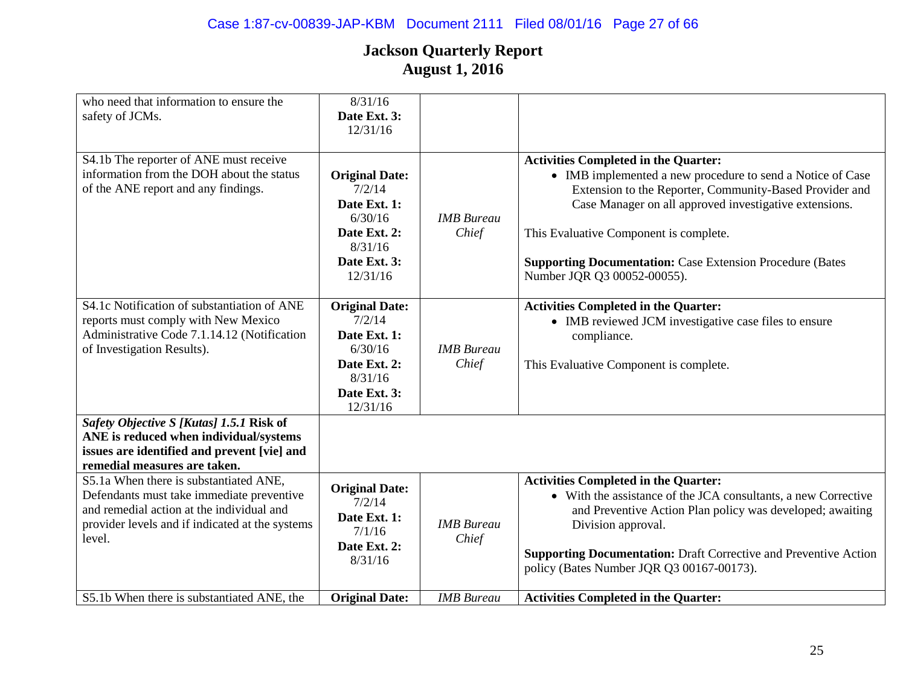| who need that information to ensure the<br>safety of JCMs.                                                                                                                                    | 8/31/16<br>Date Ext. 3:<br>12/31/16                                                                               |                            |                                                                                                                                                                                                                                                                                                                                                                             |
|-----------------------------------------------------------------------------------------------------------------------------------------------------------------------------------------------|-------------------------------------------------------------------------------------------------------------------|----------------------------|-----------------------------------------------------------------------------------------------------------------------------------------------------------------------------------------------------------------------------------------------------------------------------------------------------------------------------------------------------------------------------|
| S4.1b The reporter of ANE must receive<br>information from the DOH about the status<br>of the ANE report and any findings.                                                                    | <b>Original Date:</b><br>7/2/14<br>Date Ext. 1:<br>6/30/16<br>Date Ext. 2:<br>8/31/16<br>Date Ext. 3:<br>12/31/16 | <b>IMB</b> Bureau<br>Chief | <b>Activities Completed in the Quarter:</b><br>• IMB implemented a new procedure to send a Notice of Case<br>Extension to the Reporter, Community-Based Provider and<br>Case Manager on all approved investigative extensions.<br>This Evaluative Component is complete.<br><b>Supporting Documentation: Case Extension Procedure (Bates</b><br>Number JQR Q3 00052-00055). |
| S4.1c Notification of substantiation of ANE<br>reports must comply with New Mexico<br>Administrative Code 7.1.14.12 (Notification<br>of Investigation Results).                               | <b>Original Date:</b><br>7/2/14<br>Date Ext. 1:<br>6/30/16<br>Date Ext. 2:<br>8/31/16<br>Date Ext. 3:<br>12/31/16 | <b>IMB</b> Bureau<br>Chief | <b>Activities Completed in the Quarter:</b><br>• IMB reviewed JCM investigative case files to ensure<br>compliance.<br>This Evaluative Component is complete.                                                                                                                                                                                                               |
| Safety Objective S [Kutas] 1.5.1 Risk of<br>ANE is reduced when individual/systems<br>issues are identified and prevent [vie] and<br>remedial measures are taken.                             |                                                                                                                   |                            |                                                                                                                                                                                                                                                                                                                                                                             |
| S5.1a When there is substantiated ANE,<br>Defendants must take immediate preventive<br>and remedial action at the individual and<br>provider levels and if indicated at the systems<br>level. | <b>Original Date:</b><br>7/2/14<br>Date Ext. 1:<br>7/1/16<br>Date Ext. 2:<br>8/31/16                              | <b>IMB</b> Bureau<br>Chief | <b>Activities Completed in the Quarter:</b><br>• With the assistance of the JCA consultants, a new Corrective<br>and Preventive Action Plan policy was developed; awaiting<br>Division approval.<br><b>Supporting Documentation:</b> Draft Corrective and Preventive Action<br>policy (Bates Number JQR Q3 00167-00173).                                                    |
| S5.1b When there is substantiated ANE, the                                                                                                                                                    | <b>Original Date:</b>                                                                                             | <b>IMB</b> Bureau          | <b>Activities Completed in the Quarter:</b>                                                                                                                                                                                                                                                                                                                                 |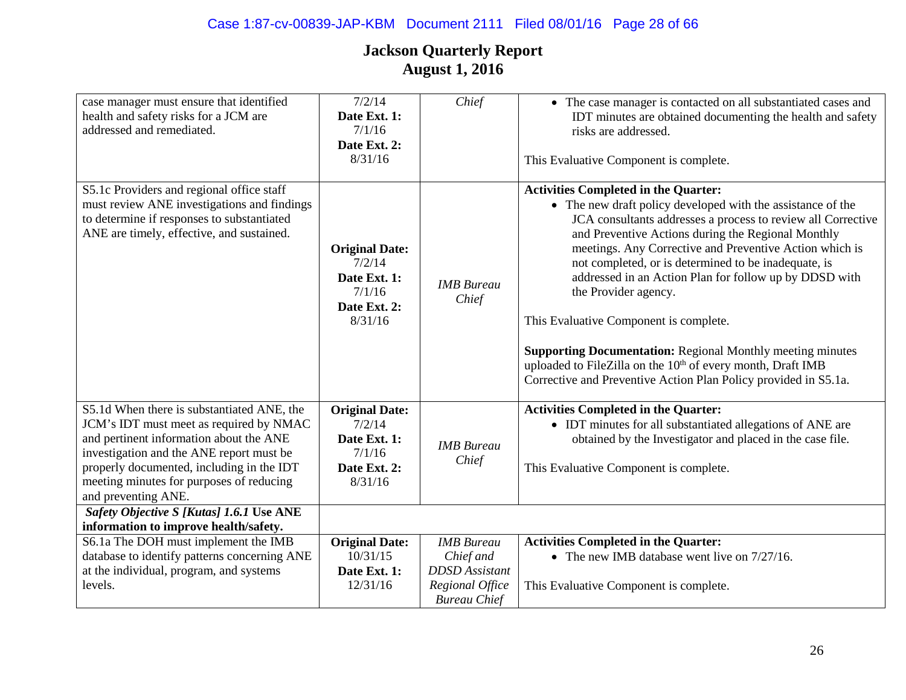| case manager must ensure that identified<br>health and safety risks for a JCM are<br>addressed and remediated.                                                                                                                                                                               | 7/2/14<br>Date Ext. 1:<br>7/1/16<br>Date Ext. 2:<br>8/31/16                          | Chief                      | • The case manager is contacted on all substantiated cases and<br>IDT minutes are obtained documenting the health and safety<br>risks are addressed.<br>This Evaluative Component is complete.                                                                                                                                                                                                                                                                                                                                                                                                                                                                                                     |
|----------------------------------------------------------------------------------------------------------------------------------------------------------------------------------------------------------------------------------------------------------------------------------------------|--------------------------------------------------------------------------------------|----------------------------|----------------------------------------------------------------------------------------------------------------------------------------------------------------------------------------------------------------------------------------------------------------------------------------------------------------------------------------------------------------------------------------------------------------------------------------------------------------------------------------------------------------------------------------------------------------------------------------------------------------------------------------------------------------------------------------------------|
| S5.1c Providers and regional office staff<br>must review ANE investigations and findings<br>to determine if responses to substantiated<br>ANE are timely, effective, and sustained.                                                                                                          | <b>Original Date:</b><br>7/2/14<br>Date Ext. 1:<br>7/1/16<br>Date Ext. 2:<br>8/31/16 | <b>IMB</b> Bureau<br>Chief | <b>Activities Completed in the Quarter:</b><br>• The new draft policy developed with the assistance of the<br>JCA consultants addresses a process to review all Corrective<br>and Preventive Actions during the Regional Monthly<br>meetings. Any Corrective and Preventive Action which is<br>not completed, or is determined to be inadequate, is<br>addressed in an Action Plan for follow up by DDSD with<br>the Provider agency.<br>This Evaluative Component is complete.<br><b>Supporting Documentation: Regional Monthly meeting minutes</b><br>uploaded to FileZilla on the 10 <sup>th</sup> of every month, Draft IMB<br>Corrective and Preventive Action Plan Policy provided in S5.1a. |
| S5.1d When there is substantiated ANE, the<br>JCM's IDT must meet as required by NMAC<br>and pertinent information about the ANE<br>investigation and the ANE report must be<br>properly documented, including in the IDT<br>meeting minutes for purposes of reducing<br>and preventing ANE. | <b>Original Date:</b><br>7/2/14<br>Date Ext. 1:<br>7/1/16<br>Date Ext. 2:<br>8/31/16 | <b>IMB</b> Bureau<br>Chief | <b>Activities Completed in the Quarter:</b><br>• IDT minutes for all substantiated allegations of ANE are<br>obtained by the Investigator and placed in the case file.<br>This Evaluative Component is complete.                                                                                                                                                                                                                                                                                                                                                                                                                                                                                   |
| Safety Objective S [Kutas] 1.6.1 Use ANE<br>information to improve health/safety.                                                                                                                                                                                                            |                                                                                      |                            |                                                                                                                                                                                                                                                                                                                                                                                                                                                                                                                                                                                                                                                                                                    |
| S6.1a The DOH must implement the IMB                                                                                                                                                                                                                                                         | <b>Original Date:</b>                                                                | <b>IMB</b> Bureau          | <b>Activities Completed in the Quarter:</b>                                                                                                                                                                                                                                                                                                                                                                                                                                                                                                                                                                                                                                                        |
| database to identify patterns concerning ANE                                                                                                                                                                                                                                                 | 10/31/15                                                                             | Chief and                  | • The new IMB database went live on $7/27/16$ .                                                                                                                                                                                                                                                                                                                                                                                                                                                                                                                                                                                                                                                    |
| at the individual, program, and systems                                                                                                                                                                                                                                                      | Date Ext. 1:                                                                         | <b>DDSD</b> Assistant      |                                                                                                                                                                                                                                                                                                                                                                                                                                                                                                                                                                                                                                                                                                    |
| levels.                                                                                                                                                                                                                                                                                      | 12/31/16                                                                             | Regional Office            | This Evaluative Component is complete.                                                                                                                                                                                                                                                                                                                                                                                                                                                                                                                                                                                                                                                             |
|                                                                                                                                                                                                                                                                                              |                                                                                      | <b>Bureau Chief</b>        |                                                                                                                                                                                                                                                                                                                                                                                                                                                                                                                                                                                                                                                                                                    |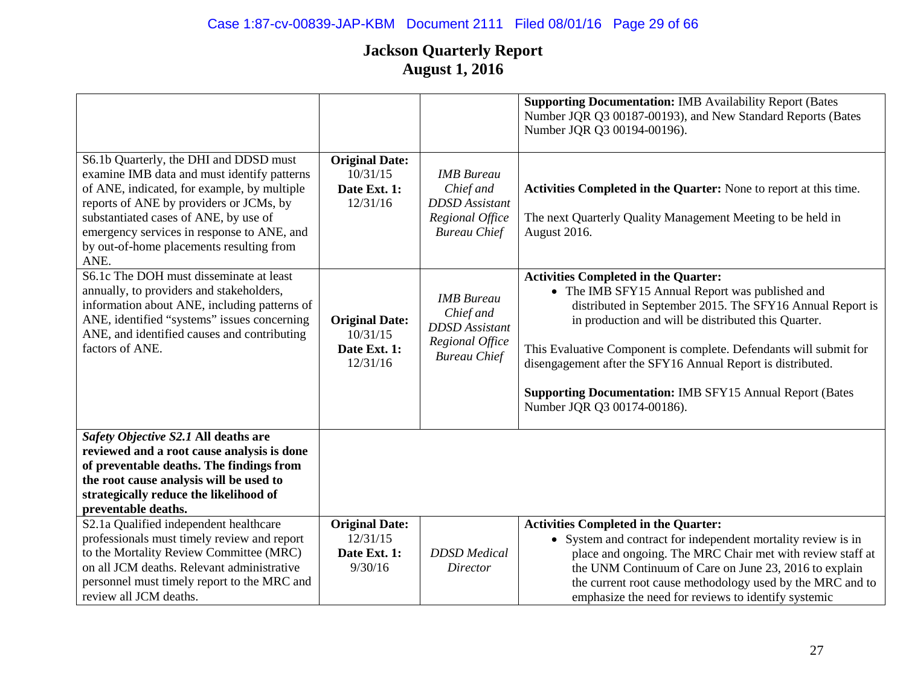|                                                                                                                                                                                                                                                                                                                            |                                                               |                                                                                                   | <b>Supporting Documentation: IMB Availability Report (Bates</b><br>Number JQR Q3 00187-00193), and New Standard Reports (Bates<br>Number JQR Q3 00194-00196).                                                                                                                                                                                                                                                                                            |
|----------------------------------------------------------------------------------------------------------------------------------------------------------------------------------------------------------------------------------------------------------------------------------------------------------------------------|---------------------------------------------------------------|---------------------------------------------------------------------------------------------------|----------------------------------------------------------------------------------------------------------------------------------------------------------------------------------------------------------------------------------------------------------------------------------------------------------------------------------------------------------------------------------------------------------------------------------------------------------|
| S6.1b Quarterly, the DHI and DDSD must<br>examine IMB data and must identify patterns<br>of ANE, indicated, for example, by multiple<br>reports of ANE by providers or JCMs, by<br>substantiated cases of ANE, by use of<br>emergency services in response to ANE, and<br>by out-of-home placements resulting from<br>ANE. | <b>Original Date:</b><br>10/31/15<br>Date Ext. 1:<br>12/31/16 | <b>IMB</b> Bureau<br>Chief and<br><b>DDSD</b> Assistant<br>Regional Office<br><b>Bureau Chief</b> | Activities Completed in the Quarter: None to report at this time.<br>The next Quarterly Quality Management Meeting to be held in<br>August 2016.                                                                                                                                                                                                                                                                                                         |
| S6.1c The DOH must disseminate at least<br>annually, to providers and stakeholders,<br>information about ANE, including patterns of<br>ANE, identified "systems" issues concerning<br>ANE, and identified causes and contributing<br>factors of ANE.                                                                       | <b>Original Date:</b><br>10/31/15<br>Date Ext. 1:<br>12/31/16 | <b>IMB</b> Bureau<br>Chief and<br><b>DDSD</b> Assistant<br>Regional Office<br><b>Bureau Chief</b> | <b>Activities Completed in the Quarter:</b><br>• The IMB SFY15 Annual Report was published and<br>distributed in September 2015. The SFY16 Annual Report is<br>in production and will be distributed this Quarter.<br>This Evaluative Component is complete. Defendants will submit for<br>disengagement after the SFY16 Annual Report is distributed.<br><b>Supporting Documentation: IMB SFY15 Annual Report (Bates</b><br>Number JQR Q3 00174-00186). |
| Safety Objective S2.1 All deaths are<br>reviewed and a root cause analysis is done<br>of preventable deaths. The findings from<br>the root cause analysis will be used to<br>strategically reduce the likelihood of<br>preventable deaths.                                                                                 |                                                               |                                                                                                   |                                                                                                                                                                                                                                                                                                                                                                                                                                                          |
| S2.1a Qualified independent healthcare<br>professionals must timely review and report<br>to the Mortality Review Committee (MRC)<br>on all JCM deaths. Relevant administrative<br>personnel must timely report to the MRC and<br>review all JCM deaths.                                                                    | <b>Original Date:</b><br>12/31/15<br>Date Ext. 1:<br>9/30/16  | <b>DDSD</b> Medical<br><b>Director</b>                                                            | <b>Activities Completed in the Quarter:</b><br>• System and contract for independent mortality review is in<br>place and ongoing. The MRC Chair met with review staff at<br>the UNM Continuum of Care on June 23, 2016 to explain<br>the current root cause methodology used by the MRC and to<br>emphasize the need for reviews to identify systemic                                                                                                    |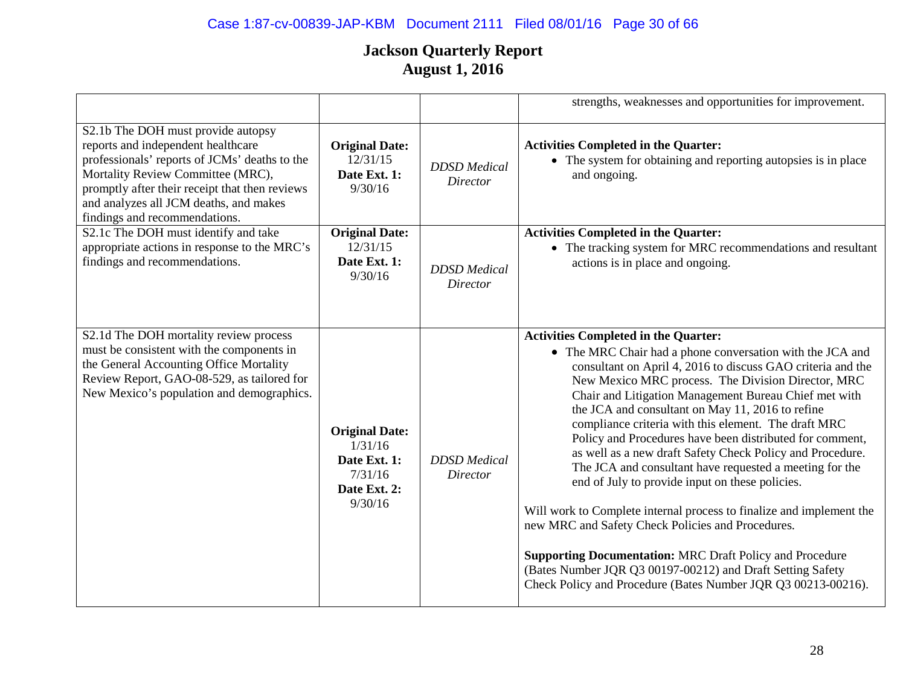# Case 1:87-cv-00839-JAP-KBM Document 2111 Filed 08/01/16 Page 30 of 66

|                                                                                                                                                                                                                                                                                             |                                                                                        |                                 | strengths, weaknesses and opportunities for improvement.                                                                                                                                                                                                                                                                                                                                                                                                                                                                                                                                                                                                                                                                                                                                                                                                                                                                                                                 |
|---------------------------------------------------------------------------------------------------------------------------------------------------------------------------------------------------------------------------------------------------------------------------------------------|----------------------------------------------------------------------------------------|---------------------------------|--------------------------------------------------------------------------------------------------------------------------------------------------------------------------------------------------------------------------------------------------------------------------------------------------------------------------------------------------------------------------------------------------------------------------------------------------------------------------------------------------------------------------------------------------------------------------------------------------------------------------------------------------------------------------------------------------------------------------------------------------------------------------------------------------------------------------------------------------------------------------------------------------------------------------------------------------------------------------|
| S2.1b The DOH must provide autopsy<br>reports and independent healthcare<br>professionals' reports of JCMs' deaths to the<br>Mortality Review Committee (MRC),<br>promptly after their receipt that then reviews<br>and analyzes all JCM deaths, and makes<br>findings and recommendations. | <b>Original Date:</b><br>12/31/15<br>Date Ext. 1:<br>9/30/16                           | <b>DDSD</b> Medical<br>Director | <b>Activities Completed in the Quarter:</b><br>• The system for obtaining and reporting autopsies is in place<br>and ongoing.                                                                                                                                                                                                                                                                                                                                                                                                                                                                                                                                                                                                                                                                                                                                                                                                                                            |
| S2.1c The DOH must identify and take<br>appropriate actions in response to the MRC's<br>findings and recommendations.                                                                                                                                                                       | <b>Original Date:</b><br>12/31/15<br>Date Ext. 1:<br>9/30/16                           | <b>DDSD</b> Medical<br>Director | <b>Activities Completed in the Quarter:</b><br>• The tracking system for MRC recommendations and resultant<br>actions is in place and ongoing.                                                                                                                                                                                                                                                                                                                                                                                                                                                                                                                                                                                                                                                                                                                                                                                                                           |
| S2.1d The DOH mortality review process<br>must be consistent with the components in<br>the General Accounting Office Mortality<br>Review Report, GAO-08-529, as tailored for<br>New Mexico's population and demographics.                                                                   | <b>Original Date:</b><br>1/31/16<br>Date Ext. 1:<br>7/31/16<br>Date Ext. 2:<br>9/30/16 | <b>DDSD</b> Medical<br>Director | <b>Activities Completed in the Quarter:</b><br>• The MRC Chair had a phone conversation with the JCA and<br>consultant on April 4, 2016 to discuss GAO criteria and the<br>New Mexico MRC process. The Division Director, MRC<br>Chair and Litigation Management Bureau Chief met with<br>the JCA and consultant on May 11, 2016 to refine<br>compliance criteria with this element. The draft MRC<br>Policy and Procedures have been distributed for comment,<br>as well as a new draft Safety Check Policy and Procedure.<br>The JCA and consultant have requested a meeting for the<br>end of July to provide input on these policies.<br>Will work to Complete internal process to finalize and implement the<br>new MRC and Safety Check Policies and Procedures.<br><b>Supporting Documentation: MRC Draft Policy and Procedure</b><br>(Bates Number JQR Q3 00197-00212) and Draft Setting Safety<br>Check Policy and Procedure (Bates Number JQR Q3 00213-00216). |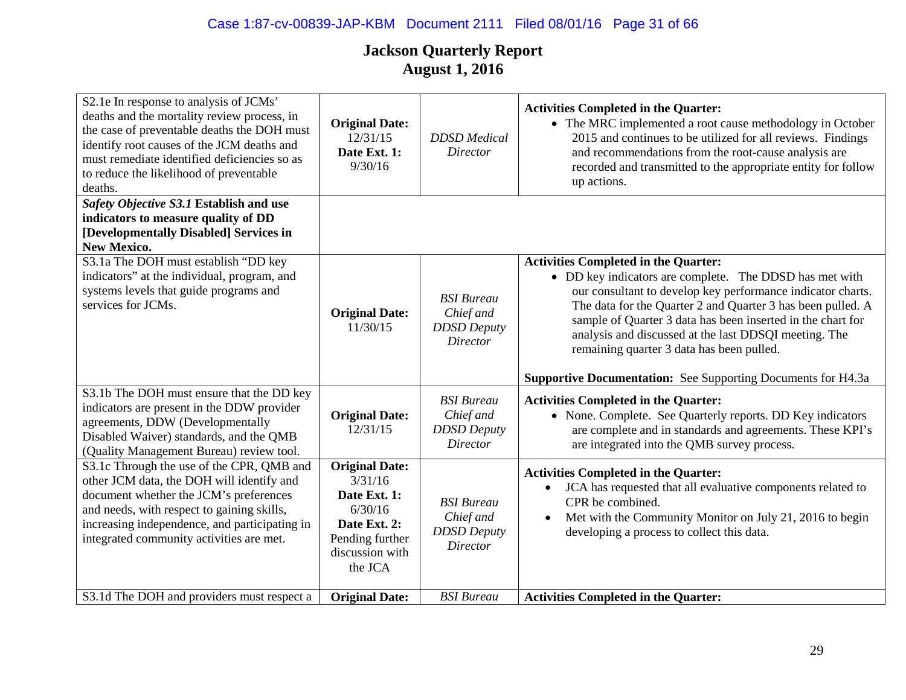| S2.1e In response to analysis of JCMs'<br>deaths and the mortality review process, in<br>the case of preventable deaths the DOH must<br>identify root causes of the JCM deaths and<br>must remediate identified deficiencies so as<br>to reduce the likelihood of preventable<br>deaths. | <b>Original Date:</b><br>12/31/15<br>Date Ext. 1:<br>9/30/16                                                                 | <b>DDSD</b> Medical<br><b>Director</b>                                  | <b>Activities Completed in the Quarter:</b><br>• The MRC implemented a root cause methodology in October<br>2015 and continues to be utilized for all reviews. Findings<br>and recommendations from the root-cause analysis are<br>recorded and transmitted to the appropriate entity for follow<br>up actions.                                                                                                                                                                  |
|------------------------------------------------------------------------------------------------------------------------------------------------------------------------------------------------------------------------------------------------------------------------------------------|------------------------------------------------------------------------------------------------------------------------------|-------------------------------------------------------------------------|----------------------------------------------------------------------------------------------------------------------------------------------------------------------------------------------------------------------------------------------------------------------------------------------------------------------------------------------------------------------------------------------------------------------------------------------------------------------------------|
| Safety Objective S3.1 Establish and use<br>indicators to measure quality of DD<br>[Developmentally Disabled] Services in<br><b>New Mexico.</b>                                                                                                                                           |                                                                                                                              |                                                                         |                                                                                                                                                                                                                                                                                                                                                                                                                                                                                  |
| S3.1a The DOH must establish "DD key<br>indicators" at the individual, program, and<br>systems levels that guide programs and<br>services for JCMs.                                                                                                                                      | <b>Original Date:</b><br>11/30/15                                                                                            | <b>BSI</b> Bureau<br>Chief and<br><b>DDSD</b> Deputy<br><b>Director</b> | <b>Activities Completed in the Quarter:</b><br>• DD key indicators are complete. The DDSD has met with<br>our consultant to develop key performance indicator charts.<br>The data for the Quarter 2 and Quarter 3 has been pulled. A<br>sample of Quarter 3 data has been inserted in the chart for<br>analysis and discussed at the last DDSQI meeting. The<br>remaining quarter 3 data has been pulled.<br><b>Supportive Documentation:</b> See Supporting Documents for H4.3a |
| S3.1b The DOH must ensure that the DD key<br>indicators are present in the DDW provider<br>agreements, DDW (Developmentally<br>Disabled Waiver) standards, and the QMB<br>(Quality Management Bureau) review tool.                                                                       | <b>Original Date:</b><br>12/31/15                                                                                            | <b>BSI</b> Bureau<br>Chief and<br><b>DDSD</b> Deputy<br><b>Director</b> | <b>Activities Completed in the Quarter:</b><br>• None. Complete. See Quarterly reports. DD Key indicators<br>are complete and in standards and agreements. These KPI's<br>are integrated into the QMB survey process.                                                                                                                                                                                                                                                            |
| S3.1c Through the use of the CPR, QMB and<br>other JCM data, the DOH will identify and<br>document whether the JCM's preferences<br>and needs, with respect to gaining skills,<br>increasing independence, and participating in<br>integrated community activities are met.              | <b>Original Date:</b><br>3/31/16<br>Date Ext. 1:<br>6/30/16<br>Date Ext. 2:<br>Pending further<br>discussion with<br>the JCA | <b>BSI</b> Bureau<br>Chief and<br><b>DDSD</b> Deputy<br>Director        | <b>Activities Completed in the Quarter:</b><br>JCA has requested that all evaluative components related to<br>CPR be combined.<br>Met with the Community Monitor on July 21, 2016 to begin<br>$\bullet$<br>developing a process to collect this data.                                                                                                                                                                                                                            |
| S3.1d The DOH and providers must respect a                                                                                                                                                                                                                                               | <b>Original Date:</b>                                                                                                        | <b>BSI</b> Bureau                                                       | <b>Activities Completed in the Quarter:</b>                                                                                                                                                                                                                                                                                                                                                                                                                                      |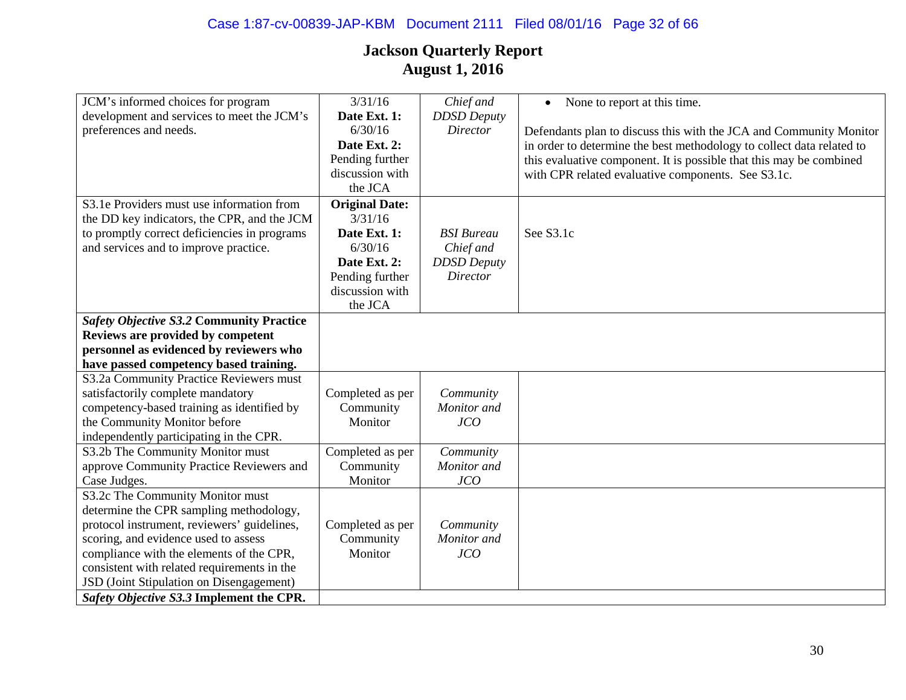# Case 1:87-cv-00839-JAP-KBM Document 2111 Filed 08/01/16 Page 32 of 66

| JCM's informed choices for program              | 3/31/16               | Chief and          | None to report at this time.<br>$\bullet$                             |
|-------------------------------------------------|-----------------------|--------------------|-----------------------------------------------------------------------|
| development and services to meet the JCM's      | Date Ext. 1:          | <b>DDSD</b> Deputy |                                                                       |
| preferences and needs.                          | 6/30/16               | <b>Director</b>    | Defendants plan to discuss this with the JCA and Community Monitor    |
|                                                 | Date Ext. 2:          |                    | in order to determine the best methodology to collect data related to |
|                                                 | Pending further       |                    | this evaluative component. It is possible that this may be combined   |
|                                                 | discussion with       |                    | with CPR related evaluative components. See S3.1c.                    |
|                                                 | the JCA               |                    |                                                                       |
| S3.1e Providers must use information from       | <b>Original Date:</b> |                    |                                                                       |
| the DD key indicators, the CPR, and the JCM     | 3/31/16               |                    |                                                                       |
| to promptly correct deficiencies in programs    | Date Ext. 1:          | <b>BSI</b> Bureau  | See S3.1c                                                             |
| and services and to improve practice.           | 6/30/16               | Chief and          |                                                                       |
|                                                 | Date Ext. 2:          | <b>DDSD</b> Deputy |                                                                       |
|                                                 | Pending further       | <b>Director</b>    |                                                                       |
|                                                 | discussion with       |                    |                                                                       |
|                                                 | the JCA               |                    |                                                                       |
| <b>Safety Objective S3.2 Community Practice</b> |                       |                    |                                                                       |
| Reviews are provided by competent               |                       |                    |                                                                       |
| personnel as evidenced by reviewers who         |                       |                    |                                                                       |
| have passed competency based training.          |                       |                    |                                                                       |
| S3.2a Community Practice Reviewers must         |                       |                    |                                                                       |
| satisfactorily complete mandatory               | Completed as per      | Community          |                                                                       |
| competency-based training as identified by      | Community             | Monitor and        |                                                                       |
| the Community Monitor before                    | Monitor               | JCO                |                                                                       |
| independently participating in the CPR.         |                       |                    |                                                                       |
| S3.2b The Community Monitor must                | Completed as per      | Community          |                                                                       |
| approve Community Practice Reviewers and        | Community             | Monitor and        |                                                                       |
| Case Judges.                                    | Monitor               | JCO                |                                                                       |
| S3.2c The Community Monitor must                |                       |                    |                                                                       |
| determine the CPR sampling methodology,         |                       |                    |                                                                       |
| protocol instrument, reviewers' guidelines,     | Completed as per      | Community          |                                                                       |
| scoring, and evidence used to assess            | Community             | Monitor and        |                                                                       |
| compliance with the elements of the CPR,        | Monitor               | JCO                |                                                                       |
| consistent with related requirements in the     |                       |                    |                                                                       |
| JSD (Joint Stipulation on Disengagement)        |                       |                    |                                                                       |
| Safety Objective S3.3 Implement the CPR.        |                       |                    |                                                                       |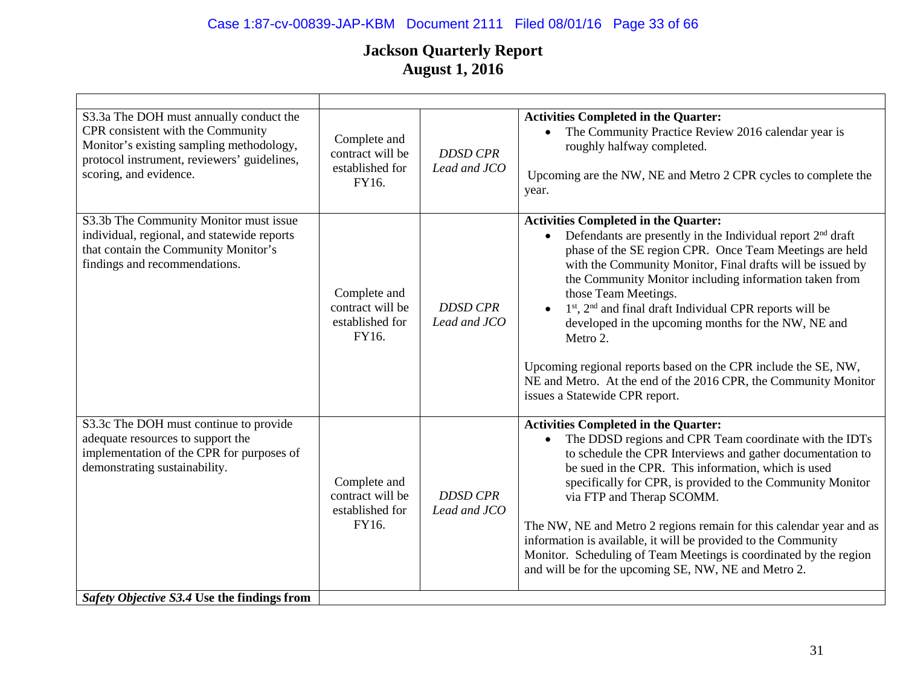# Case 1:87-cv-00839-JAP-KBM Document 2111 Filed 08/01/16 Page 33 of 66

| S3.3a The DOH must annually conduct the<br>CPR consistent with the Community<br>Monitor's existing sampling methodology,<br>protocol instrument, reviewers' guidelines,<br>scoring, and evidence. | Complete and<br>contract will be<br>established for<br>FY16. | <b>DDSD CPR</b><br>Lead and JCO | <b>Activities Completed in the Quarter:</b><br>The Community Practice Review 2016 calendar year is<br>$\bullet$<br>roughly halfway completed.<br>Upcoming are the NW, NE and Metro 2 CPR cycles to complete the<br>year.                                                                                                                                                                                                                                                                                                                                                                                                                                 |
|---------------------------------------------------------------------------------------------------------------------------------------------------------------------------------------------------|--------------------------------------------------------------|---------------------------------|----------------------------------------------------------------------------------------------------------------------------------------------------------------------------------------------------------------------------------------------------------------------------------------------------------------------------------------------------------------------------------------------------------------------------------------------------------------------------------------------------------------------------------------------------------------------------------------------------------------------------------------------------------|
| S3.3b The Community Monitor must issue<br>individual, regional, and statewide reports<br>that contain the Community Monitor's<br>findings and recommendations.                                    | Complete and<br>contract will be<br>established for<br>FY16. | <b>DDSD CPR</b><br>Lead and JCO | <b>Activities Completed in the Quarter:</b><br>Defendants are presently in the Individual report 2 <sup>nd</sup> draft<br>phase of the SE region CPR. Once Team Meetings are held<br>with the Community Monitor, Final drafts will be issued by<br>the Community Monitor including information taken from<br>those Team Meetings.<br>$1st$ , $2nd$ and final draft Individual CPR reports will be<br>$\bullet$<br>developed in the upcoming months for the NW, NE and<br>Metro 2.<br>Upcoming regional reports based on the CPR include the SE, NW,<br>NE and Metro. At the end of the 2016 CPR, the Community Monitor<br>issues a Statewide CPR report. |
| S3.3c The DOH must continue to provide<br>adequate resources to support the<br>implementation of the CPR for purposes of<br>demonstrating sustainability.                                         | Complete and<br>contract will be<br>established for<br>FY16. | <b>DDSD CPR</b><br>Lead and JCO | <b>Activities Completed in the Quarter:</b><br>The DDSD regions and CPR Team coordinate with the IDTs<br>$\bullet$<br>to schedule the CPR Interviews and gather documentation to<br>be sued in the CPR. This information, which is used<br>specifically for CPR, is provided to the Community Monitor<br>via FTP and Therap SCOMM.<br>The NW, NE and Metro 2 regions remain for this calendar year and as<br>information is available, it will be provided to the Community<br>Monitor. Scheduling of Team Meetings is coordinated by the region<br>and will be for the upcoming SE, NW, NE and Metro 2.                                                 |
| Safety Objective S3.4 Use the findings from                                                                                                                                                       |                                                              |                                 |                                                                                                                                                                                                                                                                                                                                                                                                                                                                                                                                                                                                                                                          |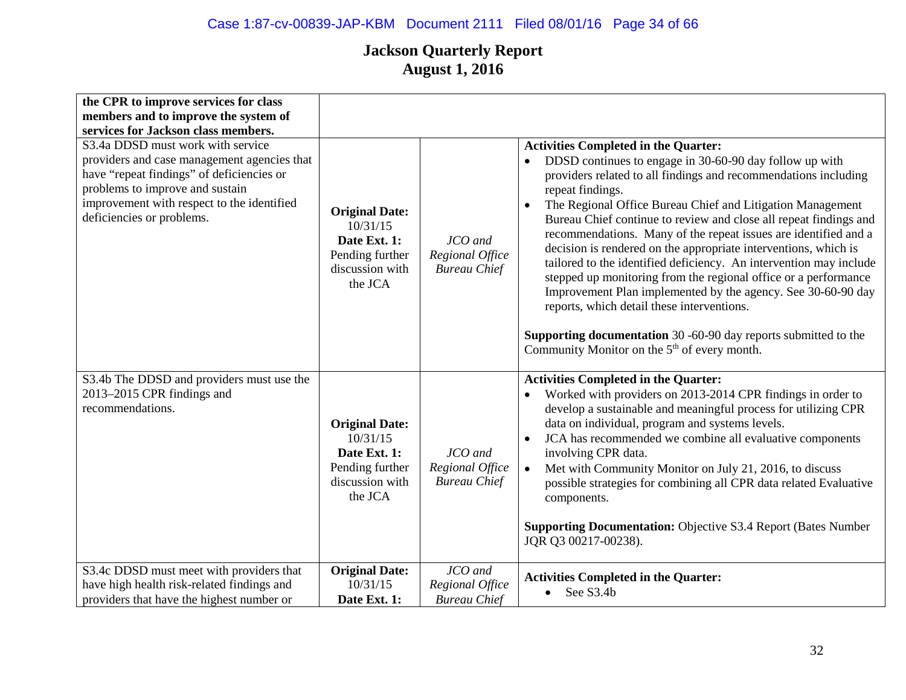| the CPR to improve services for class                                                                                                                                                                                                       |                                                                                                    |                                                   |                                                                                                                                                                                                                                                                                                                                                                                                                                                                                                                                                                                                                                                                                                                                                                                                                                                                                  |
|---------------------------------------------------------------------------------------------------------------------------------------------------------------------------------------------------------------------------------------------|----------------------------------------------------------------------------------------------------|---------------------------------------------------|----------------------------------------------------------------------------------------------------------------------------------------------------------------------------------------------------------------------------------------------------------------------------------------------------------------------------------------------------------------------------------------------------------------------------------------------------------------------------------------------------------------------------------------------------------------------------------------------------------------------------------------------------------------------------------------------------------------------------------------------------------------------------------------------------------------------------------------------------------------------------------|
| members and to improve the system of                                                                                                                                                                                                        |                                                                                                    |                                                   |                                                                                                                                                                                                                                                                                                                                                                                                                                                                                                                                                                                                                                                                                                                                                                                                                                                                                  |
| services for Jackson class members.                                                                                                                                                                                                         |                                                                                                    |                                                   |                                                                                                                                                                                                                                                                                                                                                                                                                                                                                                                                                                                                                                                                                                                                                                                                                                                                                  |
| S3.4a DDSD must work with service<br>providers and case management agencies that<br>have "repeat findings" of deficiencies or<br>problems to improve and sustain<br>improvement with respect to the identified<br>deficiencies or problems. | <b>Original Date:</b><br>10/31/15<br>Date Ext. 1:<br>Pending further<br>discussion with<br>the JCA | JCO and<br>Regional Office<br><b>Bureau Chief</b> | <b>Activities Completed in the Quarter:</b><br>DDSD continues to engage in 30-60-90 day follow up with<br>providers related to all findings and recommendations including<br>repeat findings.<br>The Regional Office Bureau Chief and Litigation Management<br>$\bullet$<br>Bureau Chief continue to review and close all repeat findings and<br>recommendations. Many of the repeat issues are identified and a<br>decision is rendered on the appropriate interventions, which is<br>tailored to the identified deficiency. An intervention may include<br>stepped up monitoring from the regional office or a performance<br>Improvement Plan implemented by the agency. See 30-60-90 day<br>reports, which detail these interventions.<br><b>Supporting documentation</b> 30 -60-90 day reports submitted to the<br>Community Monitor on the 5 <sup>th</sup> of every month. |
| S3.4b The DDSD and providers must use the<br>2013-2015 CPR findings and<br>recommendations.                                                                                                                                                 | <b>Original Date:</b><br>10/31/15<br>Date Ext. 1:<br>Pending further<br>discussion with<br>the JCA | JCO and<br>Regional Office<br><b>Bureau Chief</b> | <b>Activities Completed in the Quarter:</b><br>Worked with providers on 2013-2014 CPR findings in order to<br>develop a sustainable and meaningful process for utilizing CPR<br>data on individual, program and systems levels.<br>JCA has recommended we combine all evaluative components<br>$\bullet$<br>involving CPR data.<br>Met with Community Monitor on July 21, 2016, to discuss<br>$\bullet$<br>possible strategies for combining all CPR data related Evaluative<br>components.<br><b>Supporting Documentation:</b> Objective S3.4 Report (Bates Number<br>JQR Q3 00217-00238).                                                                                                                                                                                                                                                                                      |
| S3.4c DDSD must meet with providers that<br>have high health risk-related findings and<br>providers that have the highest number or                                                                                                         | <b>Original Date:</b><br>10/31/15<br>Date Ext. 1:                                                  | JCO and<br>Regional Office<br><b>Bureau Chief</b> | <b>Activities Completed in the Quarter:</b><br>See S3.4b<br>$\bullet$                                                                                                                                                                                                                                                                                                                                                                                                                                                                                                                                                                                                                                                                                                                                                                                                            |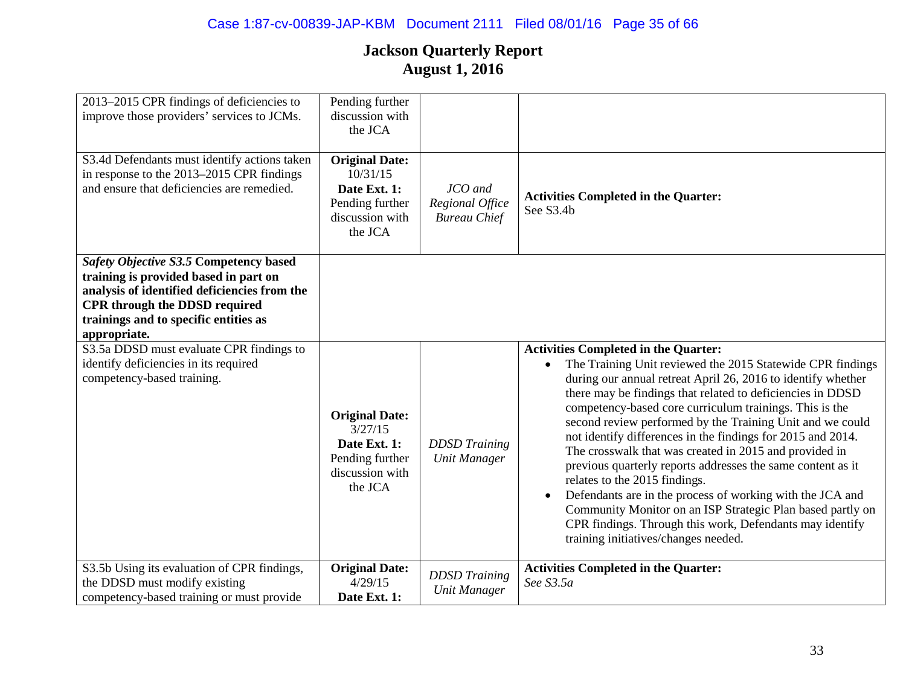| 2013-2015 CPR findings of deficiencies to<br>improve those providers' services to JCMs.                                                                                                                                          | Pending further<br>discussion with<br>the JCA                                                      |                                                   |                                                                                                                                                                                                                                                                                                                                                                                                                                                                                                                                                                                                                                                                                                                                                                                                                         |
|----------------------------------------------------------------------------------------------------------------------------------------------------------------------------------------------------------------------------------|----------------------------------------------------------------------------------------------------|---------------------------------------------------|-------------------------------------------------------------------------------------------------------------------------------------------------------------------------------------------------------------------------------------------------------------------------------------------------------------------------------------------------------------------------------------------------------------------------------------------------------------------------------------------------------------------------------------------------------------------------------------------------------------------------------------------------------------------------------------------------------------------------------------------------------------------------------------------------------------------------|
| S3.4d Defendants must identify actions taken<br>in response to the 2013–2015 CPR findings<br>and ensure that deficiencies are remedied.                                                                                          | <b>Original Date:</b><br>10/31/15<br>Date Ext. 1:<br>Pending further<br>discussion with<br>the JCA | JCO and<br>Regional Office<br><b>Bureau Chief</b> | <b>Activities Completed in the Quarter:</b><br>See S3.4b                                                                                                                                                                                                                                                                                                                                                                                                                                                                                                                                                                                                                                                                                                                                                                |
| Safety Objective S3.5 Competency based<br>training is provided based in part on<br>analysis of identified deficiencies from the<br><b>CPR</b> through the DDSD required<br>trainings and to specific entities as<br>appropriate. |                                                                                                    |                                                   |                                                                                                                                                                                                                                                                                                                                                                                                                                                                                                                                                                                                                                                                                                                                                                                                                         |
| S3.5a DDSD must evaluate CPR findings to<br>identify deficiencies in its required<br>competency-based training.                                                                                                                  | <b>Original Date:</b><br>3/27/15<br>Date Ext. 1:<br>Pending further<br>discussion with<br>the JCA  | <b>DDSD</b> Training<br><b>Unit Manager</b>       | <b>Activities Completed in the Quarter:</b><br>The Training Unit reviewed the 2015 Statewide CPR findings<br>during our annual retreat April 26, 2016 to identify whether<br>there may be findings that related to deficiencies in DDSD<br>competency-based core curriculum trainings. This is the<br>second review performed by the Training Unit and we could<br>not identify differences in the findings for 2015 and 2014.<br>The crosswalk that was created in 2015 and provided in<br>previous quarterly reports addresses the same content as it<br>relates to the 2015 findings.<br>Defendants are in the process of working with the JCA and<br>Community Monitor on an ISP Strategic Plan based partly on<br>CPR findings. Through this work, Defendants may identify<br>training initiatives/changes needed. |
| S3.5b Using its evaluation of CPR findings,<br>the DDSD must modify existing<br>competency-based training or must provide                                                                                                        | <b>Original Date:</b><br>4/29/15<br>Date Ext. 1:                                                   | <b>DDSD</b> Training<br><b>Unit Manager</b>       | <b>Activities Completed in the Quarter:</b><br>See S3.5a                                                                                                                                                                                                                                                                                                                                                                                                                                                                                                                                                                                                                                                                                                                                                                |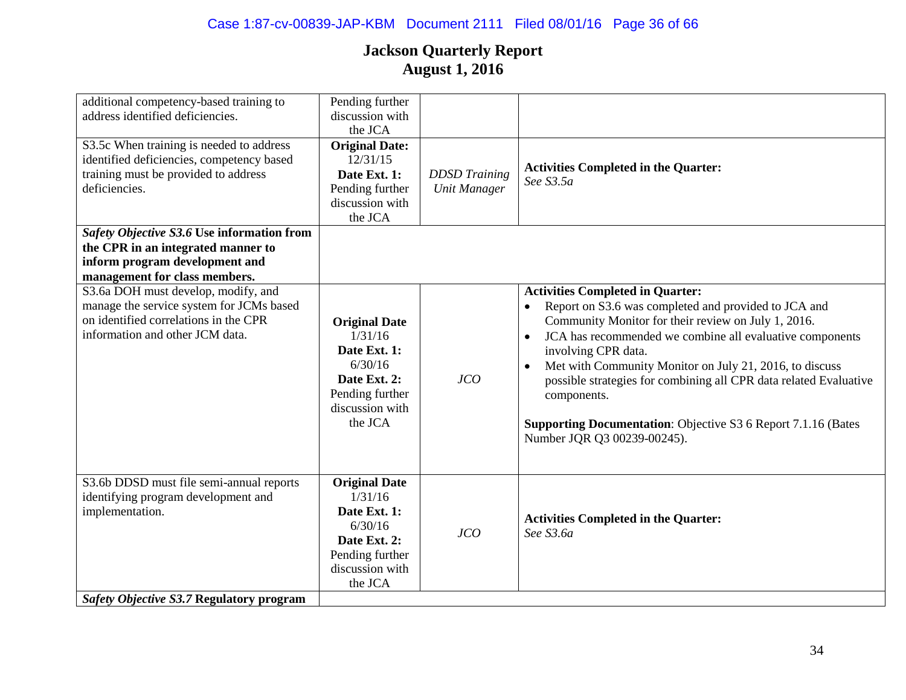| additional competency-based training to    | Pending further       |                      |                                                                       |
|--------------------------------------------|-----------------------|----------------------|-----------------------------------------------------------------------|
| address identified deficiencies.           | discussion with       |                      |                                                                       |
|                                            | the JCA               |                      |                                                                       |
| S3.5c When training is needed to address   | <b>Original Date:</b> |                      |                                                                       |
| identified deficiencies, competency based  | 12/31/15              |                      | <b>Activities Completed in the Quarter:</b>                           |
| training must be provided to address       | Date Ext. 1:          | <b>DDSD</b> Training | See S3.5a                                                             |
| deficiencies.                              | Pending further       | <b>Unit Manager</b>  |                                                                       |
|                                            | discussion with       |                      |                                                                       |
|                                            | the JCA               |                      |                                                                       |
| Safety Objective S3.6 Use information from |                       |                      |                                                                       |
| the CPR in an integrated manner to         |                       |                      |                                                                       |
| inform program development and             |                       |                      |                                                                       |
| management for class members.              |                       |                      |                                                                       |
| S3.6a DOH must develop, modify, and        |                       |                      | <b>Activities Completed in Quarter:</b>                               |
| manage the service system for JCMs based   |                       |                      | Report on S3.6 was completed and provided to JCA and<br>$\bullet$     |
| on identified correlations in the CPR      | <b>Original Date</b>  |                      | Community Monitor for their review on July 1, 2016.                   |
| information and other JCM data.            | 1/31/16               |                      | JCA has recommended we combine all evaluative components<br>$\bullet$ |
|                                            | Date Ext. 1:          |                      | involving CPR data.                                                   |
|                                            | 6/30/16               |                      |                                                                       |
|                                            | Date Ext. 2:          | JCO                  | Met with Community Monitor on July 21, 2016, to discuss               |
|                                            | Pending further       |                      | possible strategies for combining all CPR data related Evaluative     |
|                                            | discussion with       |                      | components.                                                           |
|                                            | the JCA               |                      |                                                                       |
|                                            |                       |                      | <b>Supporting Documentation:</b> Objective S3 6 Report 7.1.16 (Bates  |
|                                            |                       |                      | Number JQR Q3 00239-00245).                                           |
|                                            |                       |                      |                                                                       |
|                                            |                       |                      |                                                                       |
| S3.6b DDSD must file semi-annual reports   | <b>Original Date</b>  |                      |                                                                       |
| identifying program development and        | 1/31/16               |                      |                                                                       |
| implementation.                            | Date Ext. 1:          |                      | <b>Activities Completed in the Quarter:</b>                           |
|                                            | 6/30/16               | JCO                  | See S3.6a                                                             |
|                                            | Date Ext. 2:          |                      |                                                                       |
|                                            | Pending further       |                      |                                                                       |
|                                            | discussion with       |                      |                                                                       |
|                                            | the JCA               |                      |                                                                       |
| Safety Objective S3.7 Regulatory program   |                       |                      |                                                                       |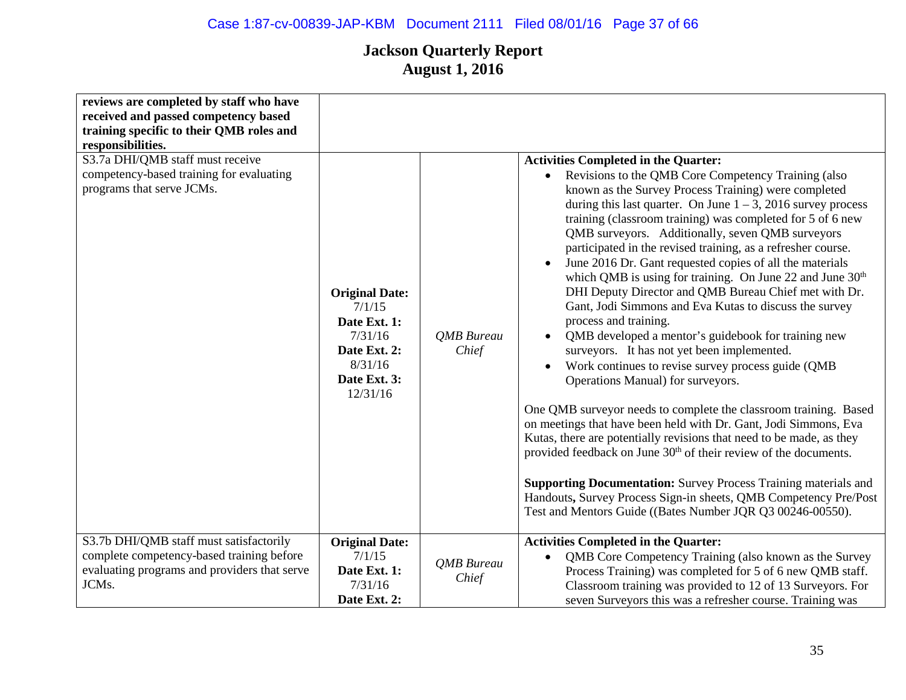# Case 1:87-cv-00839-JAP-KBM Document 2111 Filed 08/01/16 Page 37 of 66

| reviews are completed by staff who have<br>received and passed competency based<br>training specific to their QMB roles and<br>responsibilities. |                                                                                                                   |                            |                                                                                                                                                                                                                                                                                                                                                                                                                                                                                                                                                                                                                                                                                                                                                                                                                                                                                                                                                                                                                                                                                                                                                                                                                                                                                                                                                                                                                                         |
|--------------------------------------------------------------------------------------------------------------------------------------------------|-------------------------------------------------------------------------------------------------------------------|----------------------------|-----------------------------------------------------------------------------------------------------------------------------------------------------------------------------------------------------------------------------------------------------------------------------------------------------------------------------------------------------------------------------------------------------------------------------------------------------------------------------------------------------------------------------------------------------------------------------------------------------------------------------------------------------------------------------------------------------------------------------------------------------------------------------------------------------------------------------------------------------------------------------------------------------------------------------------------------------------------------------------------------------------------------------------------------------------------------------------------------------------------------------------------------------------------------------------------------------------------------------------------------------------------------------------------------------------------------------------------------------------------------------------------------------------------------------------------|
| S3.7a DHI/QMB staff must receive<br>competency-based training for evaluating<br>programs that serve JCMs.                                        | <b>Original Date:</b><br>7/1/15<br>Date Ext. 1:<br>7/31/16<br>Date Ext. 2:<br>8/31/16<br>Date Ext. 3:<br>12/31/16 | <b>OMB</b> Bureau<br>Chief | <b>Activities Completed in the Quarter:</b><br>Revisions to the QMB Core Competency Training (also<br>$\bullet$<br>known as the Survey Process Training) were completed<br>during this last quarter. On June $1 - 3$ , 2016 survey process<br>training (classroom training) was completed for 5 of 6 new<br>QMB surveyors. Additionally, seven QMB surveyors<br>participated in the revised training, as a refresher course.<br>June 2016 Dr. Gant requested copies of all the materials<br>which QMB is using for training. On June 22 and June 30 <sup>th</sup><br>DHI Deputy Director and QMB Bureau Chief met with Dr.<br>Gant, Jodi Simmons and Eva Kutas to discuss the survey<br>process and training.<br>QMB developed a mentor's guidebook for training new<br>$\bullet$<br>surveyors. It has not yet been implemented.<br>Work continues to revise survey process guide (QMB<br>Operations Manual) for surveyors.<br>One QMB surveyor needs to complete the classroom training. Based<br>on meetings that have been held with Dr. Gant, Jodi Simmons, Eva<br>Kutas, there are potentially revisions that need to be made, as they<br>provided feedback on June 30 <sup>th</sup> of their review of the documents.<br><b>Supporting Documentation:</b> Survey Process Training materials and<br>Handouts, Survey Process Sign-in sheets, QMB Competency Pre/Post<br>Test and Mentors Guide ((Bates Number JQR Q3 00246-00550). |
| S3.7b DHI/QMB staff must satisfactorily<br>complete competency-based training before<br>evaluating programs and providers that serve<br>JCMs.    | <b>Original Date:</b><br>7/1/15<br>Date Ext. 1:<br>7/31/16<br>Date Ext. 2:                                        | <b>QMB</b> Bureau<br>Chief | <b>Activities Completed in the Quarter:</b><br>QMB Core Competency Training (also known as the Survey<br>$\bullet$<br>Process Training) was completed for 5 of 6 new QMB staff.<br>Classroom training was provided to 12 of 13 Surveyors. For<br>seven Surveyors this was a refresher course. Training was                                                                                                                                                                                                                                                                                                                                                                                                                                                                                                                                                                                                                                                                                                                                                                                                                                                                                                                                                                                                                                                                                                                              |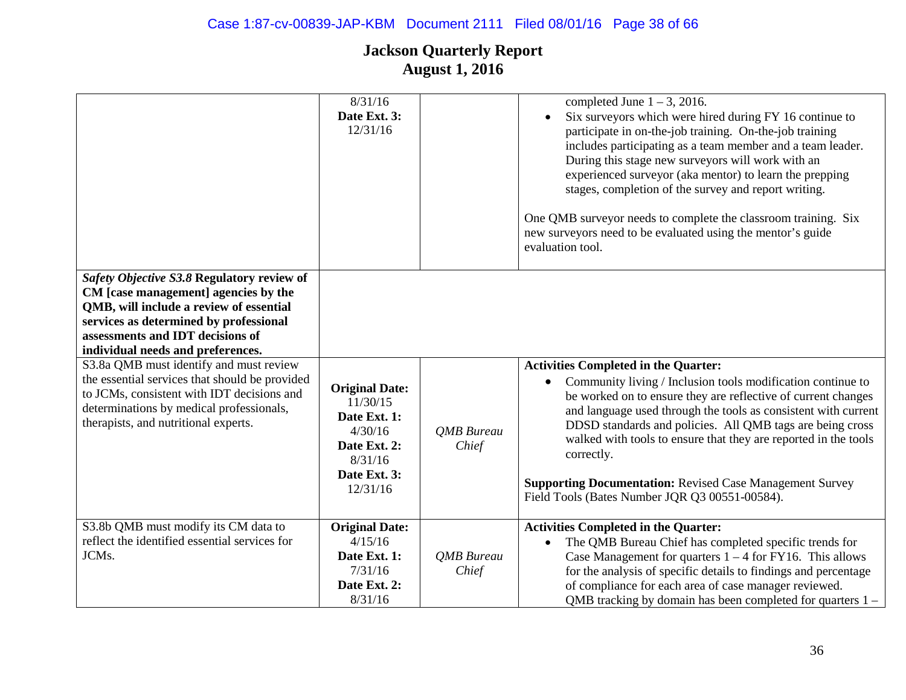|                                                                                                                                                                                                                                                  | 8/31/16<br>Date Ext. 3:<br>12/31/16                                                                                 |                     | completed June $1 - 3$ , 2016.<br>Six surveyors which were hired during FY 16 continue to<br>participate in on-the-job training. On-the-job training<br>includes participating as a team member and a team leader.<br>During this stage new surveyors will work with an<br>experienced surveyor (aka mentor) to learn the prepping<br>stages, completion of the survey and report writing.<br>One QMB surveyor needs to complete the classroom training. Six<br>new surveyors need to be evaluated using the mentor's guide<br>evaluation tool. |
|--------------------------------------------------------------------------------------------------------------------------------------------------------------------------------------------------------------------------------------------------|---------------------------------------------------------------------------------------------------------------------|---------------------|-------------------------------------------------------------------------------------------------------------------------------------------------------------------------------------------------------------------------------------------------------------------------------------------------------------------------------------------------------------------------------------------------------------------------------------------------------------------------------------------------------------------------------------------------|
| Safety Objective S3.8 Regulatory review of<br>CM [case management] agencies by the<br>QMB, will include a review of essential<br>services as determined by professional<br>assessments and IDT decisions of<br>individual needs and preferences. |                                                                                                                     |                     |                                                                                                                                                                                                                                                                                                                                                                                                                                                                                                                                                 |
| S3.8a QMB must identify and must review<br>the essential services that should be provided<br>to JCMs, consistent with IDT decisions and<br>determinations by medical professionals,<br>therapists, and nutritional experts.                      | <b>Original Date:</b><br>11/30/15<br>Date Ext. 1:<br>4/30/16<br>Date Ext. 2:<br>8/31/16<br>Date Ext. 3:<br>12/31/16 | QMB Bureau<br>Chief | <b>Activities Completed in the Quarter:</b><br>Community living / Inclusion tools modification continue to<br>be worked on to ensure they are reflective of current changes<br>and language used through the tools as consistent with current<br>DDSD standards and policies. All QMB tags are being cross<br>walked with tools to ensure that they are reported in the tools<br>correctly.<br><b>Supporting Documentation: Revised Case Management Survey</b><br>Field Tools (Bates Number JQR Q3 00551-00584).                                |
| S3.8b QMB must modify its CM data to<br>reflect the identified essential services for<br>JCMs.                                                                                                                                                   | <b>Original Date:</b><br>4/15/16<br>Date Ext. 1:<br>7/31/16<br>Date Ext. 2:<br>8/31/16                              | QMB Bureau<br>Chief | <b>Activities Completed in the Quarter:</b><br>The QMB Bureau Chief has completed specific trends for<br>$\bullet$<br>Case Management for quarters $1 - 4$ for FY16. This allows<br>for the analysis of specific details to findings and percentage<br>of compliance for each area of case manager reviewed.<br>QMB tracking by domain has been completed for quarters $1 -$                                                                                                                                                                    |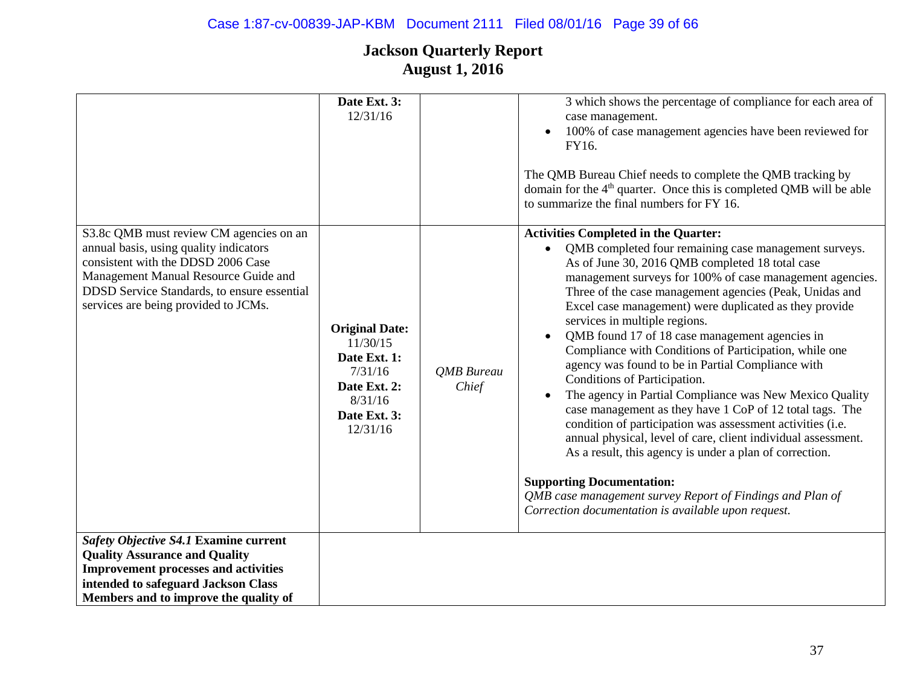# Case 1:87-cv-00839-JAP-KBM Document 2111 Filed 08/01/16 Page 39 of 66

|                                                                                                                                                                                                                                                        | Date Ext. 3:<br>12/31/16                                                                                            |                     | 3 which shows the percentage of compliance for each area of<br>case management.<br>100% of case management agencies have been reviewed for<br>FY16.<br>The QMB Bureau Chief needs to complete the QMB tracking by<br>domain for the 4 <sup>th</sup> quarter. Once this is completed QMB will be able<br>to summarize the final numbers for FY 16.                                                                                                                                                                                                                                                                                                                                                                                                                                                                                                                                                                                                                                                                                                   |
|--------------------------------------------------------------------------------------------------------------------------------------------------------------------------------------------------------------------------------------------------------|---------------------------------------------------------------------------------------------------------------------|---------------------|-----------------------------------------------------------------------------------------------------------------------------------------------------------------------------------------------------------------------------------------------------------------------------------------------------------------------------------------------------------------------------------------------------------------------------------------------------------------------------------------------------------------------------------------------------------------------------------------------------------------------------------------------------------------------------------------------------------------------------------------------------------------------------------------------------------------------------------------------------------------------------------------------------------------------------------------------------------------------------------------------------------------------------------------------------|
| S3.8c QMB must review CM agencies on an<br>annual basis, using quality indicators<br>consistent with the DDSD 2006 Case<br>Management Manual Resource Guide and<br>DDSD Service Standards, to ensure essential<br>services are being provided to JCMs. | <b>Original Date:</b><br>11/30/15<br>Date Ext. 1:<br>7/31/16<br>Date Ext. 2:<br>8/31/16<br>Date Ext. 3:<br>12/31/16 | QMB Bureau<br>Chief | <b>Activities Completed in the Quarter:</b><br>QMB completed four remaining case management surveys.<br>As of June 30, 2016 QMB completed 18 total case<br>management surveys for 100% of case management agencies.<br>Three of the case management agencies (Peak, Unidas and<br>Excel case management) were duplicated as they provide<br>services in multiple regions.<br>QMB found 17 of 18 case management agencies in<br>Compliance with Conditions of Participation, while one<br>agency was found to be in Partial Compliance with<br>Conditions of Participation.<br>The agency in Partial Compliance was New Mexico Quality<br>case management as they have 1 CoP of 12 total tags. The<br>condition of participation was assessment activities (i.e.<br>annual physical, level of care, client individual assessment.<br>As a result, this agency is under a plan of correction.<br><b>Supporting Documentation:</b><br>QMB case management survey Report of Findings and Plan of<br>Correction documentation is available upon request. |
| Safety Objective S4.1 Examine current<br><b>Quality Assurance and Quality</b><br><b>Improvement processes and activities</b><br>intended to safeguard Jackson Class                                                                                    |                                                                                                                     |                     |                                                                                                                                                                                                                                                                                                                                                                                                                                                                                                                                                                                                                                                                                                                                                                                                                                                                                                                                                                                                                                                     |
| Members and to improve the quality of                                                                                                                                                                                                                  |                                                                                                                     |                     |                                                                                                                                                                                                                                                                                                                                                                                                                                                                                                                                                                                                                                                                                                                                                                                                                                                                                                                                                                                                                                                     |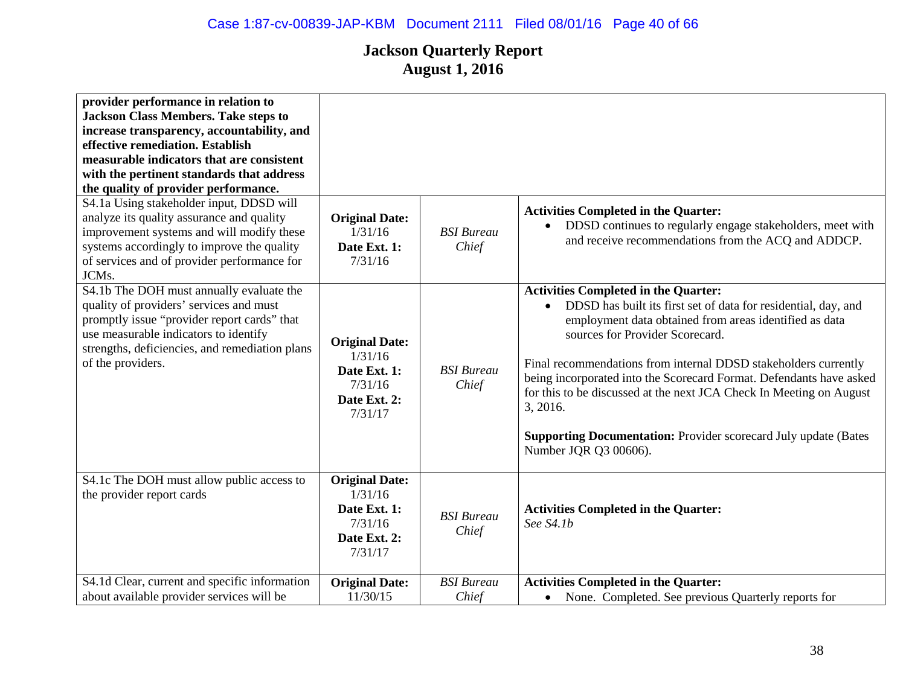| provider performance in relation to<br><b>Jackson Class Members. Take steps to</b><br>increase transparency, accountability, and<br>effective remediation. Establish<br>measurable indicators that are consistent<br>with the pertinent standards that address<br>the quality of provider performance.<br>S4.1a Using stakeholder input, DDSD will<br>analyze its quality assurance and quality<br>improvement systems and will modify these<br>systems accordingly to improve the quality<br>of services and of provider performance for<br>JCMs. | <b>Original Date:</b><br>1/31/16<br>Date Ext. 1:<br>7/31/16                            | <b>BSI</b> Bureau<br>Chief | <b>Activities Completed in the Quarter:</b><br>DDSD continues to regularly engage stakeholders, meet with<br>$\bullet$<br>and receive recommendations from the ACQ and ADDCP.                                                                                                                                                                                                                                                                                                                                                                           |
|----------------------------------------------------------------------------------------------------------------------------------------------------------------------------------------------------------------------------------------------------------------------------------------------------------------------------------------------------------------------------------------------------------------------------------------------------------------------------------------------------------------------------------------------------|----------------------------------------------------------------------------------------|----------------------------|---------------------------------------------------------------------------------------------------------------------------------------------------------------------------------------------------------------------------------------------------------------------------------------------------------------------------------------------------------------------------------------------------------------------------------------------------------------------------------------------------------------------------------------------------------|
| S4.1b The DOH must annually evaluate the<br>quality of providers' services and must<br>promptly issue "provider report cards" that<br>use measurable indicators to identify<br>strengths, deficiencies, and remediation plans<br>of the providers.                                                                                                                                                                                                                                                                                                 | <b>Original Date:</b><br>1/31/16<br>Date Ext. 1:<br>7/31/16<br>Date Ext. 2:<br>7/31/17 | <b>BSI</b> Bureau<br>Chief | <b>Activities Completed in the Quarter:</b><br>DDSD has built its first set of data for residential, day, and<br>$\bullet$<br>employment data obtained from areas identified as data<br>sources for Provider Scorecard.<br>Final recommendations from internal DDSD stakeholders currently<br>being incorporated into the Scorecard Format. Defendants have asked<br>for this to be discussed at the next JCA Check In Meeting on August<br>3, 2016.<br><b>Supporting Documentation:</b> Provider scorecard July update (Bates<br>Number JQR Q3 00606). |
| S4.1c The DOH must allow public access to<br>the provider report cards                                                                                                                                                                                                                                                                                                                                                                                                                                                                             | <b>Original Date:</b><br>1/31/16<br>Date Ext. 1:<br>7/31/16<br>Date Ext. 2:<br>7/31/17 | <b>BSI</b> Bureau<br>Chief | <b>Activities Completed in the Quarter:</b><br>See S4.1b                                                                                                                                                                                                                                                                                                                                                                                                                                                                                                |
| S4.1d Clear, current and specific information<br>about available provider services will be                                                                                                                                                                                                                                                                                                                                                                                                                                                         | <b>Original Date:</b><br>11/30/15                                                      | <b>BSI</b> Bureau<br>Chief | <b>Activities Completed in the Quarter:</b><br>None. Completed. See previous Quarterly reports for<br>$\bullet$                                                                                                                                                                                                                                                                                                                                                                                                                                         |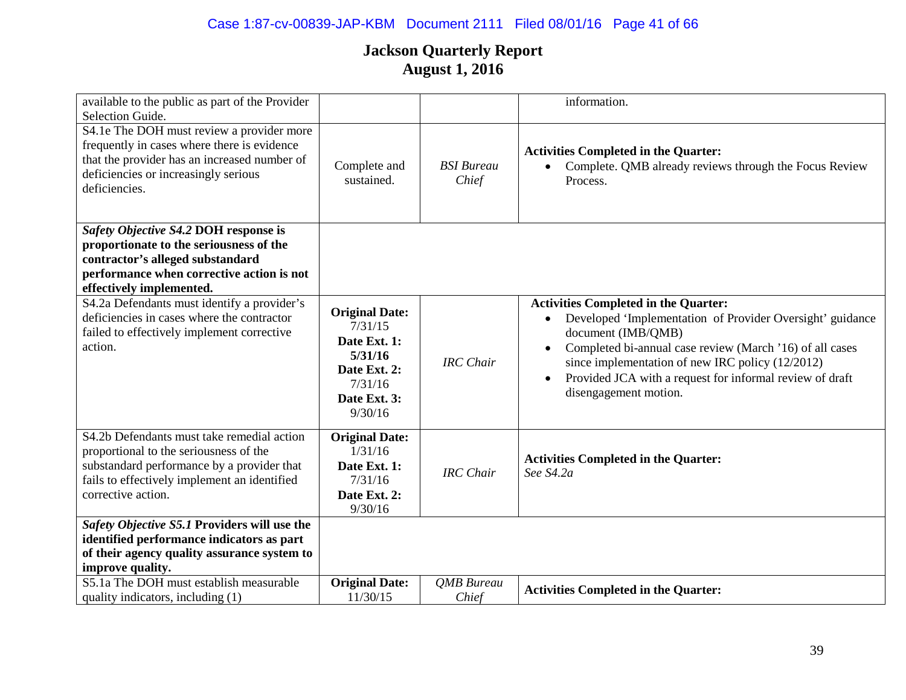# Case 1:87-cv-00839-JAP-KBM Document 2111 Filed 08/01/16 Page 41 of 66

| available to the public as part of the Provider<br>Selection Guide.                                                                                                                                      |                                                                                                                   |                            | information.                                                                                                                                                                                                                                                                                                                                                  |
|----------------------------------------------------------------------------------------------------------------------------------------------------------------------------------------------------------|-------------------------------------------------------------------------------------------------------------------|----------------------------|---------------------------------------------------------------------------------------------------------------------------------------------------------------------------------------------------------------------------------------------------------------------------------------------------------------------------------------------------------------|
| S4.1e The DOH must review a provider more<br>frequently in cases where there is evidence<br>that the provider has an increased number of<br>deficiencies or increasingly serious<br>deficiencies.        | Complete and<br>sustained.                                                                                        | <b>BSI</b> Bureau<br>Chief | <b>Activities Completed in the Quarter:</b><br>Complete. QMB already reviews through the Focus Review<br>Process.                                                                                                                                                                                                                                             |
| Safety Objective S4.2 DOH response is<br>proportionate to the seriousness of the<br>contractor's alleged substandard<br>performance when corrective action is not<br>effectively implemented.            |                                                                                                                   |                            |                                                                                                                                                                                                                                                                                                                                                               |
| S4.2a Defendants must identify a provider's<br>deficiencies in cases where the contractor<br>failed to effectively implement corrective<br>action.                                                       | <b>Original Date:</b><br>7/31/15<br>Date Ext. 1:<br>5/31/16<br>Date Ext. 2:<br>7/31/16<br>Date Ext. 3:<br>9/30/16 | <b>IRC</b> Chair           | <b>Activities Completed in the Quarter:</b><br>Developed 'Implementation of Provider Oversight' guidance<br>document (IMB/QMB)<br>Completed bi-annual case review (March '16) of all cases<br>$\bullet$<br>since implementation of new IRC policy (12/2012)<br>Provided JCA with a request for informal review of draft<br>$\bullet$<br>disengagement motion. |
| S4.2b Defendants must take remedial action<br>proportional to the seriousness of the<br>substandard performance by a provider that<br>fails to effectively implement an identified<br>corrective action. | <b>Original Date:</b><br>1/31/16<br>Date Ext. 1:<br>7/31/16<br>Date Ext. 2:<br>9/30/16                            | <b>IRC</b> Chair           | <b>Activities Completed in the Quarter:</b><br>See S4.2a                                                                                                                                                                                                                                                                                                      |
| Safety Objective S5.1 Providers will use the<br>identified performance indicators as part<br>of their agency quality assurance system to<br>improve quality.                                             |                                                                                                                   |                            |                                                                                                                                                                                                                                                                                                                                                               |
| S5.1a The DOH must establish measurable<br>quality indicators, including (1)                                                                                                                             | <b>Original Date:</b><br>11/30/15                                                                                 | <b>OMB</b> Bureau<br>Chief | <b>Activities Completed in the Quarter:</b>                                                                                                                                                                                                                                                                                                                   |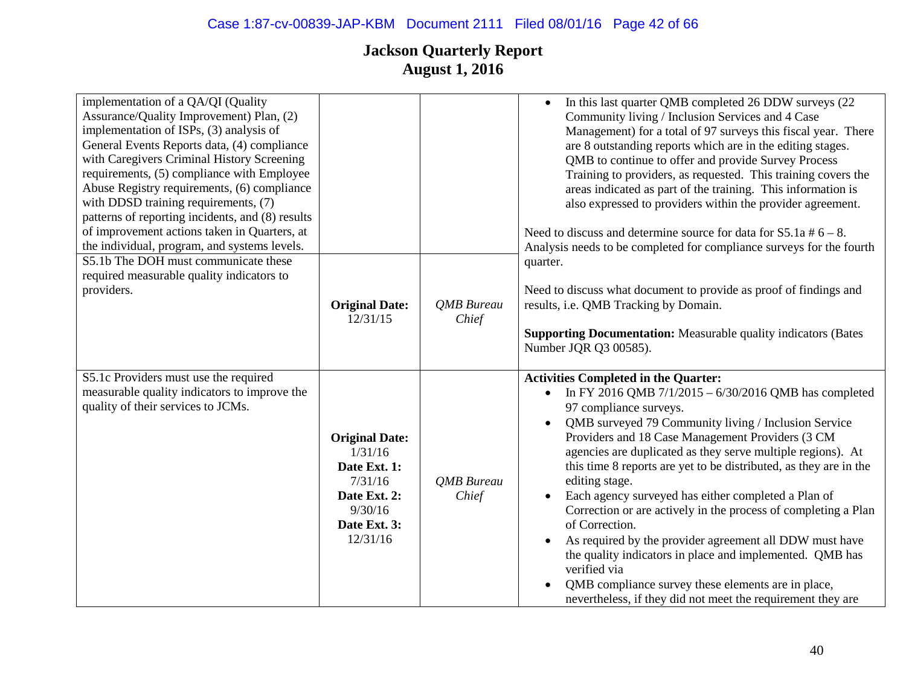| implementation of a QA/QI (Quality<br>Assurance/Quality Improvement) Plan, (2)<br>implementation of ISPs, (3) analysis of<br>General Events Reports data, (4) compliance<br>with Caregivers Criminal History Screening<br>requirements, (5) compliance with Employee<br>Abuse Registry requirements, (6) compliance<br>with DDSD training requirements, (7)<br>patterns of reporting incidents, and (8) results<br>of improvement actions taken in Quarters, at<br>the individual, program, and systems levels.<br>S5.1b The DOH must communicate these |                                                                                                                    |                            | In this last quarter QMB completed 26 DDW surveys (22<br>$\bullet$<br>Community living / Inclusion Services and 4 Case<br>Management) for a total of 97 surveys this fiscal year. There<br>are 8 outstanding reports which are in the editing stages.<br>QMB to continue to offer and provide Survey Process<br>Training to providers, as requested. This training covers the<br>areas indicated as part of the training. This information is<br>also expressed to providers within the provider agreement.<br>Need to discuss and determine source for data for $S5.1a \# 6 - 8$ .<br>Analysis needs to be completed for compliance surveys for the fourth<br>quarter.                                                                                                                                                           |
|---------------------------------------------------------------------------------------------------------------------------------------------------------------------------------------------------------------------------------------------------------------------------------------------------------------------------------------------------------------------------------------------------------------------------------------------------------------------------------------------------------------------------------------------------------|--------------------------------------------------------------------------------------------------------------------|----------------------------|-----------------------------------------------------------------------------------------------------------------------------------------------------------------------------------------------------------------------------------------------------------------------------------------------------------------------------------------------------------------------------------------------------------------------------------------------------------------------------------------------------------------------------------------------------------------------------------------------------------------------------------------------------------------------------------------------------------------------------------------------------------------------------------------------------------------------------------|
| required measurable quality indicators to<br>providers.                                                                                                                                                                                                                                                                                                                                                                                                                                                                                                 | <b>Original Date:</b><br>12/31/15                                                                                  | <b>QMB</b> Bureau<br>Chief | Need to discuss what document to provide as proof of findings and<br>results, i.e. QMB Tracking by Domain.<br><b>Supporting Documentation:</b> Measurable quality indicators (Bates<br>Number JQR Q3 00585).                                                                                                                                                                                                                                                                                                                                                                                                                                                                                                                                                                                                                      |
| S5.1c Providers must use the required<br>measurable quality indicators to improve the<br>quality of their services to JCMs.                                                                                                                                                                                                                                                                                                                                                                                                                             | <b>Original Date:</b><br>1/31/16<br>Date Ext. 1:<br>7/31/16<br>Date Ext. 2:<br>9/30/16<br>Date Ext. 3:<br>12/31/16 | <b>QMB</b> Bureau<br>Chief | <b>Activities Completed in the Quarter:</b><br>In FY 2016 QMB 7/1/2015 - 6/30/2016 QMB has completed<br>$\bullet$<br>97 compliance surveys.<br>QMB surveyed 79 Community living / Inclusion Service<br>Providers and 18 Case Management Providers (3 CM<br>agencies are duplicated as they serve multiple regions). At<br>this time 8 reports are yet to be distributed, as they are in the<br>editing stage.<br>Each agency surveyed has either completed a Plan of<br>$\bullet$<br>Correction or are actively in the process of completing a Plan<br>of Correction.<br>As required by the provider agreement all DDW must have<br>the quality indicators in place and implemented. QMB has<br>verified via<br>QMB compliance survey these elements are in place,<br>nevertheless, if they did not meet the requirement they are |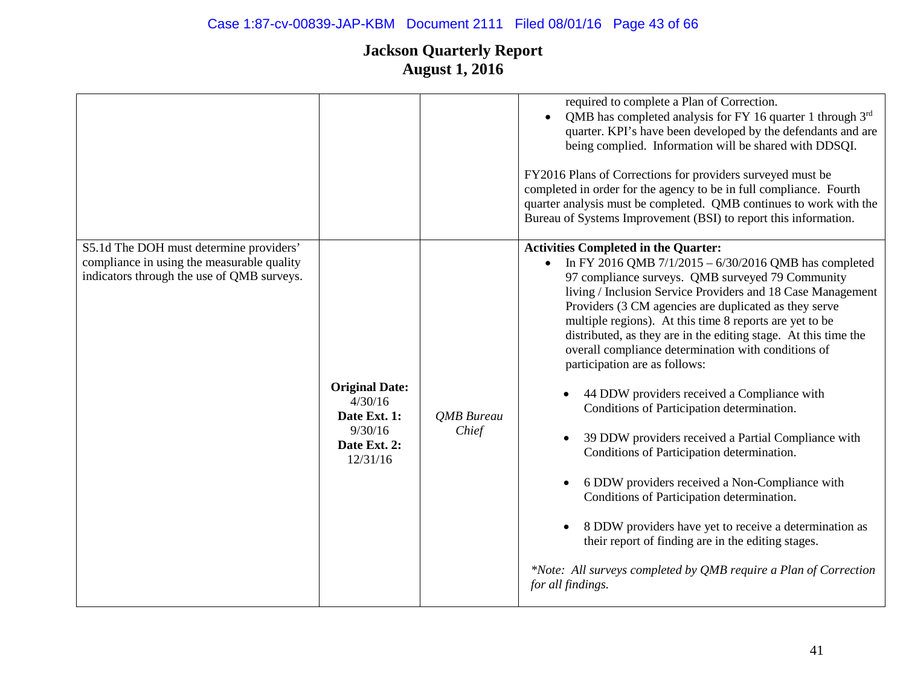|                                                                                                                                     |                                                                                         |                     | required to complete a Plan of Correction.<br>QMB has completed analysis for FY 16 quarter 1 through $3rd$<br>quarter. KPI's have been developed by the defendants and are<br>being complied. Information will be shared with DDSQI.<br>FY2016 Plans of Corrections for providers surveyed must be<br>completed in order for the agency to be in full compliance. Fourth<br>quarter analysis must be completed. QMB continues to work with the<br>Bureau of Systems Improvement (BSI) to report this information.                                                                                                                                                                                                                                                                                                                                                                                                                                                                                                   |
|-------------------------------------------------------------------------------------------------------------------------------------|-----------------------------------------------------------------------------------------|---------------------|---------------------------------------------------------------------------------------------------------------------------------------------------------------------------------------------------------------------------------------------------------------------------------------------------------------------------------------------------------------------------------------------------------------------------------------------------------------------------------------------------------------------------------------------------------------------------------------------------------------------------------------------------------------------------------------------------------------------------------------------------------------------------------------------------------------------------------------------------------------------------------------------------------------------------------------------------------------------------------------------------------------------|
| S5.1d The DOH must determine providers'<br>compliance in using the measurable quality<br>indicators through the use of QMB surveys. | <b>Original Date:</b><br>4/30/16<br>Date Ext. 1:<br>9/30/16<br>Date Ext. 2:<br>12/31/16 | QMB Bureau<br>Chief | <b>Activities Completed in the Quarter:</b><br>In FY 2016 QMB $7/1/2015 - 6/30/2016$ QMB has completed<br>97 compliance surveys. QMB surveyed 79 Community<br>living / Inclusion Service Providers and 18 Case Management<br>Providers (3 CM agencies are duplicated as they serve<br>multiple regions). At this time 8 reports are yet to be<br>distributed, as they are in the editing stage. At this time the<br>overall compliance determination with conditions of<br>participation are as follows:<br>44 DDW providers received a Compliance with<br>Conditions of Participation determination.<br>39 DDW providers received a Partial Compliance with<br>Conditions of Participation determination.<br>6 DDW providers received a Non-Compliance with<br>Conditions of Participation determination.<br>8 DDW providers have yet to receive a determination as<br>their report of finding are in the editing stages.<br>*Note: All surveys completed by QMB require a Plan of Correction<br>for all findings. |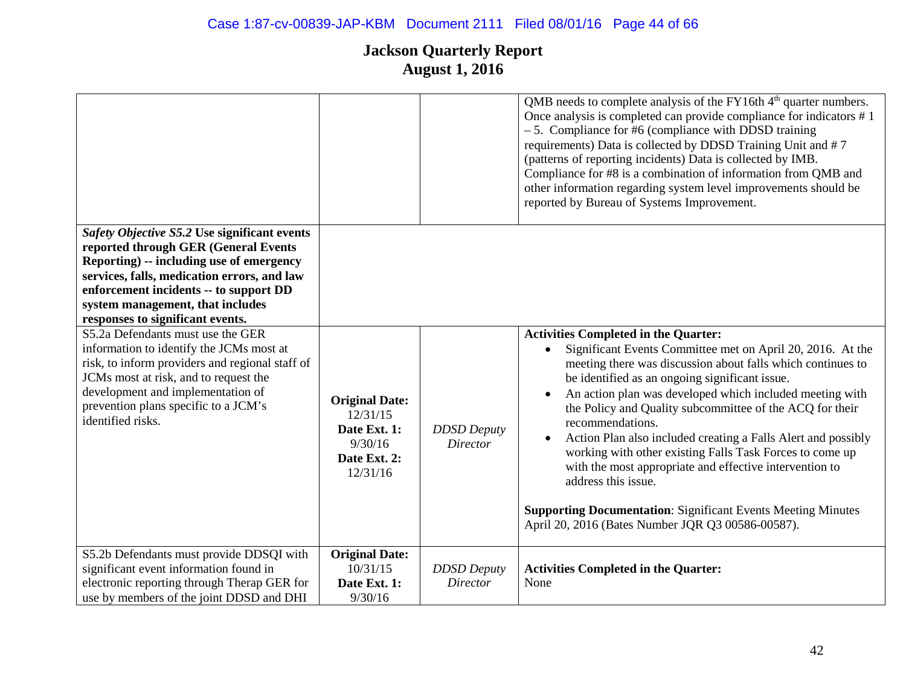# Case 1:87-cv-00839-JAP-KBM Document 2111 Filed 08/01/16 Page 44 of 66

|                                                                                                                                                                                                                                                                                                   |                                                                                          |                                       | QMB needs to complete analysis of the FY16th 4 <sup>th</sup> quarter numbers.<br>Once analysis is completed can provide compliance for indicators #1<br>$-5$ . Compliance for #6 (compliance with DDSD training<br>requirements) Data is collected by DDSD Training Unit and #7<br>(patterns of reporting incidents) Data is collected by IMB.<br>Compliance for #8 is a combination of information from QMB and<br>other information regarding system level improvements should be<br>reported by Bureau of Systems Improvement.                                                                                                                                                                                              |
|---------------------------------------------------------------------------------------------------------------------------------------------------------------------------------------------------------------------------------------------------------------------------------------------------|------------------------------------------------------------------------------------------|---------------------------------------|--------------------------------------------------------------------------------------------------------------------------------------------------------------------------------------------------------------------------------------------------------------------------------------------------------------------------------------------------------------------------------------------------------------------------------------------------------------------------------------------------------------------------------------------------------------------------------------------------------------------------------------------------------------------------------------------------------------------------------|
| Safety Objective S5.2 Use significant events<br>reported through GER (General Events<br>Reporting) -- including use of emergency<br>services, falls, medication errors, and law<br>enforcement incidents -- to support DD<br>system management, that includes<br>responses to significant events. |                                                                                          |                                       |                                                                                                                                                                                                                                                                                                                                                                                                                                                                                                                                                                                                                                                                                                                                |
| S5.2a Defendants must use the GER<br>information to identify the JCMs most at<br>risk, to inform providers and regional staff of<br>JCMs most at risk, and to request the<br>development and implementation of<br>prevention plans specific to a JCM's<br>identified risks.                       | <b>Original Date:</b><br>12/31/15<br>Date Ext. 1:<br>9/30/16<br>Date Ext. 2:<br>12/31/16 | <b>DDSD</b> Deputy<br><b>Director</b> | <b>Activities Completed in the Quarter:</b><br>Significant Events Committee met on April 20, 2016. At the<br>meeting there was discussion about falls which continues to<br>be identified as an ongoing significant issue.<br>An action plan was developed which included meeting with<br>the Policy and Quality subcommittee of the ACQ for their<br>recommendations.<br>Action Plan also included creating a Falls Alert and possibly<br>$\bullet$<br>working with other existing Falls Task Forces to come up<br>with the most appropriate and effective intervention to<br>address this issue.<br><b>Supporting Documentation: Significant Events Meeting Minutes</b><br>April 20, 2016 (Bates Number JQR Q3 00586-00587). |
| S5.2b Defendants must provide DDSQI with<br>significant event information found in<br>electronic reporting through Therap GER for<br>use by members of the joint DDSD and DHI                                                                                                                     | <b>Original Date:</b><br>10/31/15<br>Date Ext. 1:<br>9/30/16                             | <b>DDSD</b> Deputy<br><b>Director</b> | <b>Activities Completed in the Quarter:</b><br>None                                                                                                                                                                                                                                                                                                                                                                                                                                                                                                                                                                                                                                                                            |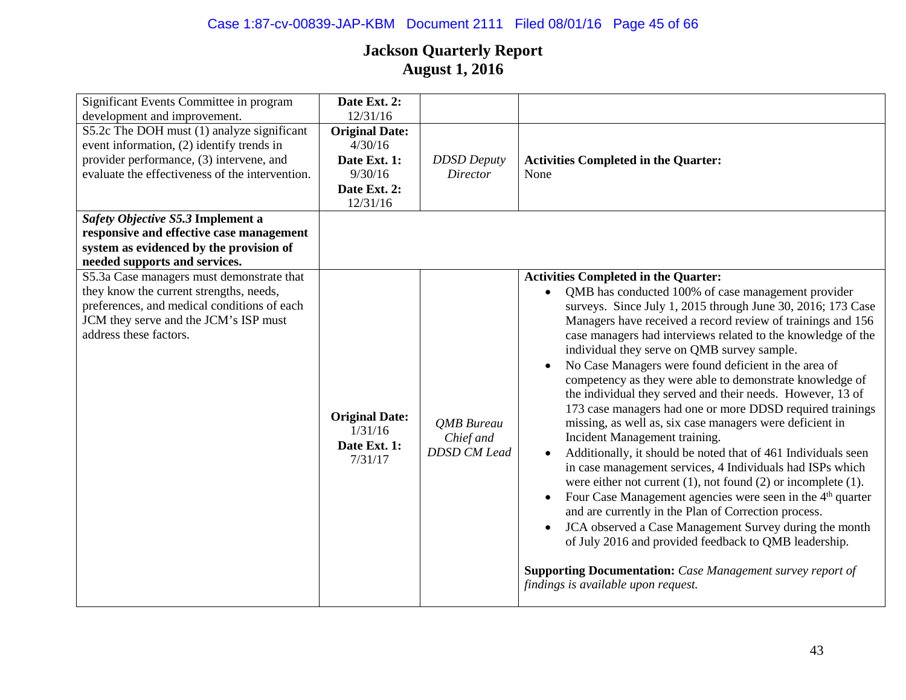# Case 1:87-cv-00839-JAP-KBM Document 2111 Filed 08/01/16 Page 45 of 66

| Significant Events Committee in program         | Date Ext. 2:          |                     |                                                                        |
|-------------------------------------------------|-----------------------|---------------------|------------------------------------------------------------------------|
| development and improvement.                    | 12/31/16              |                     |                                                                        |
| S5.2c The DOH must (1) analyze significant      | <b>Original Date:</b> |                     |                                                                        |
| event information, (2) identify trends in       | 4/30/16               |                     |                                                                        |
| provider performance, (3) intervene, and        | Date Ext. 1:          | <b>DDSD</b> Deputy  | <b>Activities Completed in the Quarter:</b>                            |
| evaluate the effectiveness of the intervention. | 9/30/16               | <b>Director</b>     | None                                                                   |
|                                                 | Date Ext. 2:          |                     |                                                                        |
|                                                 | 12/31/16              |                     |                                                                        |
| Safety Objective S5.3 Implement a               |                       |                     |                                                                        |
| responsive and effective case management        |                       |                     |                                                                        |
| system as evidenced by the provision of         |                       |                     |                                                                        |
| needed supports and services.                   |                       |                     |                                                                        |
| S5.3a Case managers must demonstrate that       |                       |                     | <b>Activities Completed in the Quarter:</b>                            |
| they know the current strengths, needs,         |                       |                     | QMB has conducted 100% of case management provider                     |
| preferences, and medical conditions of each     |                       |                     | surveys. Since July 1, 2015 through June 30, 2016; 173 Case            |
| JCM they serve and the JCM's ISP must           |                       |                     | Managers have received a record review of trainings and 156            |
| address these factors.                          |                       |                     | case managers had interviews related to the knowledge of the           |
|                                                 |                       |                     | individual they serve on QMB survey sample.                            |
|                                                 |                       |                     | No Case Managers were found deficient in the area of                   |
|                                                 |                       |                     | competency as they were able to demonstrate knowledge of               |
|                                                 |                       |                     | the individual they served and their needs. However, 13 of             |
|                                                 |                       |                     | 173 case managers had one or more DDSD required trainings              |
|                                                 | <b>Original Date:</b> | <b>QMB</b> Bureau   | missing, as well as, six case managers were deficient in               |
|                                                 | 1/31/16               | Chief and           | Incident Management training.                                          |
|                                                 | Date Ext. 1:          | <b>DDSD CM Lead</b> | Additionally, it should be noted that of 461 Individuals seen          |
|                                                 | 7/31/17               |                     | in case management services, 4 Individuals had ISPs which              |
|                                                 |                       |                     | were either not current $(1)$ , not found $(2)$ or incomplete $(1)$ .  |
|                                                 |                       |                     |                                                                        |
|                                                 |                       |                     | Four Case Management agencies were seen in the 4 <sup>th</sup> quarter |
|                                                 |                       |                     | and are currently in the Plan of Correction process.                   |
|                                                 |                       |                     | JCA observed a Case Management Survey during the month                 |
|                                                 |                       |                     | of July 2016 and provided feedback to QMB leadership.                  |
|                                                 |                       |                     |                                                                        |
|                                                 |                       |                     | <b>Supporting Documentation:</b> Case Management survey report of      |
|                                                 |                       |                     | findings is available upon request.                                    |
|                                                 |                       |                     |                                                                        |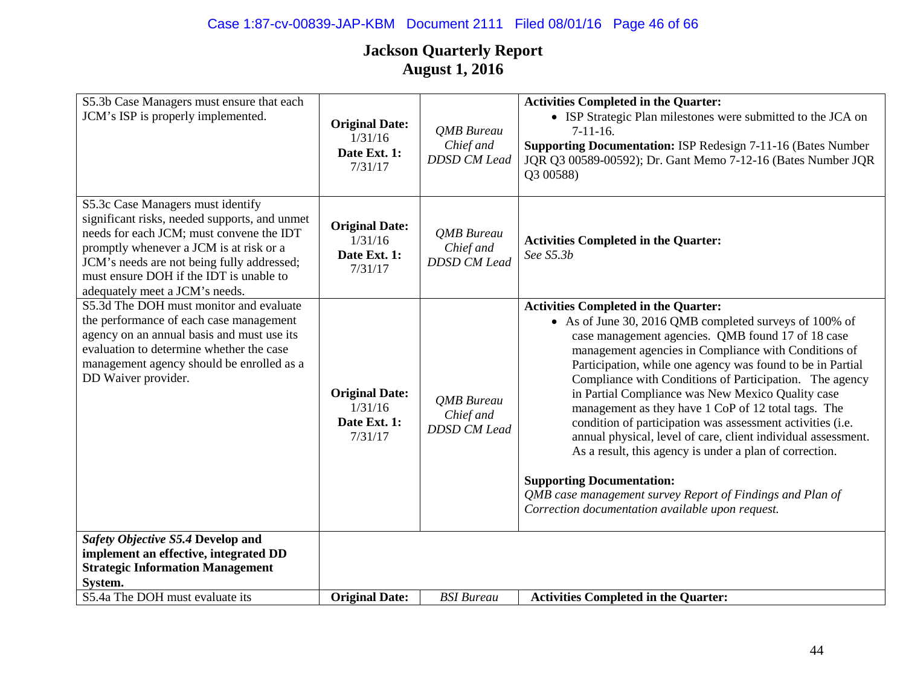| S5.3b Case Managers must ensure that each<br>JCM's ISP is properly implemented.                                                                                                                                                                                                                      | <b>Original Date:</b><br>1/31/16<br>Date Ext. 1:<br>7/31/17 | QMB Bureau<br>Chief and<br><b>DDSD CM Lead</b> | <b>Activities Completed in the Quarter:</b><br>• ISP Strategic Plan milestones were submitted to the JCA on<br>$7-11-16$ .<br><b>Supporting Documentation: ISP Redesign 7-11-16 (Bates Number)</b><br>JQR Q3 00589-00592); Dr. Gant Memo 7-12-16 (Bates Number JQR<br>Q3 00588)                                                                                                                                                                                                                                                                                                                                                                                                                                                                                                                        |
|------------------------------------------------------------------------------------------------------------------------------------------------------------------------------------------------------------------------------------------------------------------------------------------------------|-------------------------------------------------------------|------------------------------------------------|--------------------------------------------------------------------------------------------------------------------------------------------------------------------------------------------------------------------------------------------------------------------------------------------------------------------------------------------------------------------------------------------------------------------------------------------------------------------------------------------------------------------------------------------------------------------------------------------------------------------------------------------------------------------------------------------------------------------------------------------------------------------------------------------------------|
| S5.3c Case Managers must identify<br>significant risks, needed supports, and unmet<br>needs for each JCM; must convene the IDT<br>promptly whenever a JCM is at risk or a<br>JCM's needs are not being fully addressed;<br>must ensure DOH if the IDT is unable to<br>adequately meet a JCM's needs. | <b>Original Date:</b><br>1/31/16<br>Date Ext. 1:<br>7/31/17 | QMB Bureau<br>Chief and<br><b>DDSD CM Lead</b> | <b>Activities Completed in the Quarter:</b><br>See S5.3b                                                                                                                                                                                                                                                                                                                                                                                                                                                                                                                                                                                                                                                                                                                                               |
| S5.3d The DOH must monitor and evaluate<br>the performance of each case management<br>agency on an annual basis and must use its<br>evaluation to determine whether the case<br>management agency should be enrolled as a<br>DD Waiver provider.                                                     | <b>Original Date:</b><br>1/31/16<br>Date Ext. 1:<br>7/31/17 | QMB Bureau<br>Chief and<br><b>DDSD CM Lead</b> | <b>Activities Completed in the Quarter:</b><br>• As of June 30, 2016 QMB completed surveys of 100% of<br>case management agencies. QMB found 17 of 18 case<br>management agencies in Compliance with Conditions of<br>Participation, while one agency was found to be in Partial<br>Compliance with Conditions of Participation. The agency<br>in Partial Compliance was New Mexico Quality case<br>management as they have 1 CoP of 12 total tags. The<br>condition of participation was assessment activities (i.e.<br>annual physical, level of care, client individual assessment.<br>As a result, this agency is under a plan of correction.<br><b>Supporting Documentation:</b><br>QMB case management survey Report of Findings and Plan of<br>Correction documentation available upon request. |
| Safety Objective S5.4 Develop and<br>implement an effective, integrated DD<br><b>Strategic Information Management</b>                                                                                                                                                                                |                                                             |                                                |                                                                                                                                                                                                                                                                                                                                                                                                                                                                                                                                                                                                                                                                                                                                                                                                        |
| System.                                                                                                                                                                                                                                                                                              |                                                             |                                                |                                                                                                                                                                                                                                                                                                                                                                                                                                                                                                                                                                                                                                                                                                                                                                                                        |
| S5.4a The DOH must evaluate its                                                                                                                                                                                                                                                                      | <b>Original Date:</b>                                       | <b>BSI</b> Bureau                              | <b>Activities Completed in the Quarter:</b>                                                                                                                                                                                                                                                                                                                                                                                                                                                                                                                                                                                                                                                                                                                                                            |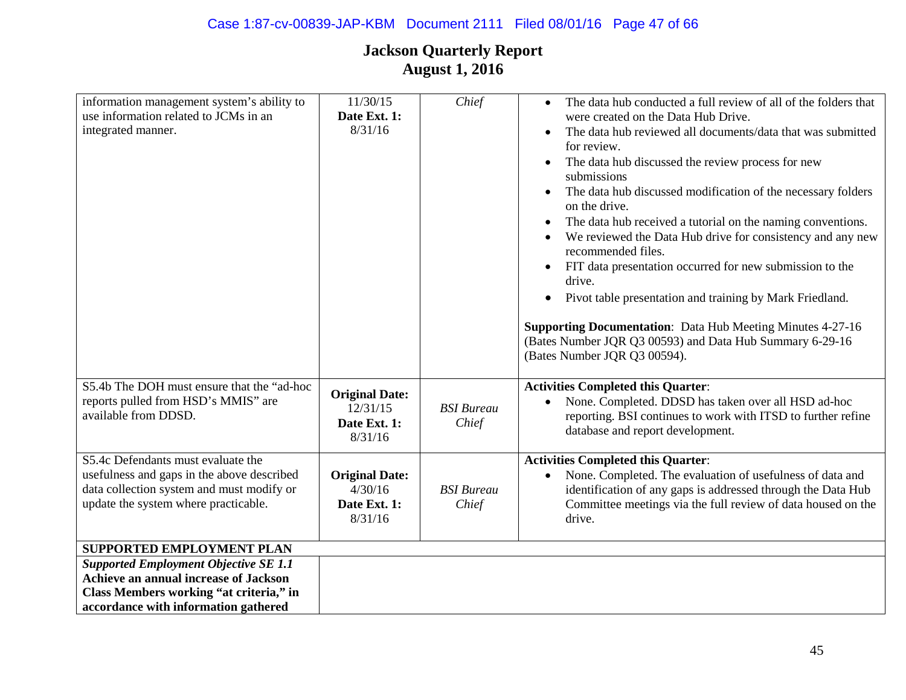| information management system's ability to<br>use information related to JCMs in an<br>integrated manner.                                                             | 11/30/15<br>Date Ext. 1:<br>8/31/16                          | Chief                      | The data hub conducted a full review of all of the folders that<br>$\bullet$<br>were created on the Data Hub Drive.<br>The data hub reviewed all documents/data that was submitted<br>for review.<br>The data hub discussed the review process for new<br>$\bullet$<br>submissions<br>The data hub discussed modification of the necessary folders<br>$\bullet$<br>on the drive.<br>The data hub received a tutorial on the naming conventions.<br>We reviewed the Data Hub drive for consistency and any new<br>recommended files.<br>FIT data presentation occurred for new submission to the<br>$\bullet$<br>drive.<br>Pivot table presentation and training by Mark Friedland.<br>$\bullet$<br><b>Supporting Documentation:</b> Data Hub Meeting Minutes 4-27-16<br>(Bates Number JQR Q3 00593) and Data Hub Summary 6-29-16<br>(Bates Number JQR Q3 00594). |
|-----------------------------------------------------------------------------------------------------------------------------------------------------------------------|--------------------------------------------------------------|----------------------------|------------------------------------------------------------------------------------------------------------------------------------------------------------------------------------------------------------------------------------------------------------------------------------------------------------------------------------------------------------------------------------------------------------------------------------------------------------------------------------------------------------------------------------------------------------------------------------------------------------------------------------------------------------------------------------------------------------------------------------------------------------------------------------------------------------------------------------------------------------------|
| S5.4b The DOH must ensure that the "ad-hoc<br>reports pulled from HSD's MMIS" are<br>available from DDSD.                                                             | <b>Original Date:</b><br>12/31/15<br>Date Ext. 1:<br>8/31/16 | <b>BSI</b> Bureau<br>Chief | <b>Activities Completed this Quarter:</b><br>None. Completed. DDSD has taken over all HSD ad-hoc<br>$\bullet$<br>reporting. BSI continues to work with ITSD to further refine<br>database and report development.                                                                                                                                                                                                                                                                                                                                                                                                                                                                                                                                                                                                                                                |
| S5.4c Defendants must evaluate the<br>usefulness and gaps in the above described<br>data collection system and must modify or<br>update the system where practicable. | <b>Original Date:</b><br>4/30/16<br>Date Ext. 1:<br>8/31/16  | <b>BSI</b> Bureau<br>Chief | <b>Activities Completed this Quarter:</b><br>None. Completed. The evaluation of usefulness of data and<br>identification of any gaps is addressed through the Data Hub<br>Committee meetings via the full review of data housed on the<br>drive.                                                                                                                                                                                                                                                                                                                                                                                                                                                                                                                                                                                                                 |
| SUPPORTED EMPLOYMENT PLAN                                                                                                                                             |                                                              |                            |                                                                                                                                                                                                                                                                                                                                                                                                                                                                                                                                                                                                                                                                                                                                                                                                                                                                  |
| <b>Supported Employment Objective SE 1.1</b>                                                                                                                          |                                                              |                            |                                                                                                                                                                                                                                                                                                                                                                                                                                                                                                                                                                                                                                                                                                                                                                                                                                                                  |
| Achieve an annual increase of Jackson                                                                                                                                 |                                                              |                            |                                                                                                                                                                                                                                                                                                                                                                                                                                                                                                                                                                                                                                                                                                                                                                                                                                                                  |
| Class Members working "at criteria," in                                                                                                                               |                                                              |                            |                                                                                                                                                                                                                                                                                                                                                                                                                                                                                                                                                                                                                                                                                                                                                                                                                                                                  |
| accordance with information gathered                                                                                                                                  |                                                              |                            |                                                                                                                                                                                                                                                                                                                                                                                                                                                                                                                                                                                                                                                                                                                                                                                                                                                                  |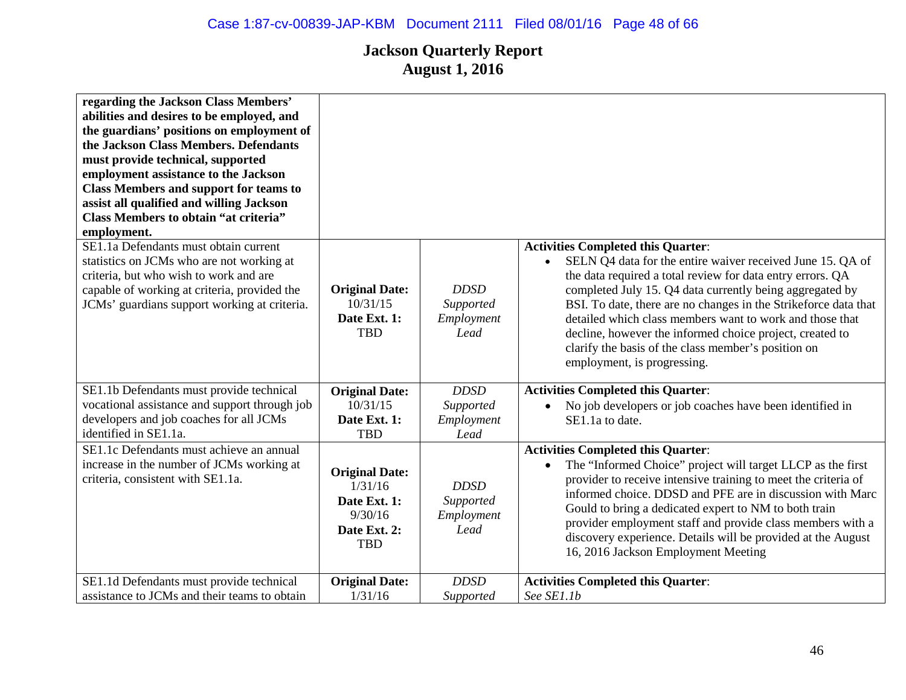| regarding the Jackson Class Members'<br>abilities and desires to be employed, and<br>the guardians' positions on employment of<br>the Jackson Class Members. Defendants<br>must provide technical, supported<br>employment assistance to the Jackson<br><b>Class Members and support for teams to</b><br>assist all qualified and willing Jackson<br><b>Class Members to obtain "at criteria"</b><br>employment. |                                                                                           |                                                |                                                                                                                                                                                                                                                                                                                                                                                                                                                                                                                    |
|------------------------------------------------------------------------------------------------------------------------------------------------------------------------------------------------------------------------------------------------------------------------------------------------------------------------------------------------------------------------------------------------------------------|-------------------------------------------------------------------------------------------|------------------------------------------------|--------------------------------------------------------------------------------------------------------------------------------------------------------------------------------------------------------------------------------------------------------------------------------------------------------------------------------------------------------------------------------------------------------------------------------------------------------------------------------------------------------------------|
| SE1.1a Defendants must obtain current<br>statistics on JCMs who are not working at<br>criteria, but who wish to work and are<br>capable of working at criteria, provided the<br>JCMs' guardians support working at criteria.                                                                                                                                                                                     | <b>Original Date:</b><br>10/31/15<br>Date Ext. 1:<br><b>TBD</b>                           | <b>DDSD</b><br>Supported<br>Employment<br>Lead | <b>Activities Completed this Quarter:</b><br>SELN Q4 data for the entire waiver received June 15. QA of<br>the data required a total review for data entry errors. QA<br>completed July 15. Q4 data currently being aggregated by<br>BSI. To date, there are no changes in the Strikeforce data that<br>detailed which class members want to work and those that<br>decline, however the informed choice project, created to<br>clarify the basis of the class member's position on<br>employment, is progressing. |
| SE1.1b Defendants must provide technical                                                                                                                                                                                                                                                                                                                                                                         | <b>Original Date:</b>                                                                     | <b>DDSD</b>                                    | <b>Activities Completed this Quarter:</b>                                                                                                                                                                                                                                                                                                                                                                                                                                                                          |
| vocational assistance and support through job<br>developers and job coaches for all JCMs<br>identified in SE1.1a.                                                                                                                                                                                                                                                                                                | 10/31/15<br>Date Ext. 1:<br><b>TBD</b>                                                    | Supported<br>Employment<br>Lead                | No job developers or job coaches have been identified in<br>SE1.1a to date.                                                                                                                                                                                                                                                                                                                                                                                                                                        |
| SE1.1c Defendants must achieve an annual<br>increase in the number of JCMs working at<br>criteria, consistent with SE1.1a.                                                                                                                                                                                                                                                                                       | <b>Original Date:</b><br>1/31/16<br>Date Ext. 1:<br>9/30/16<br>Date Ext. 2:<br><b>TBD</b> | <b>DDSD</b><br>Supported<br>Employment<br>Lead | <b>Activities Completed this Quarter:</b><br>The "Informed Choice" project will target LLCP as the first<br>$\bullet$<br>provider to receive intensive training to meet the criteria of<br>informed choice. DDSD and PFE are in discussion with Marc<br>Gould to bring a dedicated expert to NM to both train<br>provider employment staff and provide class members with a<br>discovery experience. Details will be provided at the August<br>16, 2016 Jackson Employment Meeting                                 |
| SE1.1d Defendants must provide technical                                                                                                                                                                                                                                                                                                                                                                         | <b>Original Date:</b>                                                                     | <b>DDSD</b>                                    | <b>Activities Completed this Quarter:</b>                                                                                                                                                                                                                                                                                                                                                                                                                                                                          |
| assistance to JCMs and their teams to obtain                                                                                                                                                                                                                                                                                                                                                                     | 1/31/16                                                                                   | Supported                                      | See SE1.1b                                                                                                                                                                                                                                                                                                                                                                                                                                                                                                         |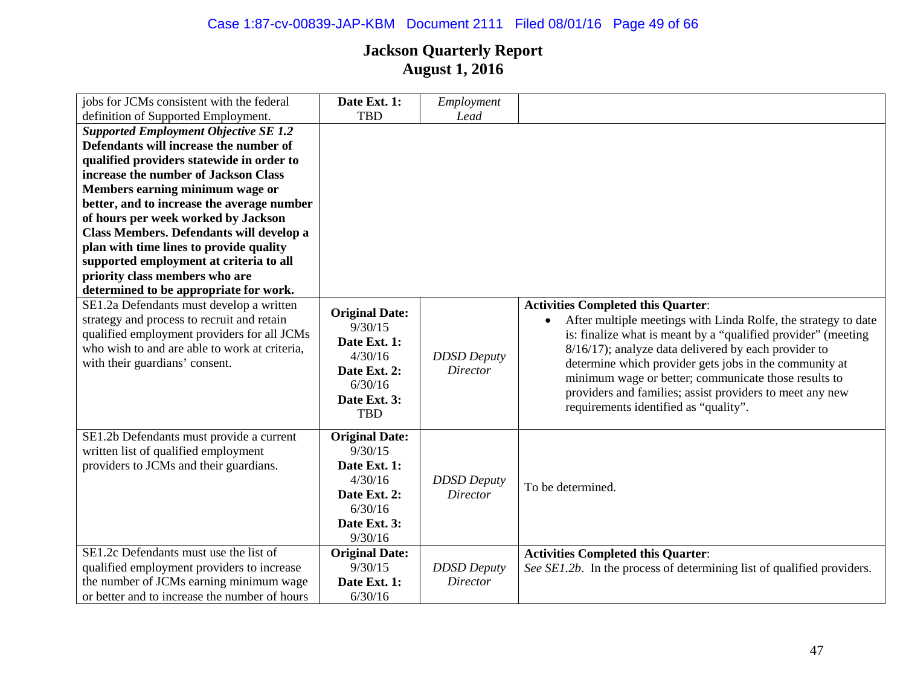| jobs for JCMs consistent with the federal     | Date Ext. 1:                     | Employment         |                                                                        |
|-----------------------------------------------|----------------------------------|--------------------|------------------------------------------------------------------------|
| definition of Supported Employment.           | <b>TBD</b>                       | Lead               |                                                                        |
| <b>Supported Employment Objective SE 1.2</b>  |                                  |                    |                                                                        |
| Defendants will increase the number of        |                                  |                    |                                                                        |
| qualified providers statewide in order to     |                                  |                    |                                                                        |
| increase the number of Jackson Class          |                                  |                    |                                                                        |
| Members earning minimum wage or               |                                  |                    |                                                                        |
| better, and to increase the average number    |                                  |                    |                                                                        |
| of hours per week worked by Jackson           |                                  |                    |                                                                        |
| Class Members. Defendants will develop a      |                                  |                    |                                                                        |
| plan with time lines to provide quality       |                                  |                    |                                                                        |
| supported employment at criteria to all       |                                  |                    |                                                                        |
| priority class members who are                |                                  |                    |                                                                        |
| determined to be appropriate for work.        |                                  |                    |                                                                        |
| SE1.2a Defendants must develop a written      |                                  |                    | <b>Activities Completed this Quarter:</b>                              |
| strategy and process to recruit and retain    | <b>Original Date:</b><br>9/30/15 |                    | After multiple meetings with Linda Rolfe, the strategy to date         |
| qualified employment providers for all JCMs   | Date Ext. 1:                     |                    | is: finalize what is meant by a "qualified provider" (meeting          |
| who wish to and are able to work at criteria, |                                  |                    | 8/16/17); analyze data delivered by each provider to                   |
| with their guardians' consent.                | 4/30/16                          | <b>DDSD</b> Deputy | determine which provider gets jobs in the community at                 |
|                                               | Date Ext. 2:                     | <b>Director</b>    | minimum wage or better; communicate those results to                   |
|                                               | 6/30/16                          |                    | providers and families; assist providers to meet any new               |
|                                               | Date Ext. 3:<br><b>TBD</b>       |                    | requirements identified as "quality".                                  |
|                                               |                                  |                    |                                                                        |
| SE1.2b Defendants must provide a current      | <b>Original Date:</b>            |                    |                                                                        |
| written list of qualified employment          | 9/30/15                          |                    |                                                                        |
| providers to JCMs and their guardians.        | Date Ext. 1:                     |                    |                                                                        |
|                                               | 4/30/16                          | <b>DDSD</b> Deputy |                                                                        |
|                                               | Date Ext. 2:                     | <b>Director</b>    | To be determined.                                                      |
|                                               | 6/30/16                          |                    |                                                                        |
|                                               | Date Ext. 3:                     |                    |                                                                        |
|                                               | 9/30/16                          |                    |                                                                        |
| SE1.2c Defendants must use the list of        | <b>Original Date:</b>            |                    | <b>Activities Completed this Quarter:</b>                              |
| qualified employment providers to increase    | 9/30/15                          | <b>DDSD</b> Deputy | See SE1.2b. In the process of determining list of qualified providers. |
| the number of JCMs earning minimum wage       | Date Ext. 1:                     | <b>Director</b>    |                                                                        |
| or better and to increase the number of hours | 6/30/16                          |                    |                                                                        |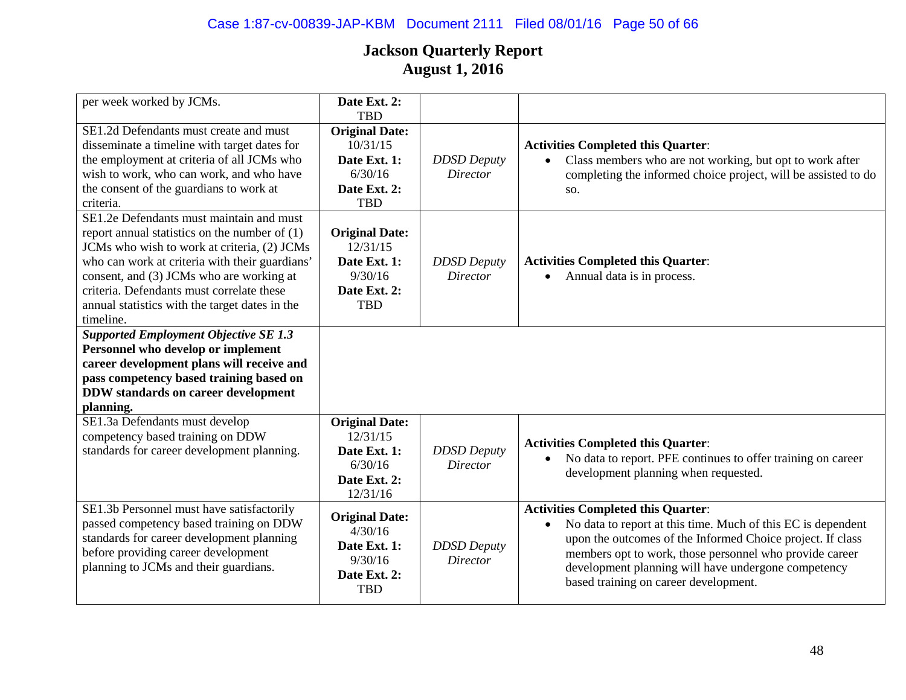# Case 1:87-cv-00839-JAP-KBM Document 2111 Filed 08/01/16 Page 50 of 66

| per week worked by JCMs.                                                                                                                                                                                                                                                                                                                             | Date Ext. 2:<br><b>TBD</b>                                                                 |                                       |                                                                                                                                                                                                                                                                                                                                                 |
|------------------------------------------------------------------------------------------------------------------------------------------------------------------------------------------------------------------------------------------------------------------------------------------------------------------------------------------------------|--------------------------------------------------------------------------------------------|---------------------------------------|-------------------------------------------------------------------------------------------------------------------------------------------------------------------------------------------------------------------------------------------------------------------------------------------------------------------------------------------------|
| SE1.2d Defendants must create and must<br>disseminate a timeline with target dates for<br>the employment at criteria of all JCMs who<br>wish to work, who can work, and who have<br>the consent of the guardians to work at<br>criteria.                                                                                                             | <b>Original Date:</b><br>10/31/15<br>Date Ext. 1:<br>6/30/16<br>Date Ext. 2:<br>TBD        | <b>DDSD</b> Deputy<br><b>Director</b> | <b>Activities Completed this Quarter:</b><br>Class members who are not working, but opt to work after<br>completing the informed choice project, will be assisted to do<br>SO.                                                                                                                                                                  |
| SE1.2e Defendants must maintain and must<br>report annual statistics on the number of $(1)$<br>JCMs who wish to work at criteria, (2) JCMs<br>who can work at criteria with their guardians'<br>consent, and (3) JCMs who are working at<br>criteria. Defendants must correlate these<br>annual statistics with the target dates in the<br>timeline. | <b>Original Date:</b><br>12/31/15<br>Date Ext. 1:<br>9/30/16<br>Date Ext. 2:<br><b>TBD</b> | <b>DDSD</b> Deputy<br><b>Director</b> | <b>Activities Completed this Quarter:</b><br>Annual data is in process.                                                                                                                                                                                                                                                                         |
| <b>Supported Employment Objective SE 1.3</b><br>Personnel who develop or implement<br>career development plans will receive and<br>pass competency based training based on<br><b>DDW</b> standards on career development<br>planning.                                                                                                                |                                                                                            |                                       |                                                                                                                                                                                                                                                                                                                                                 |
| SE1.3a Defendants must develop<br>competency based training on DDW<br>standards for career development planning.                                                                                                                                                                                                                                     | <b>Original Date:</b><br>12/31/15<br>Date Ext. 1:<br>6/30/16<br>Date Ext. 2:<br>12/31/16   | <b>DDSD</b> Deputy<br><b>Director</b> | <b>Activities Completed this Quarter:</b><br>No data to report. PFE continues to offer training on career<br>$\bullet$<br>development planning when requested.                                                                                                                                                                                  |
| SE1.3b Personnel must have satisfactorily<br>passed competency based training on DDW<br>standards for career development planning<br>before providing career development<br>planning to JCMs and their guardians.                                                                                                                                    | <b>Original Date:</b><br>4/30/16<br>Date Ext. 1:<br>9/30/16<br>Date Ext. 2:<br><b>TBD</b>  | <b>DDSD</b> Deputy<br><b>Director</b> | <b>Activities Completed this Quarter:</b><br>No data to report at this time. Much of this EC is dependent<br>$\bullet$<br>upon the outcomes of the Informed Choice project. If class<br>members opt to work, those personnel who provide career<br>development planning will have undergone competency<br>based training on career development. |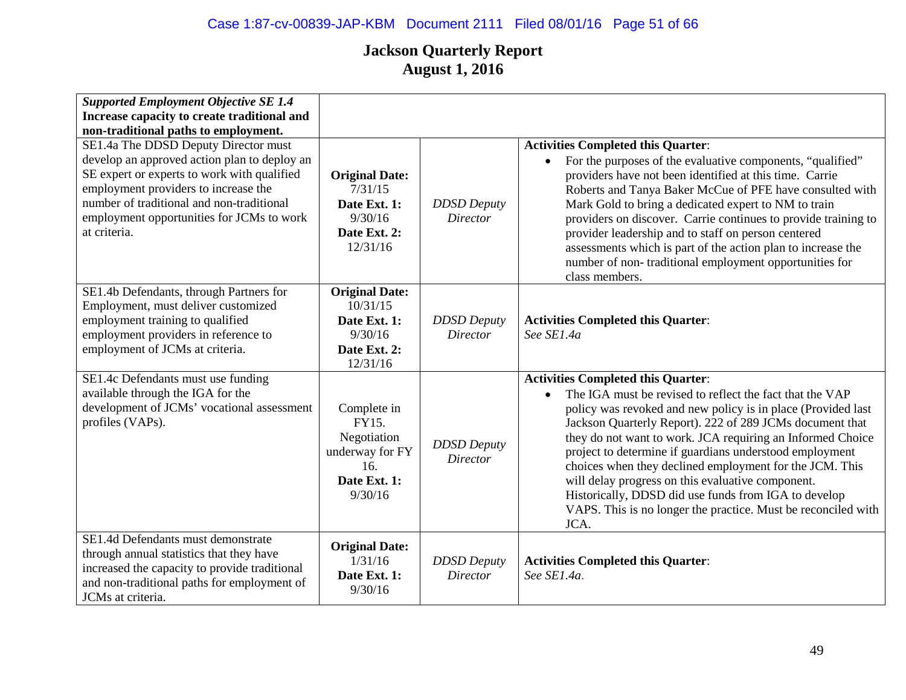| <b>Supported Employment Objective SE 1.4</b><br>Increase capacity to create traditional and<br>non-traditional paths to employment.                                                                                                                                                   |                                                                                          |                                       |                                                                                                                                                                                                                                                                                                                                                                                                                                                                                                                                                                                                                          |
|---------------------------------------------------------------------------------------------------------------------------------------------------------------------------------------------------------------------------------------------------------------------------------------|------------------------------------------------------------------------------------------|---------------------------------------|--------------------------------------------------------------------------------------------------------------------------------------------------------------------------------------------------------------------------------------------------------------------------------------------------------------------------------------------------------------------------------------------------------------------------------------------------------------------------------------------------------------------------------------------------------------------------------------------------------------------------|
| SE1.4a The DDSD Deputy Director must<br>develop an approved action plan to deploy an<br>SE expert or experts to work with qualified<br>employment providers to increase the<br>number of traditional and non-traditional<br>employment opportunities for JCMs to work<br>at criteria. | <b>Original Date:</b><br>7/31/15<br>Date Ext. 1:<br>9/30/16<br>Date Ext. 2:<br>12/31/16  | <b>DDSD</b> Deputy<br>Director        | <b>Activities Completed this Quarter:</b><br>For the purposes of the evaluative components, "qualified"<br>$\bullet$<br>providers have not been identified at this time. Carrie<br>Roberts and Tanya Baker McCue of PFE have consulted with<br>Mark Gold to bring a dedicated expert to NM to train<br>providers on discover. Carrie continues to provide training to<br>provider leadership and to staff on person centered<br>assessments which is part of the action plan to increase the<br>number of non-traditional employment opportunities for<br>class members.                                                 |
| SE1.4b Defendants, through Partners for<br>Employment, must deliver customized<br>employment training to qualified<br>employment providers in reference to<br>employment of JCMs at criteria.                                                                                         | <b>Original Date:</b><br>10/31/15<br>Date Ext. 1:<br>9/30/16<br>Date Ext. 2:<br>12/31/16 | <b>DDSD</b> Deputy<br>Director        | <b>Activities Completed this Quarter:</b><br>See SE1.4a                                                                                                                                                                                                                                                                                                                                                                                                                                                                                                                                                                  |
| SE1.4c Defendants must use funding<br>available through the IGA for the<br>development of JCMs' vocational assessment<br>profiles (VAPs).                                                                                                                                             | Complete in<br>FY15.<br>Negotiation<br>underway for FY<br>16.<br>Date Ext. 1:<br>9/30/16 | <b>DDSD</b> Deputy<br><b>Director</b> | <b>Activities Completed this Quarter:</b><br>The IGA must be revised to reflect the fact that the VAP<br>$\bullet$<br>policy was revoked and new policy is in place (Provided last<br>Jackson Quarterly Report). 222 of 289 JCMs document that<br>they do not want to work. JCA requiring an Informed Choice<br>project to determine if guardians understood employment<br>choices when they declined employment for the JCM. This<br>will delay progress on this evaluative component.<br>Historically, DDSD did use funds from IGA to develop<br>VAPS. This is no longer the practice. Must be reconciled with<br>JCA. |
| SE1.4d Defendants must demonstrate<br>through annual statistics that they have<br>increased the capacity to provide traditional<br>and non-traditional paths for employment of<br>JCMs at criteria.                                                                                   | <b>Original Date:</b><br>1/31/16<br>Date Ext. 1:<br>9/30/16                              | <b>DDSD</b> Deputy<br><b>Director</b> | <b>Activities Completed this Quarter:</b><br>See SE1.4a.                                                                                                                                                                                                                                                                                                                                                                                                                                                                                                                                                                 |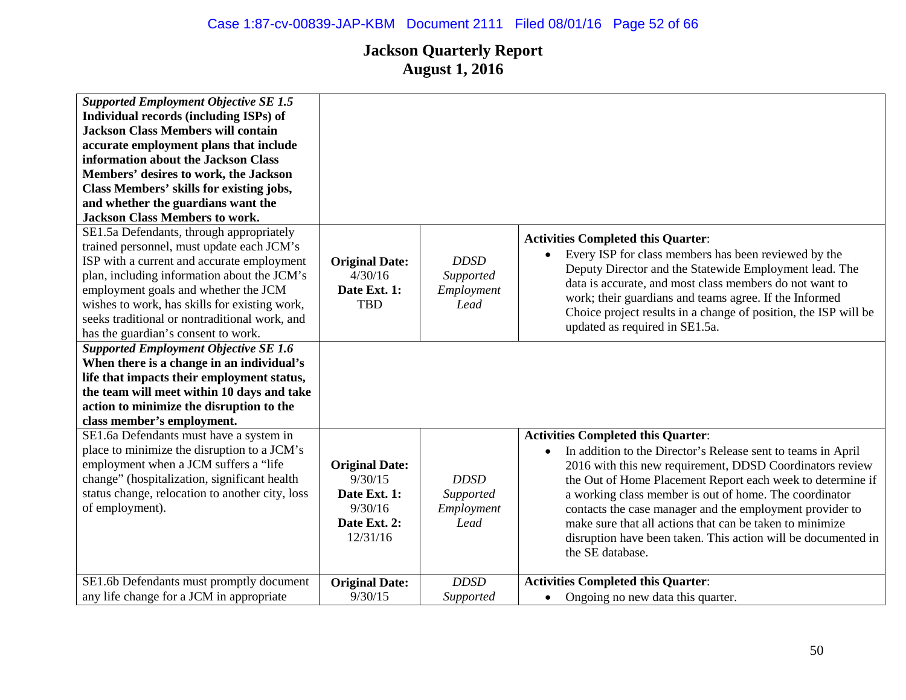| <b>Supported Employment Objective SE 1.5</b><br>Individual records (including ISPs) of<br><b>Jackson Class Members will contain</b><br>accurate employment plans that include<br>information about the Jackson Class<br>Members' desires to work, the Jackson<br>Class Members' skills for existing jobs,<br>and whether the guardians want the<br><b>Jackson Class Members to work.</b> |                                                                                         |                                                |                                                                                                                                                                                                                                                                                                                                                                                                                                                                                                                         |
|------------------------------------------------------------------------------------------------------------------------------------------------------------------------------------------------------------------------------------------------------------------------------------------------------------------------------------------------------------------------------------------|-----------------------------------------------------------------------------------------|------------------------------------------------|-------------------------------------------------------------------------------------------------------------------------------------------------------------------------------------------------------------------------------------------------------------------------------------------------------------------------------------------------------------------------------------------------------------------------------------------------------------------------------------------------------------------------|
| SE1.5a Defendants, through appropriately<br>trained personnel, must update each JCM's<br>ISP with a current and accurate employment<br>plan, including information about the JCM's<br>employment goals and whether the JCM<br>wishes to work, has skills for existing work,<br>seeks traditional or nontraditional work, and<br>has the guardian's consent to work.                      | <b>Original Date:</b><br>4/30/16<br>Date Ext. 1:<br><b>TBD</b>                          | <b>DDSD</b><br>Supported<br>Employment<br>Lead | <b>Activities Completed this Quarter:</b><br>Every ISP for class members has been reviewed by the<br>$\bullet$<br>Deputy Director and the Statewide Employment lead. The<br>data is accurate, and most class members do not want to<br>work; their guardians and teams agree. If the Informed<br>Choice project results in a change of position, the ISP will be<br>updated as required in SE1.5a.                                                                                                                      |
| <b>Supported Employment Objective SE 1.6</b><br>When there is a change in an individual's<br>life that impacts their employment status,<br>the team will meet within 10 days and take<br>action to minimize the disruption to the<br>class member's employment.                                                                                                                          |                                                                                         |                                                |                                                                                                                                                                                                                                                                                                                                                                                                                                                                                                                         |
| SE1.6a Defendants must have a system in<br>place to minimize the disruption to a JCM's<br>employment when a JCM suffers a "life<br>change" (hospitalization, significant health<br>status change, relocation to another city, loss<br>of employment).                                                                                                                                    | <b>Original Date:</b><br>9/30/15<br>Date Ext. 1:<br>9/30/16<br>Date Ext. 2:<br>12/31/16 | <b>DDSD</b><br>Supported<br>Employment<br>Lead | <b>Activities Completed this Quarter:</b><br>In addition to the Director's Release sent to teams in April<br>$\bullet$<br>2016 with this new requirement, DDSD Coordinators review<br>the Out of Home Placement Report each week to determine if<br>a working class member is out of home. The coordinator<br>contacts the case manager and the employment provider to<br>make sure that all actions that can be taken to minimize<br>disruption have been taken. This action will be documented in<br>the SE database. |
| SE1.6b Defendants must promptly document<br>any life change for a JCM in appropriate                                                                                                                                                                                                                                                                                                     | <b>Original Date:</b><br>9/30/15                                                        | <b>DDSD</b><br>Supported                       | <b>Activities Completed this Quarter:</b><br>Ongoing no new data this quarter.<br>$\bullet$                                                                                                                                                                                                                                                                                                                                                                                                                             |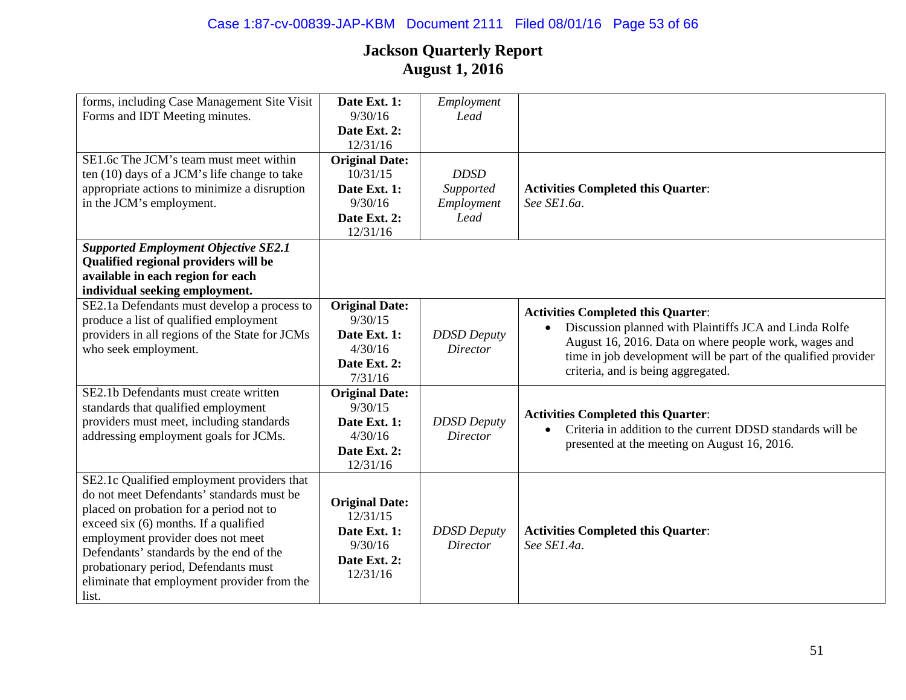| forms, including Case Management Site Visit    | Date Ext. 1:          | Employment         |                                                                |
|------------------------------------------------|-----------------------|--------------------|----------------------------------------------------------------|
| Forms and IDT Meeting minutes.                 | 9/30/16               | Lead               |                                                                |
|                                                | Date Ext. 2:          |                    |                                                                |
|                                                | 12/31/16              |                    |                                                                |
| SE1.6c The JCM's team must meet within         | <b>Original Date:</b> |                    |                                                                |
| ten (10) days of a JCM's life change to take   | 10/31/15              | <b>DDSD</b>        |                                                                |
| appropriate actions to minimize a disruption   | Date Ext. 1:          | Supported          | <b>Activities Completed this Quarter:</b>                      |
| in the JCM's employment.                       | 9/30/16               | Employment         | See SE1.6a.                                                    |
|                                                | Date Ext. 2:          | Lead               |                                                                |
|                                                | 12/31/16              |                    |                                                                |
| <b>Supported Employment Objective SE2.1</b>    |                       |                    |                                                                |
| Qualified regional providers will be           |                       |                    |                                                                |
| available in each region for each              |                       |                    |                                                                |
| individual seeking employment.                 |                       |                    |                                                                |
| SE2.1a Defendants must develop a process to    | <b>Original Date:</b> |                    | <b>Activities Completed this Quarter:</b>                      |
| produce a list of qualified employment         | 9/30/15               |                    | Discussion planned with Plaintiffs JCA and Linda Rolfe         |
| providers in all regions of the State for JCMs | Date Ext. 1:          | <b>DDSD</b> Deputy | August 16, 2016. Data on where people work, wages and          |
| who seek employment.                           | 4/30/16               | <b>Director</b>    | time in job development will be part of the qualified provider |
|                                                | Date Ext. 2:          |                    | criteria, and is being aggregated.                             |
|                                                | 7/31/16               |                    |                                                                |
| SE2.1b Defendants must create written          | <b>Original Date:</b> |                    |                                                                |
| standards that qualified employment            | 9/30/15               |                    | <b>Activities Completed this Quarter:</b>                      |
| providers must meet, including standards       | Date Ext. 1:          | <b>DDSD</b> Deputy | Criteria in addition to the current DDSD standards will be     |
| addressing employment goals for JCMs.          | 4/30/16               | Director           | presented at the meeting on August 16, 2016.                   |
|                                                | Date Ext. 2:          |                    |                                                                |
|                                                | 12/31/16              |                    |                                                                |
| SE2.1c Qualified employment providers that     |                       |                    |                                                                |
| do not meet Defendants' standards must be      | <b>Original Date:</b> |                    |                                                                |
| placed on probation for a period not to        | 12/31/15              |                    |                                                                |
| exceed six (6) months. If a qualified          | Date Ext. 1:          | <b>DDSD</b> Deputy | <b>Activities Completed this Quarter:</b>                      |
| employment provider does not meet              | 9/30/16               | Director           | See SE1.4a.                                                    |
| Defendants' standards by the end of the        | Date Ext. 2:          |                    |                                                                |
| probationary period, Defendants must           | 12/31/16              |                    |                                                                |
| eliminate that employment provider from the    |                       |                    |                                                                |
| list.                                          |                       |                    |                                                                |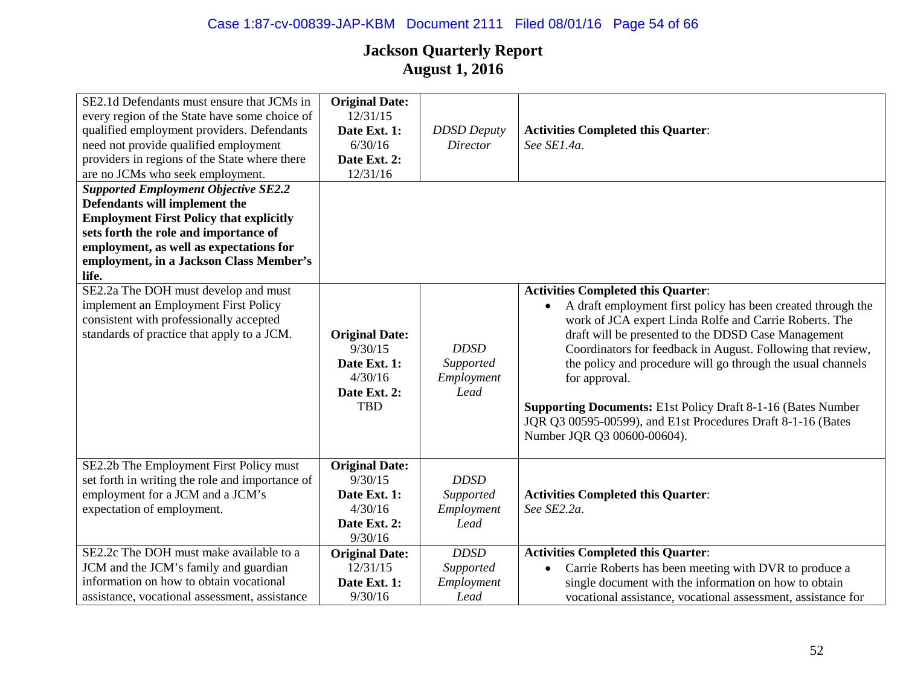| SE2.1d Defendants must ensure that JCMs in<br>every region of the State have some choice of<br>qualified employment providers. Defendants<br>need not provide qualified employment<br>providers in regions of the State where there<br>are no JCMs who seek employment. | <b>Original Date:</b><br>12/31/15<br>Date Ext. 1:<br>6/30/16<br>Date Ext. 2:<br>12/31/16  | <b>DDSD</b> Deputy<br>Director                 | <b>Activities Completed this Quarter:</b><br>See SE1.4a.                                                                                                                                                                                                                                                                                                                                                                                                                                                                                                     |
|-------------------------------------------------------------------------------------------------------------------------------------------------------------------------------------------------------------------------------------------------------------------------|-------------------------------------------------------------------------------------------|------------------------------------------------|--------------------------------------------------------------------------------------------------------------------------------------------------------------------------------------------------------------------------------------------------------------------------------------------------------------------------------------------------------------------------------------------------------------------------------------------------------------------------------------------------------------------------------------------------------------|
| <b>Supported Employment Objective SE2.2</b><br>Defendants will implement the<br><b>Employment First Policy that explicitly</b><br>sets forth the role and importance of<br>employment, as well as expectations for<br>employment, in a Jackson Class Member's<br>life.  |                                                                                           |                                                |                                                                                                                                                                                                                                                                                                                                                                                                                                                                                                                                                              |
| SE2.2a The DOH must develop and must<br>implement an Employment First Policy<br>consistent with professionally accepted<br>standards of practice that apply to a JCM.                                                                                                   | <b>Original Date:</b><br>9/30/15<br>Date Ext. 1:<br>4/30/16<br>Date Ext. 2:<br><b>TBD</b> | <b>DDSD</b><br>Supported<br>Employment<br>Lead | <b>Activities Completed this Quarter:</b><br>A draft employment first policy has been created through the<br>$\bullet$<br>work of JCA expert Linda Rolfe and Carrie Roberts. The<br>draft will be presented to the DDSD Case Management<br>Coordinators for feedback in August. Following that review,<br>the policy and procedure will go through the usual channels<br>for approval.<br><b>Supporting Documents:</b> E1st Policy Draft 8-1-16 (Bates Number<br>JQR Q3 00595-00599), and E1st Procedures Draft 8-1-16 (Bates<br>Number JQR Q3 00600-00604). |
| SE2.2b The Employment First Policy must<br>set forth in writing the role and importance of<br>employment for a JCM and a JCM's<br>expectation of employment.                                                                                                            | <b>Original Date:</b><br>9/30/15<br>Date Ext. 1:<br>4/30/16<br>Date Ext. 2:<br>9/30/16    | <b>DDSD</b><br>Supported<br>Employment<br>Lead | <b>Activities Completed this Quarter:</b><br>See SE2.2a.                                                                                                                                                                                                                                                                                                                                                                                                                                                                                                     |
| SE2.2c The DOH must make available to a<br>JCM and the JCM's family and guardian<br>information on how to obtain vocational<br>assistance, vocational assessment, assistance                                                                                            | <b>Original Date:</b><br>12/31/15<br>Date Ext. 1:<br>9/30/16                              | <b>DDSD</b><br>Supported<br>Employment<br>Lead | <b>Activities Completed this Quarter:</b><br>Carrie Roberts has been meeting with DVR to produce a<br>$\bullet$<br>single document with the information on how to obtain<br>vocational assistance, vocational assessment, assistance for                                                                                                                                                                                                                                                                                                                     |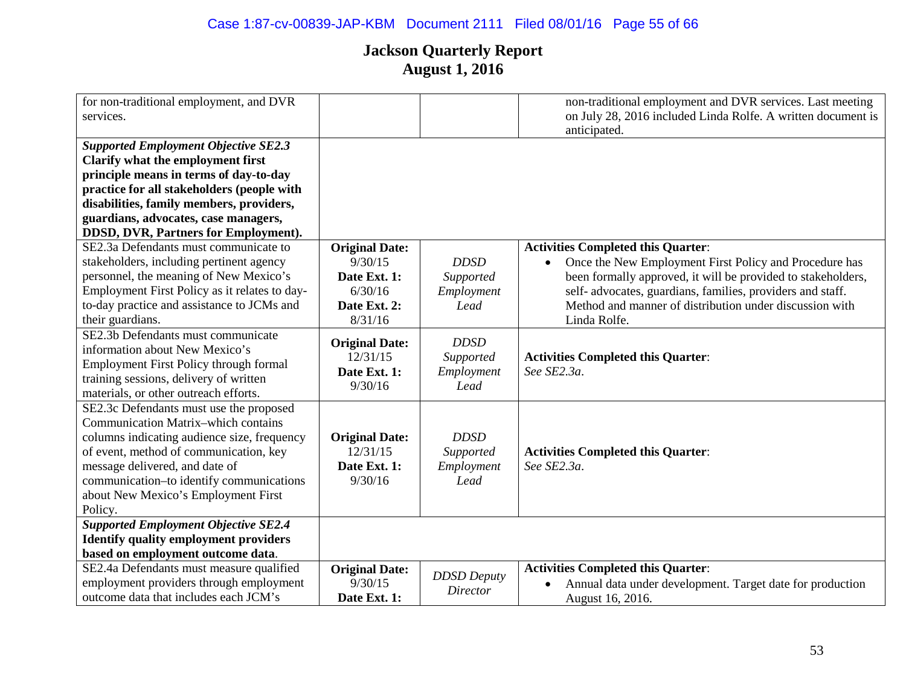# Case 1:87-cv-00839-JAP-KBM Document 2111 Filed 08/01/16 Page 55 of 66

| for non-traditional employment, and DVR       |                                   |                    | non-traditional employment and DVR services. Last meeting              |
|-----------------------------------------------|-----------------------------------|--------------------|------------------------------------------------------------------------|
| services.                                     |                                   |                    | on July 28, 2016 included Linda Rolfe. A written document is           |
|                                               |                                   |                    | anticipated.                                                           |
| <b>Supported Employment Objective SE2.3</b>   |                                   |                    |                                                                        |
| Clarify what the employment first             |                                   |                    |                                                                        |
| principle means in terms of day-to-day        |                                   |                    |                                                                        |
| practice for all stakeholders (people with    |                                   |                    |                                                                        |
| disabilities, family members, providers,      |                                   |                    |                                                                        |
| guardians, advocates, case managers,          |                                   |                    |                                                                        |
| DDSD, DVR, Partners for Employment).          |                                   |                    |                                                                        |
| SE2.3a Defendants must communicate to         | <b>Original Date:</b>             |                    | <b>Activities Completed this Quarter:</b>                              |
| stakeholders, including pertinent agency      | 9/30/15                           | <b>DDSD</b>        | Once the New Employment First Policy and Procedure has<br>$\bullet$    |
| personnel, the meaning of New Mexico's        | Date Ext. 1:                      | Supported          | been formally approved, it will be provided to stakeholders,           |
| Employment First Policy as it relates to day- | 6/30/16                           | Employment         | self- advocates, guardians, families, providers and staff.             |
| to-day practice and assistance to JCMs and    | Date Ext. 2:                      | Lead               | Method and manner of distribution under discussion with                |
| their guardians.                              | 8/31/16                           |                    | Linda Rolfe.                                                           |
| SE2.3b Defendants must communicate            |                                   | <b>DDSD</b>        |                                                                        |
| information about New Mexico's                | <b>Original Date:</b><br>12/31/15 |                    |                                                                        |
| <b>Employment First Policy through formal</b> |                                   | Supported          | <b>Activities Completed this Quarter:</b>                              |
| training sessions, delivery of written        | Date Ext. 1:                      | Employment         | See SE2.3a.                                                            |
| materials, or other outreach efforts.         | 9/30/16                           | Lead               |                                                                        |
| SE2.3c Defendants must use the proposed       |                                   |                    |                                                                        |
| <b>Communication Matrix-which contains</b>    |                                   |                    |                                                                        |
| columns indicating audience size, frequency   | <b>Original Date:</b>             | <b>DDSD</b>        |                                                                        |
| of event, method of communication, key        | 12/31/15                          | Supported          | <b>Activities Completed this Quarter:</b>                              |
| message delivered, and date of                | Date Ext. 1:                      | Employment         | See SE2.3a.                                                            |
| communication-to identify communications      | 9/30/16                           | Lead               |                                                                        |
| about New Mexico's Employment First           |                                   |                    |                                                                        |
| Policy.                                       |                                   |                    |                                                                        |
| <b>Supported Employment Objective SE2.4</b>   |                                   |                    |                                                                        |
| <b>Identify quality employment providers</b>  |                                   |                    |                                                                        |
| based on employment outcome data.             |                                   |                    |                                                                        |
| SE2.4a Defendants must measure qualified      | <b>Original Date:</b>             | <b>DDSD</b> Deputy | <b>Activities Completed this Quarter:</b>                              |
| employment providers through employment       | 9/30/15                           | Director           | Annual data under development. Target date for production<br>$\bullet$ |
| outcome data that includes each JCM's         | Date Ext. 1:                      |                    | August 16, 2016.                                                       |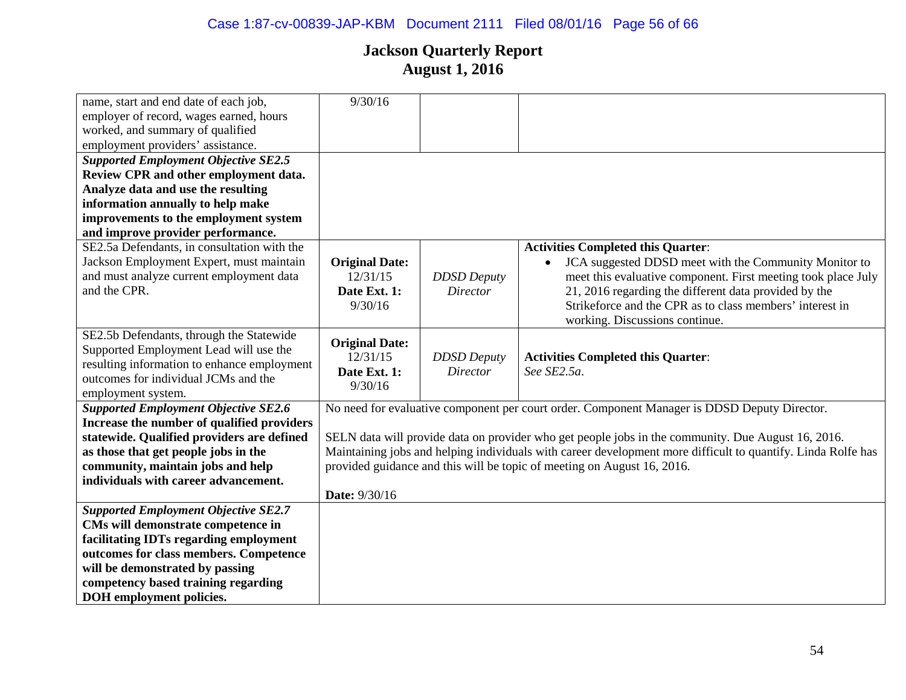# Case 1:87-cv-00839-JAP-KBM Document 2111 Filed 08/01/16 Page 56 of 66

| name, start and end date of each job,       | 9/30/16               |                    |                                                                                                              |
|---------------------------------------------|-----------------------|--------------------|--------------------------------------------------------------------------------------------------------------|
| employer of record, wages earned, hours     |                       |                    |                                                                                                              |
| worked, and summary of qualified            |                       |                    |                                                                                                              |
| employment providers' assistance.           |                       |                    |                                                                                                              |
| <b>Supported Employment Objective SE2.5</b> |                       |                    |                                                                                                              |
| Review CPR and other employment data.       |                       |                    |                                                                                                              |
| Analyze data and use the resulting          |                       |                    |                                                                                                              |
| information annually to help make           |                       |                    |                                                                                                              |
| improvements to the employment system       |                       |                    |                                                                                                              |
| and improve provider performance.           |                       |                    |                                                                                                              |
| SE2.5a Defendants, in consultation with the |                       |                    | <b>Activities Completed this Quarter:</b>                                                                    |
| Jackson Employment Expert, must maintain    | <b>Original Date:</b> |                    | JCA suggested DDSD meet with the Community Monitor to                                                        |
| and must analyze current employment data    | 12/31/15              | <b>DDSD</b> Deputy | meet this evaluative component. First meeting took place July                                                |
| and the CPR.                                | Date Ext. 1:          | <b>Director</b>    | 21, 2016 regarding the different data provided by the                                                        |
|                                             | 9/30/16               |                    | Strikeforce and the CPR as to class members' interest in                                                     |
|                                             |                       |                    | working. Discussions continue.                                                                               |
| SE2.5b Defendants, through the Statewide    |                       |                    |                                                                                                              |
| Supported Employment Lead will use the      | <b>Original Date:</b> |                    |                                                                                                              |
| resulting information to enhance employment | 12/31/15              | <b>DDSD</b> Deputy | <b>Activities Completed this Quarter:</b>                                                                    |
| outcomes for individual JCMs and the        | Date Ext. 1:          | <b>Director</b>    | See SE2.5a.                                                                                                  |
| employment system.                          | 9/30/16               |                    |                                                                                                              |
| <b>Supported Employment Objective SE2.6</b> |                       |                    | No need for evaluative component per court order. Component Manager is DDSD Deputy Director.                 |
| Increase the number of qualified providers  |                       |                    |                                                                                                              |
| statewide. Qualified providers are defined  |                       |                    | SELN data will provide data on provider who get people jobs in the community. Due August 16, 2016.           |
| as those that get people jobs in the        |                       |                    | Maintaining jobs and helping individuals with career development more difficult to quantify. Linda Rolfe has |
| community, maintain jobs and help           |                       |                    | provided guidance and this will be topic of meeting on August 16, 2016.                                      |
| individuals with career advancement.        |                       |                    |                                                                                                              |
|                                             | Date: 9/30/16         |                    |                                                                                                              |
| <b>Supported Employment Objective SE2.7</b> |                       |                    |                                                                                                              |
| CMs will demonstrate competence in          |                       |                    |                                                                                                              |
| facilitating IDTs regarding employment      |                       |                    |                                                                                                              |
|                                             |                       |                    |                                                                                                              |
| outcomes for class members. Competence      |                       |                    |                                                                                                              |
| will be demonstrated by passing             |                       |                    |                                                                                                              |
| competency based training regarding         |                       |                    |                                                                                                              |
| <b>DOH</b> employment policies.             |                       |                    |                                                                                                              |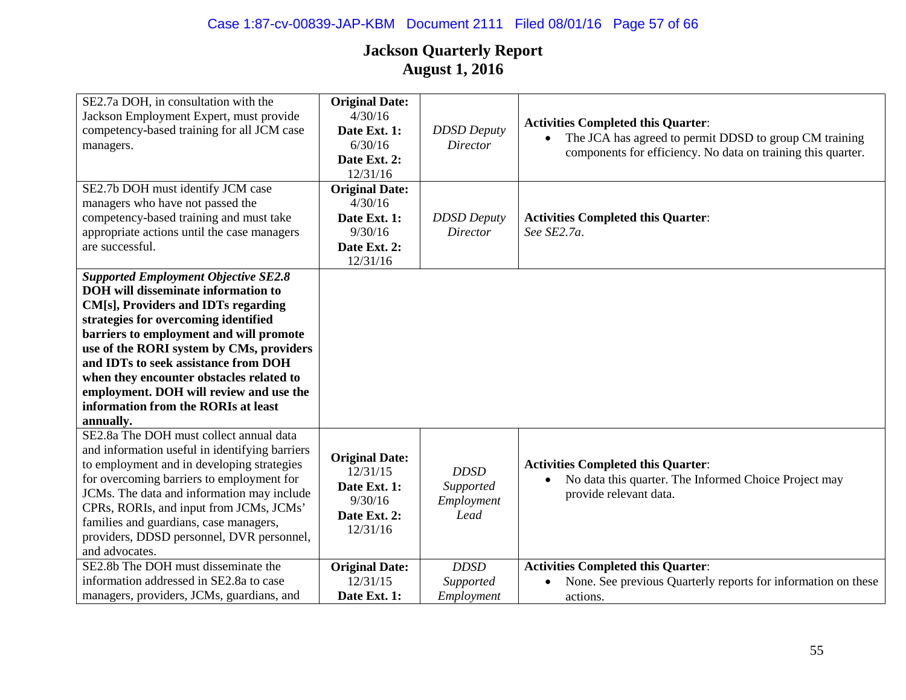| SE2.7a DOH, in consultation with the<br>Jackson Employment Expert, must provide<br>competency-based training for all JCM case<br>managers.                                                                                                                                                                                                                                                                                                         | <b>Original Date:</b><br>4/30/16<br>Date Ext. 1:<br>6/30/16<br>Date Ext. 2:<br>12/31/16  | <b>DDSD</b> Deputy<br>Director                 | <b>Activities Completed this Quarter:</b><br>The JCA has agreed to permit DDSD to group CM training<br>components for efficiency. No data on training this quarter. |
|----------------------------------------------------------------------------------------------------------------------------------------------------------------------------------------------------------------------------------------------------------------------------------------------------------------------------------------------------------------------------------------------------------------------------------------------------|------------------------------------------------------------------------------------------|------------------------------------------------|---------------------------------------------------------------------------------------------------------------------------------------------------------------------|
| SE2.7b DOH must identify JCM case<br>managers who have not passed the<br>competency-based training and must take<br>appropriate actions until the case managers<br>are successful.                                                                                                                                                                                                                                                                 | <b>Original Date:</b><br>4/30/16<br>Date Ext. 1:<br>9/30/16<br>Date Ext. 2:<br>12/31/16  | <b>DDSD</b> Deputy<br><b>Director</b>          | <b>Activities Completed this Quarter:</b><br>See SE2.7a.                                                                                                            |
| <b>Supported Employment Objective SE2.8</b><br><b>DOH</b> will disseminate information to<br>CM[s], Providers and IDTs regarding<br>strategies for overcoming identified<br>barriers to employment and will promote<br>use of the RORI system by CMs, providers<br>and IDTs to seek assistance from DOH<br>when they encounter obstacles related to<br>employment. DOH will review and use the<br>information from the RORIs at least<br>annually. |                                                                                          |                                                |                                                                                                                                                                     |
| SE2.8a The DOH must collect annual data<br>and information useful in identifying barriers<br>to employment and in developing strategies<br>for overcoming barriers to employment for<br>JCMs. The data and information may include<br>CPRs, RORIs, and input from JCMs, JCMs'<br>families and guardians, case managers,<br>providers, DDSD personnel, DVR personnel,<br>and advocates.                                                             | <b>Original Date:</b><br>12/31/15<br>Date Ext. 1:<br>9/30/16<br>Date Ext. 2:<br>12/31/16 | <b>DDSD</b><br>Supported<br>Employment<br>Lead | <b>Activities Completed this Quarter:</b><br>No data this quarter. The Informed Choice Project may<br>provide relevant data.                                        |
| SE2.8b The DOH must disseminate the<br>information addressed in SE2.8a to case                                                                                                                                                                                                                                                                                                                                                                     | <b>Original Date:</b><br>12/31/15                                                        | <b>DDSD</b><br>Supported                       | <b>Activities Completed this Quarter:</b><br>None. See previous Quarterly reports for information on these                                                          |
| managers, providers, JCMs, guardians, and                                                                                                                                                                                                                                                                                                                                                                                                          | Date Ext. 1:                                                                             | Employment                                     | actions.                                                                                                                                                            |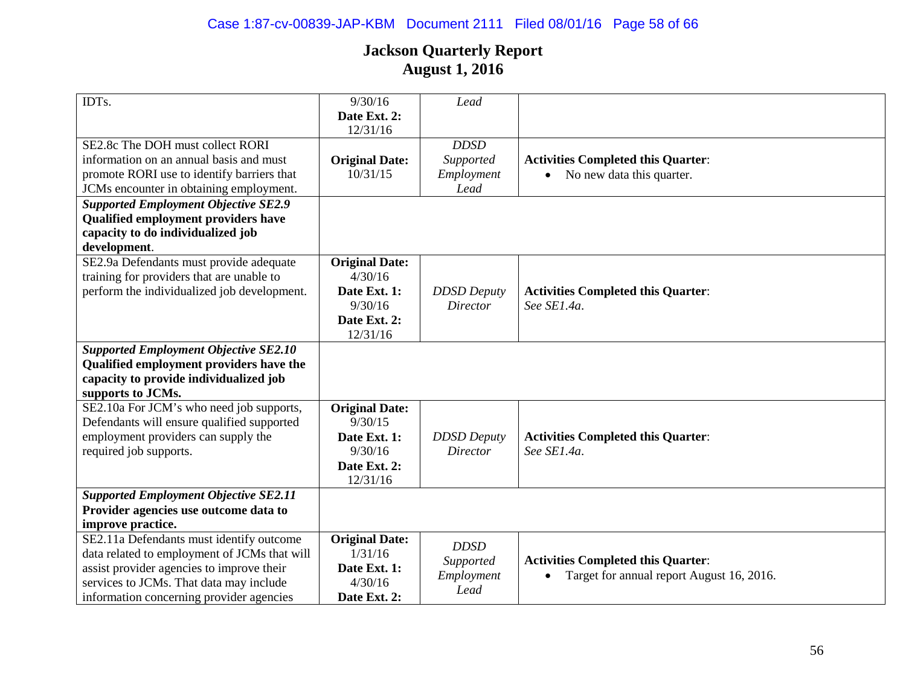| IDTs.                                        | 9/30/16               | Lead               |                                           |
|----------------------------------------------|-----------------------|--------------------|-------------------------------------------|
|                                              | Date Ext. 2:          |                    |                                           |
|                                              | 12/31/16              |                    |                                           |
| SE2.8c The DOH must collect RORI             |                       | <b>DDSD</b>        |                                           |
| information on an annual basis and must      | <b>Original Date:</b> | Supported          | <b>Activities Completed this Quarter:</b> |
| promote RORI use to identify barriers that   | 10/31/15              | Employment         | No new data this quarter.                 |
| JCMs encounter in obtaining employment.      |                       | Lead               |                                           |
| <b>Supported Employment Objective SE2.9</b>  |                       |                    |                                           |
| <b>Qualified employment providers have</b>   |                       |                    |                                           |
| capacity to do individualized job            |                       |                    |                                           |
| development.                                 |                       |                    |                                           |
| SE2.9a Defendants must provide adequate      | <b>Original Date:</b> |                    |                                           |
| training for providers that are unable to    | 4/30/16               |                    |                                           |
| perform the individualized job development.  | Date Ext. 1:          | <b>DDSD</b> Deputy | <b>Activities Completed this Quarter:</b> |
|                                              | 9/30/16               | <b>Director</b>    | See SE1.4a.                               |
|                                              | Date Ext. 2:          |                    |                                           |
|                                              | 12/31/16              |                    |                                           |
| <b>Supported Employment Objective SE2.10</b> |                       |                    |                                           |
| Qualified employment providers have the      |                       |                    |                                           |
| capacity to provide individualized job       |                       |                    |                                           |
| supports to JCMs.                            |                       |                    |                                           |
| SE2.10a For JCM's who need job supports,     | <b>Original Date:</b> |                    |                                           |
| Defendants will ensure qualified supported   | 9/30/15               |                    |                                           |
| employment providers can supply the          | Date Ext. 1:          | <b>DDSD</b> Deputy | <b>Activities Completed this Quarter:</b> |
| required job supports.                       | 9/30/16               | <b>Director</b>    | See SE1.4a.                               |
|                                              | Date Ext. 2:          |                    |                                           |
|                                              | 12/31/16              |                    |                                           |
| <b>Supported Employment Objective SE2.11</b> |                       |                    |                                           |
| Provider agencies use outcome data to        |                       |                    |                                           |
| improve practice.                            |                       |                    |                                           |
| SE2.11a Defendants must identify outcome     | <b>Original Date:</b> | <b>DDSD</b>        |                                           |
| data related to employment of JCMs that will | 1/31/16               | Supported          | <b>Activities Completed this Quarter:</b> |
| assist provider agencies to improve their    | Date Ext. 1:          | Employment         | Target for annual report August 16, 2016. |
| services to JCMs. That data may include      | 4/30/16               | Lead               |                                           |
| information concerning provider agencies     | Date Ext. 2:          |                    |                                           |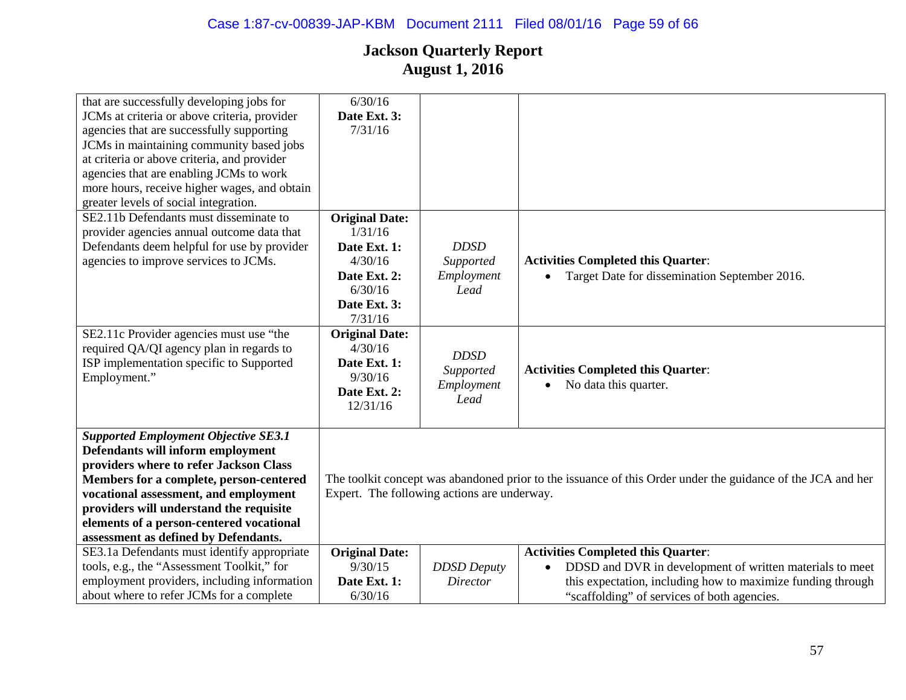| that are successfully developing jobs for    | 6/30/16               |                                             |                                                                                                             |
|----------------------------------------------|-----------------------|---------------------------------------------|-------------------------------------------------------------------------------------------------------------|
| JCMs at criteria or above criteria, provider | Date Ext. 3:          |                                             |                                                                                                             |
| agencies that are successfully supporting    | 7/31/16               |                                             |                                                                                                             |
| JCMs in maintaining community based jobs     |                       |                                             |                                                                                                             |
| at criteria or above criteria, and provider  |                       |                                             |                                                                                                             |
| agencies that are enabling JCMs to work      |                       |                                             |                                                                                                             |
| more hours, receive higher wages, and obtain |                       |                                             |                                                                                                             |
| greater levels of social integration.        |                       |                                             |                                                                                                             |
| SE2.11b Defendants must disseminate to       | <b>Original Date:</b> |                                             |                                                                                                             |
| provider agencies annual outcome data that   | 1/31/16               |                                             |                                                                                                             |
| Defendants deem helpful for use by provider  | Date Ext. 1:          | <b>DDSD</b>                                 |                                                                                                             |
| agencies to improve services to JCMs.        | 4/30/16               | Supported                                   | <b>Activities Completed this Quarter:</b>                                                                   |
|                                              | Date Ext. 2:          | Employment                                  | Target Date for dissemination September 2016.                                                               |
|                                              | 6/30/16               | Lead                                        |                                                                                                             |
|                                              | Date Ext. 3:          |                                             |                                                                                                             |
|                                              | 7/31/16               |                                             |                                                                                                             |
| SE2.11c Provider agencies must use "the      | <b>Original Date:</b> |                                             |                                                                                                             |
| required QA/QI agency plan in regards to     | 4/30/16               |                                             |                                                                                                             |
| ISP implementation specific to Supported     | Date Ext. 1:          | <b>DDSD</b>                                 |                                                                                                             |
| Employment."                                 | 9/30/16               | Supported                                   | <b>Activities Completed this Quarter:</b>                                                                   |
|                                              | Date Ext. 2:          | Employment                                  | No data this quarter.                                                                                       |
|                                              | 12/31/16              | Lead                                        |                                                                                                             |
|                                              |                       |                                             |                                                                                                             |
| <b>Supported Employment Objective SE3.1</b>  |                       |                                             |                                                                                                             |
| Defendants will inform employment            |                       |                                             |                                                                                                             |
| providers where to refer Jackson Class       |                       |                                             |                                                                                                             |
| Members for a complete, person-centered      |                       |                                             | The toolkit concept was abandoned prior to the issuance of this Order under the guidance of the JCA and her |
| vocational assessment, and employment        |                       | Expert. The following actions are underway. |                                                                                                             |
| providers will understand the requisite      |                       |                                             |                                                                                                             |
| elements of a person-centered vocational     |                       |                                             |                                                                                                             |
| assessment as defined by Defendants.         |                       |                                             |                                                                                                             |
| SE3.1a Defendants must identify appropriate  | <b>Original Date:</b> |                                             | <b>Activities Completed this Quarter:</b>                                                                   |
| tools, e.g., the "Assessment Toolkit," for   | 9/30/15               | <b>DDSD</b> Deputy                          | DDSD and DVR in development of written materials to meet                                                    |
| employment providers, including information  | Date Ext. 1:          | <b>Director</b>                             | this expectation, including how to maximize funding through                                                 |
| about where to refer JCMs for a complete     | 6/30/16               |                                             | "scaffolding" of services of both agencies.                                                                 |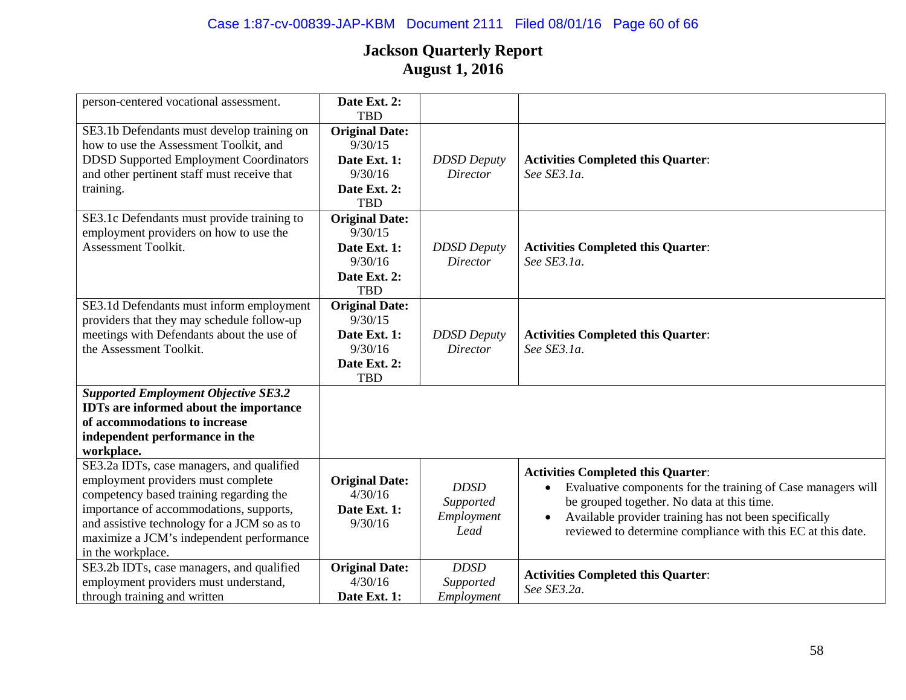| person-centered vocational assessment.                                                                                                                                                                                                                                                | Date Ext. 2:<br><b>TBD</b>                                                                |                                                |                                                                                                                                                                                                                                                                                              |
|---------------------------------------------------------------------------------------------------------------------------------------------------------------------------------------------------------------------------------------------------------------------------------------|-------------------------------------------------------------------------------------------|------------------------------------------------|----------------------------------------------------------------------------------------------------------------------------------------------------------------------------------------------------------------------------------------------------------------------------------------------|
| SE3.1b Defendants must develop training on<br>how to use the Assessment Toolkit, and<br><b>DDSD Supported Employment Coordinators</b><br>and other pertinent staff must receive that<br>training.                                                                                     | <b>Original Date:</b><br>9/30/15<br>Date Ext. 1:<br>9/30/16<br>Date Ext. 2:<br><b>TBD</b> | <b>DDSD</b> Deputy<br>Director                 | <b>Activities Completed this Quarter:</b><br>See SE3.1a.                                                                                                                                                                                                                                     |
| SE3.1c Defendants must provide training to<br>employment providers on how to use the<br>Assessment Toolkit.                                                                                                                                                                           | <b>Original Date:</b><br>9/30/15<br>Date Ext. 1:<br>9/30/16<br>Date Ext. 2:<br><b>TBD</b> | <b>DDSD</b> Deputy<br><b>Director</b>          | <b>Activities Completed this Quarter:</b><br>See SE3.1a.                                                                                                                                                                                                                                     |
| SE3.1d Defendants must inform employment<br>providers that they may schedule follow-up<br>meetings with Defendants about the use of<br>the Assessment Toolkit.                                                                                                                        | <b>Original Date:</b><br>9/30/15<br>Date Ext. 1:<br>9/30/16<br>Date Ext. 2:<br><b>TBD</b> | <b>DDSD</b> Deputy<br><b>Director</b>          | <b>Activities Completed this Quarter:</b><br>See SE3.1a.                                                                                                                                                                                                                                     |
| <b>Supported Employment Objective SE3.2</b><br><b>IDTs</b> are informed about the importance<br>of accommodations to increase<br>independent performance in the<br>workplace.                                                                                                         |                                                                                           |                                                |                                                                                                                                                                                                                                                                                              |
| SE3.2a IDTs, case managers, and qualified<br>employment providers must complete<br>competency based training regarding the<br>importance of accommodations, supports,<br>and assistive technology for a JCM so as to<br>maximize a JCM's independent performance<br>in the workplace. | <b>Original Date:</b><br>4/30/16<br>Date Ext. 1:<br>9/30/16                               | <b>DDSD</b><br>Supported<br>Employment<br>Lead | <b>Activities Completed this Quarter:</b><br>Evaluative components for the training of Case managers will<br>be grouped together. No data at this time.<br>Available provider training has not been specifically<br>$\bullet$<br>reviewed to determine compliance with this EC at this date. |
| SE3.2b IDTs, case managers, and qualified<br>employment providers must understand,<br>through training and written                                                                                                                                                                    | <b>Original Date:</b><br>4/30/16<br>Date Ext. 1:                                          | <b>DDSD</b><br>Supported<br>Employment         | <b>Activities Completed this Quarter:</b><br>See SE3.2a.                                                                                                                                                                                                                                     |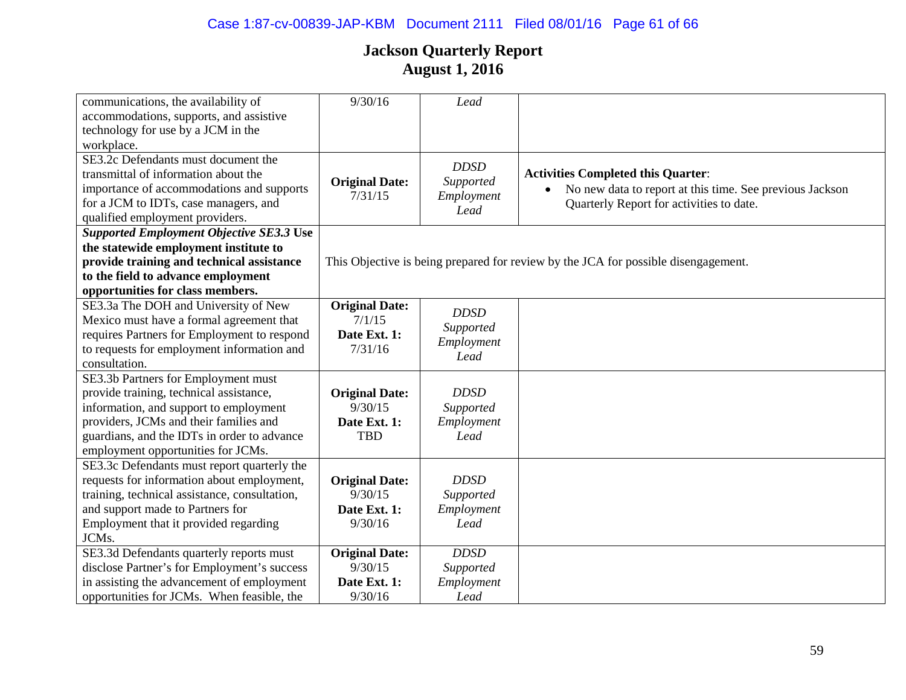| communications, the availability of             | 9/30/16                          | Lead        |                                                                                    |
|-------------------------------------------------|----------------------------------|-------------|------------------------------------------------------------------------------------|
| accommodations, supports, and assistive         |                                  |             |                                                                                    |
| technology for use by a JCM in the              |                                  |             |                                                                                    |
| workplace.                                      |                                  |             |                                                                                    |
| SE3.2c Defendants must document the             |                                  | <b>DDSD</b> |                                                                                    |
| transmittal of information about the            |                                  |             | <b>Activities Completed this Quarter:</b>                                          |
| importance of accommodations and supports       | <b>Original Date:</b><br>7/31/15 | Supported   | No new data to report at this time. See previous Jackson                           |
| for a JCM to IDTs, case managers, and           |                                  | Employment  | Quarterly Report for activities to date.                                           |
| qualified employment providers.                 |                                  | Lead        |                                                                                    |
| <b>Supported Employment Objective SE3.3 Use</b> |                                  |             |                                                                                    |
| the statewide employment institute to           |                                  |             |                                                                                    |
| provide training and technical assistance       |                                  |             | This Objective is being prepared for review by the JCA for possible disengagement. |
| to the field to advance employment              |                                  |             |                                                                                    |
| opportunities for class members.                |                                  |             |                                                                                    |
| SE3.3a The DOH and University of New            | <b>Original Date:</b>            | <b>DDSD</b> |                                                                                    |
| Mexico must have a formal agreement that        | 7/1/15                           | Supported   |                                                                                    |
| requires Partners for Employment to respond     | Date Ext. 1:                     | Employment  |                                                                                    |
| to requests for employment information and      | 7/31/16                          | Lead        |                                                                                    |
| consultation.                                   |                                  |             |                                                                                    |
| SE3.3b Partners for Employment must             |                                  |             |                                                                                    |
| provide training, technical assistance,         | <b>Original Date:</b>            | <b>DDSD</b> |                                                                                    |
| information, and support to employment          | 9/30/15                          | Supported   |                                                                                    |
| providers, JCMs and their families and          | Date Ext. 1:                     | Employment  |                                                                                    |
| guardians, and the IDTs in order to advance     | <b>TBD</b>                       | Lead        |                                                                                    |
| employment opportunities for JCMs.              |                                  |             |                                                                                    |
| SE3.3c Defendants must report quarterly the     |                                  |             |                                                                                    |
| requests for information about employment,      | <b>Original Date:</b>            | <b>DDSD</b> |                                                                                    |
| training, technical assistance, consultation,   | 9/30/15                          | Supported   |                                                                                    |
| and support made to Partners for                | Date Ext. 1:                     | Employment  |                                                                                    |
| Employment that it provided regarding           | 9/30/16                          | Lead        |                                                                                    |
| JCMs.                                           |                                  |             |                                                                                    |
| SE3.3d Defendants quarterly reports must        | <b>Original Date:</b>            | <b>DDSD</b> |                                                                                    |
| disclose Partner's for Employment's success     | 9/30/15                          | Supported   |                                                                                    |
| in assisting the advancement of employment      | Date Ext. 1:                     | Employment  |                                                                                    |
| opportunities for JCMs. When feasible, the      | 9/30/16                          | Lead        |                                                                                    |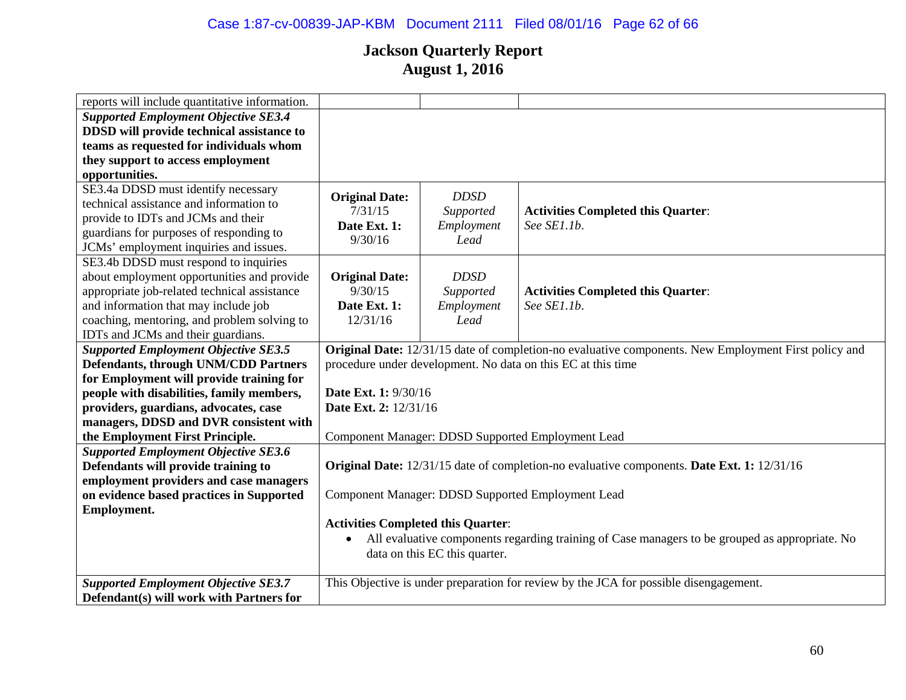# Case 1:87-cv-00839-JAP-KBM Document 2111 Filed 08/01/16 Page 62 of 66

| reports will include quantitative information. |                                                              |                               |                                                                                                             |  |
|------------------------------------------------|--------------------------------------------------------------|-------------------------------|-------------------------------------------------------------------------------------------------------------|--|
| <b>Supported Employment Objective SE3.4</b>    |                                                              |                               |                                                                                                             |  |
| DDSD will provide technical assistance to      |                                                              |                               |                                                                                                             |  |
| teams as requested for individuals whom        |                                                              |                               |                                                                                                             |  |
| they support to access employment              |                                                              |                               |                                                                                                             |  |
| opportunities.                                 |                                                              |                               |                                                                                                             |  |
| SE3.4a DDSD must identify necessary            | <b>Original Date:</b>                                        | <b>DDSD</b>                   |                                                                                                             |  |
| technical assistance and information to        | 7/31/15                                                      | Supported                     | <b>Activities Completed this Quarter:</b>                                                                   |  |
| provide to IDTs and JCMs and their             | Date Ext. 1:                                                 |                               | See SE1.1b.                                                                                                 |  |
| guardians for purposes of responding to        |                                                              | Employment                    |                                                                                                             |  |
| JCMs' employment inquiries and issues.         | 9/30/16                                                      | Lead                          |                                                                                                             |  |
| SE3.4b DDSD must respond to inquiries          |                                                              |                               |                                                                                                             |  |
| about employment opportunities and provide     | <b>Original Date:</b>                                        | <b>DDSD</b>                   |                                                                                                             |  |
| appropriate job-related technical assistance   | 9/30/15                                                      | Supported                     | <b>Activities Completed this Quarter:</b>                                                                   |  |
| and information that may include job           | Date Ext. 1:                                                 | Employment                    | See SE1.1b.                                                                                                 |  |
| coaching, mentoring, and problem solving to    | 12/31/16                                                     | Lead                          |                                                                                                             |  |
| IDTs and JCMs and their guardians.             |                                                              |                               |                                                                                                             |  |
| <b>Supported Employment Objective SE3.5</b>    |                                                              |                               | <b>Original Date:</b> 12/31/15 date of completion-no evaluative components. New Employment First policy and |  |
| <b>Defendants, through UNM/CDD Partners</b>    | procedure under development. No data on this EC at this time |                               |                                                                                                             |  |
| for Employment will provide training for       |                                                              |                               |                                                                                                             |  |
| people with disabilities, family members,      | <b>Date Ext. 1: 9/30/16</b>                                  |                               |                                                                                                             |  |
| providers, guardians, advocates, case          | Date Ext. 2: 12/31/16                                        |                               |                                                                                                             |  |
| managers, DDSD and DVR consistent with         |                                                              |                               |                                                                                                             |  |
| the Employment First Principle.                |                                                              |                               | Component Manager: DDSD Supported Employment Lead                                                           |  |
| <b>Supported Employment Objective SE3.6</b>    |                                                              |                               |                                                                                                             |  |
| Defendants will provide training to            |                                                              |                               | Original Date: 12/31/15 date of completion-no evaluative components. Date Ext. 1: 12/31/16                  |  |
| employment providers and case managers         |                                                              |                               |                                                                                                             |  |
| on evidence based practices in Supported       |                                                              |                               | Component Manager: DDSD Supported Employment Lead                                                           |  |
| <b>Employment.</b>                             |                                                              |                               |                                                                                                             |  |
|                                                | <b>Activities Completed this Quarter:</b>                    |                               |                                                                                                             |  |
|                                                |                                                              |                               | All evaluative components regarding training of Case managers to be grouped as appropriate. No              |  |
|                                                |                                                              | data on this EC this quarter. |                                                                                                             |  |
|                                                |                                                              |                               |                                                                                                             |  |
| <b>Supported Employment Objective SE3.7</b>    |                                                              |                               | This Objective is under preparation for review by the JCA for possible disengagement.                       |  |
| Defendant(s) will work with Partners for       |                                                              |                               |                                                                                                             |  |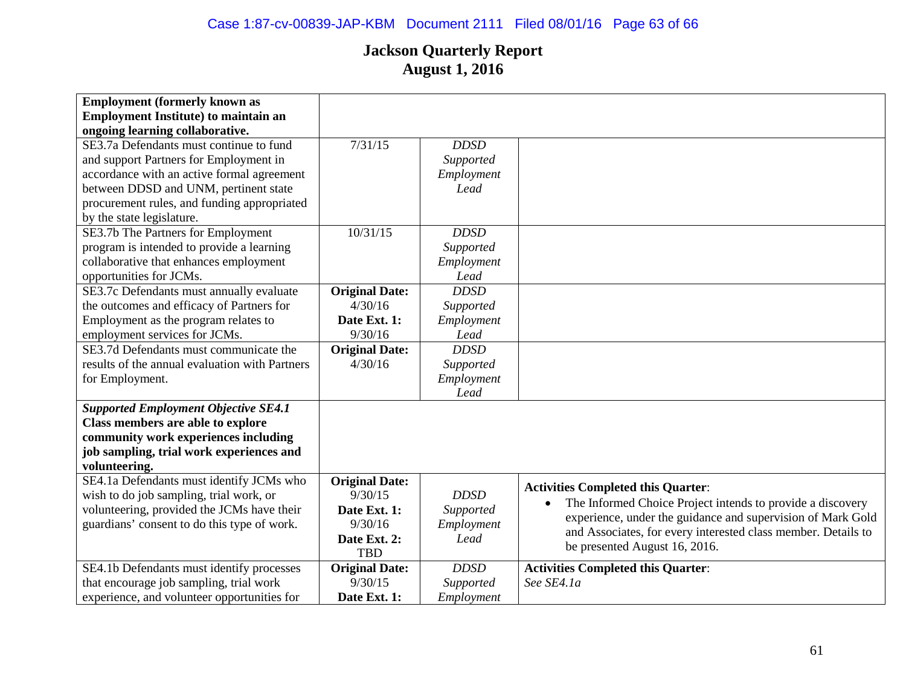| <b>Employment (formerly known as</b>           |                       |             |                                                               |
|------------------------------------------------|-----------------------|-------------|---------------------------------------------------------------|
| <b>Employment Institute) to maintain an</b>    |                       |             |                                                               |
| ongoing learning collaborative.                |                       |             |                                                               |
| SE3.7a Defendants must continue to fund        | 7/31/15               | <b>DDSD</b> |                                                               |
| and support Partners for Employment in         |                       | Supported   |                                                               |
| accordance with an active formal agreement     |                       | Employment  |                                                               |
| between DDSD and UNM, pertinent state          |                       | Lead        |                                                               |
| procurement rules, and funding appropriated    |                       |             |                                                               |
| by the state legislature.                      |                       |             |                                                               |
| SE3.7b The Partners for Employment             | 10/31/15              | <b>DDSD</b> |                                                               |
| program is intended to provide a learning      |                       | Supported   |                                                               |
| collaborative that enhances employment         |                       | Employment  |                                                               |
| opportunities for JCMs.                        |                       | Lead        |                                                               |
| SE3.7c Defendants must annually evaluate       | <b>Original Date:</b> | <b>DDSD</b> |                                                               |
| the outcomes and efficacy of Partners for      | 4/30/16               | Supported   |                                                               |
| Employment as the program relates to           | Date Ext. 1:          | Employment  |                                                               |
| employment services for JCMs.                  | 9/30/16               | Lead        |                                                               |
| SE3.7d Defendants must communicate the         | <b>Original Date:</b> | <b>DDSD</b> |                                                               |
| results of the annual evaluation with Partners | 4/30/16               | Supported   |                                                               |
| for Employment.                                |                       | Employment  |                                                               |
|                                                |                       | Lead        |                                                               |
| <b>Supported Employment Objective SE4.1</b>    |                       |             |                                                               |
| Class members are able to explore              |                       |             |                                                               |
| community work experiences including           |                       |             |                                                               |
| job sampling, trial work experiences and       |                       |             |                                                               |
| volunteering.                                  |                       |             |                                                               |
| SE4.1a Defendants must identify JCMs who       | <b>Original Date:</b> |             |                                                               |
| wish to do job sampling, trial work, or        | 9/30/15               | <b>DDSD</b> | <b>Activities Completed this Quarter:</b>                     |
| volunteering, provided the JCMs have their     | Date Ext. 1:          | Supported   | The Informed Choice Project intends to provide a discovery    |
| guardians' consent to do this type of work.    | 9/30/16               | Employment  | experience, under the guidance and supervision of Mark Gold   |
|                                                | Date Ext. 2:          | Lead        | and Associates, for every interested class member. Details to |
|                                                | <b>TBD</b>            |             | be presented August 16, 2016.                                 |
| SE4.1b Defendants must identify processes      | <b>Original Date:</b> | <b>DDSD</b> | <b>Activities Completed this Quarter:</b>                     |
| that encourage job sampling, trial work        | 9/30/15               | Supported   | See SE4.1a                                                    |
| experience, and volunteer opportunities for    | Date Ext. 1:          | Employment  |                                                               |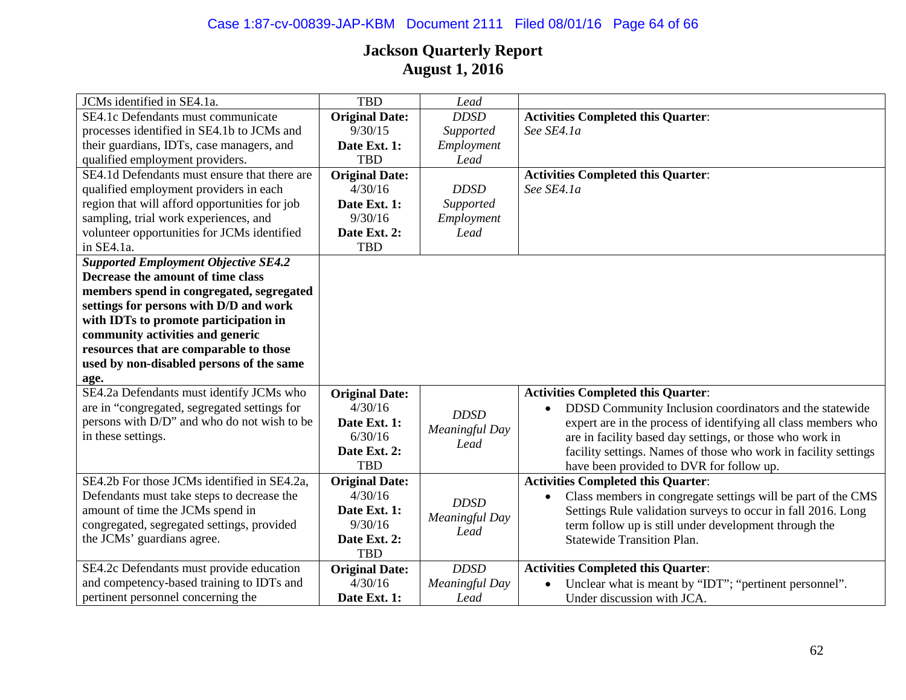# Case 1:87-cv-00839-JAP-KBM Document 2111 Filed 08/01/16 Page 64 of 66

| JCMs identified in SE4.1a.                    | <b>TBD</b>            | Lead                   |                                                                 |
|-----------------------------------------------|-----------------------|------------------------|-----------------------------------------------------------------|
| SE4.1c Defendants must communicate            | <b>Original Date:</b> | <b>DDSD</b>            | <b>Activities Completed this Quarter:</b>                       |
| processes identified in SE4.1b to JCMs and    | 9/30/15               | Supported              | See SE4.1a                                                      |
| their guardians, IDTs, case managers, and     | Date Ext. 1:          | Employment             |                                                                 |
| qualified employment providers.               | <b>TBD</b>            | Lead                   |                                                                 |
| SE4.1d Defendants must ensure that there are  | <b>Original Date:</b> |                        | <b>Activities Completed this Quarter:</b>                       |
| qualified employment providers in each        | 4/30/16               | <b>DDSD</b>            | See SE4.1a                                                      |
| region that will afford opportunities for job | Date Ext. 1:          | Supported              |                                                                 |
| sampling, trial work experiences, and         | 9/30/16               | Employment             |                                                                 |
| volunteer opportunities for JCMs identified   | Date Ext. 2:          | Lead                   |                                                                 |
| in SE4.1a.                                    | <b>TBD</b>            |                        |                                                                 |
| <b>Supported Employment Objective SE4.2</b>   |                       |                        |                                                                 |
| Decrease the amount of time class             |                       |                        |                                                                 |
| members spend in congregated, segregated      |                       |                        |                                                                 |
| settings for persons with D/D and work        |                       |                        |                                                                 |
| with IDTs to promote participation in         |                       |                        |                                                                 |
| community activities and generic              |                       |                        |                                                                 |
| resources that are comparable to those        |                       |                        |                                                                 |
| used by non-disabled persons of the same      |                       |                        |                                                                 |
| age.                                          |                       |                        |                                                                 |
| SE4.2a Defendants must identify JCMs who      | <b>Original Date:</b> |                        | <b>Activities Completed this Quarter:</b>                       |
| are in "congregated, segregated settings for  | 4/30/16               | <b>DDSD</b>            | DDSD Community Inclusion coordinators and the statewide         |
| persons with D/D" and who do not wish to be   | Date Ext. 1:          |                        | expert are in the process of identifying all class members who  |
| in these settings.                            | 6/30/16               | Meaningful Day         | are in facility based day settings, or those who work in        |
|                                               | Date Ext. 2:          | Lead                   | facility settings. Names of those who work in facility settings |
|                                               | <b>TBD</b>            |                        | have been provided to DVR for follow up.                        |
| SE4.2b For those JCMs identified in SE4.2a,   | <b>Original Date:</b> |                        | <b>Activities Completed this Quarter:</b>                       |
| Defendants must take steps to decrease the    | 4/30/16               | <b>DDSD</b>            | Class members in congregate settings will be part of the CMS    |
| amount of time the JCMs spend in              | Date Ext. 1:          |                        | Settings Rule validation surveys to occur in fall 2016. Long    |
| congregated, segregated settings, provided    | 9/30/16               | Meaningful Day<br>Lead | term follow up is still under development through the           |
| the JCMs' guardians agree.                    | Date Ext. 2:          |                        | <b>Statewide Transition Plan.</b>                               |
|                                               | <b>TBD</b>            |                        |                                                                 |
| SE4.2c Defendants must provide education      | <b>Original Date:</b> | <b>DDSD</b>            | <b>Activities Completed this Quarter:</b>                       |
| and competency-based training to IDTs and     | 4/30/16               | Meaningful Day         | Unclear what is meant by "IDT"; "pertinent personnel".          |
| pertinent personnel concerning the            | Date Ext. 1:          | Lead                   | Under discussion with JCA.                                      |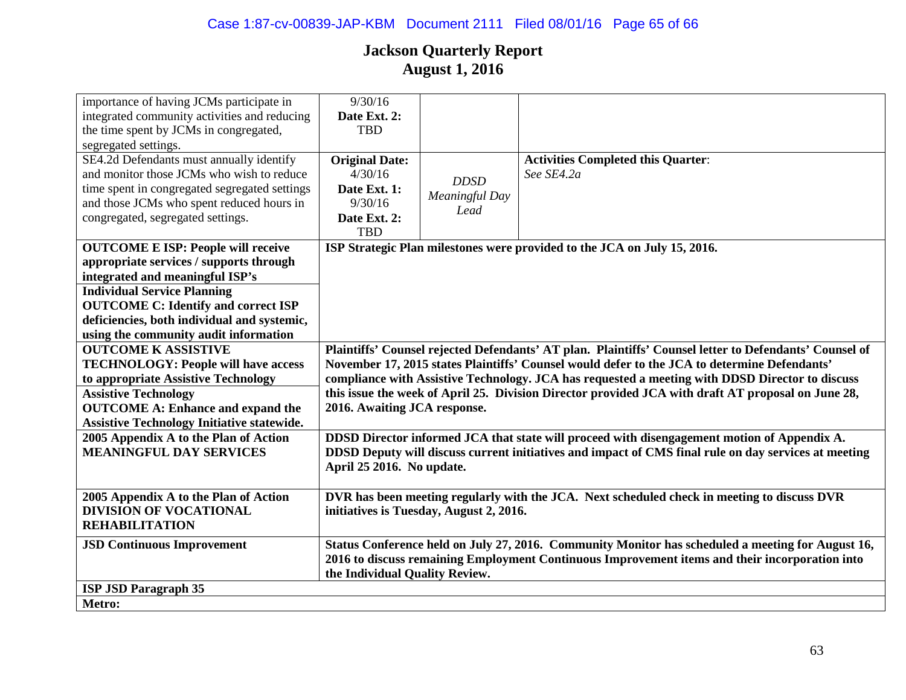| importance of having JCMs participate in          | 9/30/16                                                                                                |                |                                                                                                   |
|---------------------------------------------------|--------------------------------------------------------------------------------------------------------|----------------|---------------------------------------------------------------------------------------------------|
| integrated community activities and reducing      | Date Ext. 2:                                                                                           |                |                                                                                                   |
| the time spent by JCMs in congregated,            | <b>TBD</b>                                                                                             |                |                                                                                                   |
| segregated settings.                              |                                                                                                        |                |                                                                                                   |
| SE4.2d Defendants must annually identify          | <b>Original Date:</b>                                                                                  |                | <b>Activities Completed this Quarter:</b>                                                         |
| and monitor those JCMs who wish to reduce         | 4/30/16                                                                                                |                | See SE4.2a                                                                                        |
| time spent in congregated segregated settings     | Date Ext. 1:                                                                                           | <b>DDSD</b>    |                                                                                                   |
| and those JCMs who spent reduced hours in         | 9/30/16                                                                                                | Meaningful Day |                                                                                                   |
| congregated, segregated settings.                 | Date Ext. 2:                                                                                           | Lead           |                                                                                                   |
|                                                   | <b>TBD</b>                                                                                             |                |                                                                                                   |
| <b>OUTCOME E ISP: People will receive</b>         | ISP Strategic Plan milestones were provided to the JCA on July 15, 2016.                               |                |                                                                                                   |
| appropriate services / supports through           |                                                                                                        |                |                                                                                                   |
| integrated and meaningful ISP's                   |                                                                                                        |                |                                                                                                   |
| <b>Individual Service Planning</b>                |                                                                                                        |                |                                                                                                   |
| <b>OUTCOME C: Identify and correct ISP</b>        |                                                                                                        |                |                                                                                                   |
| deficiencies, both individual and systemic,       |                                                                                                        |                |                                                                                                   |
| using the community audit information             |                                                                                                        |                |                                                                                                   |
| <b>OUTCOME K ASSISTIVE</b>                        | Plaintiffs' Counsel rejected Defendants' AT plan. Plaintiffs' Counsel letter to Defendants' Counsel of |                |                                                                                                   |
| <b>TECHNOLOGY: People will have access</b>        | November 17, 2015 states Plaintiffs' Counsel would defer to the JCA to determine Defendants'           |                |                                                                                                   |
| to appropriate Assistive Technology               | compliance with Assistive Technology. JCA has requested a meeting with DDSD Director to discuss        |                |                                                                                                   |
| <b>Assistive Technology</b>                       | this issue the week of April 25. Division Director provided JCA with draft AT proposal on June 28,     |                |                                                                                                   |
| <b>OUTCOME A: Enhance and expand the</b>          | 2016. Awaiting JCA response.                                                                           |                |                                                                                                   |
| <b>Assistive Technology Initiative statewide.</b> |                                                                                                        |                |                                                                                                   |
| 2005 Appendix A to the Plan of Action             |                                                                                                        |                | DDSD Director informed JCA that state will proceed with disengagement motion of Appendix A.       |
| <b>MEANINGFUL DAY SERVICES</b>                    | DDSD Deputy will discuss current initiatives and impact of CMS final rule on day services at meeting   |                |                                                                                                   |
|                                                   | April 25 2016. No update.                                                                              |                |                                                                                                   |
|                                                   |                                                                                                        |                |                                                                                                   |
| 2005 Appendix A to the Plan of Action             |                                                                                                        |                | DVR has been meeting regularly with the JCA. Next scheduled check in meeting to discuss DVR       |
| <b>DIVISION OF VOCATIONAL</b>                     | initiatives is Tuesday, August 2, 2016.                                                                |                |                                                                                                   |
| <b>REHABILITATION</b>                             |                                                                                                        |                |                                                                                                   |
| <b>JSD Continuous Improvement</b>                 |                                                                                                        |                | Status Conference held on July 27, 2016. Community Monitor has scheduled a meeting for August 16, |
|                                                   | 2016 to discuss remaining Employment Continuous Improvement items and their incorporation into         |                |                                                                                                   |
|                                                   | the Individual Quality Review.                                                                         |                |                                                                                                   |
| <b>ISP JSD Paragraph 35</b>                       |                                                                                                        |                |                                                                                                   |
| Metro:                                            |                                                                                                        |                |                                                                                                   |